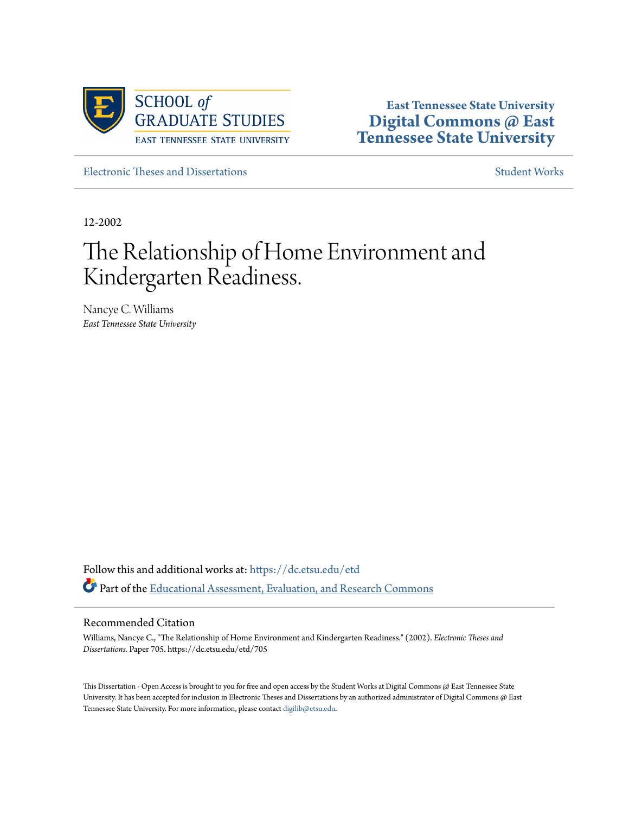

**East Tennessee State University [Digital Commons @ East](https://dc.etsu.edu?utm_source=dc.etsu.edu%2Fetd%2F705&utm_medium=PDF&utm_campaign=PDFCoverPages) [Tennessee State University](https://dc.etsu.edu?utm_source=dc.etsu.edu%2Fetd%2F705&utm_medium=PDF&utm_campaign=PDFCoverPages)**

[Electronic Theses and Dissertations](https://dc.etsu.edu/etd?utm_source=dc.etsu.edu%2Fetd%2F705&utm_medium=PDF&utm_campaign=PDFCoverPages) [Student Works](https://dc.etsu.edu/student-works?utm_source=dc.etsu.edu%2Fetd%2F705&utm_medium=PDF&utm_campaign=PDFCoverPages) Student Works Student Works

12-2002

# The Relationship of Home Environment and Kindergarten Readiness.

Nancye C. Williams *East Tennessee State University*

Follow this and additional works at: [https://dc.etsu.edu/etd](https://dc.etsu.edu/etd?utm_source=dc.etsu.edu%2Fetd%2F705&utm_medium=PDF&utm_campaign=PDFCoverPages) Part of the [Educational Assessment, Evaluation, and Research Commons](http://network.bepress.com/hgg/discipline/796?utm_source=dc.etsu.edu%2Fetd%2F705&utm_medium=PDF&utm_campaign=PDFCoverPages)

### Recommended Citation

Williams, Nancye C., "The Relationship of Home Environment and Kindergarten Readiness." (2002). *Electronic Theses and Dissertations.* Paper 705. https://dc.etsu.edu/etd/705

This Dissertation - Open Access is brought to you for free and open access by the Student Works at Digital Commons @ East Tennessee State University. It has been accepted for inclusion in Electronic Theses and Dissertations by an authorized administrator of Digital Commons @ East Tennessee State University. For more information, please contact [digilib@etsu.edu.](mailto:digilib@etsu.edu)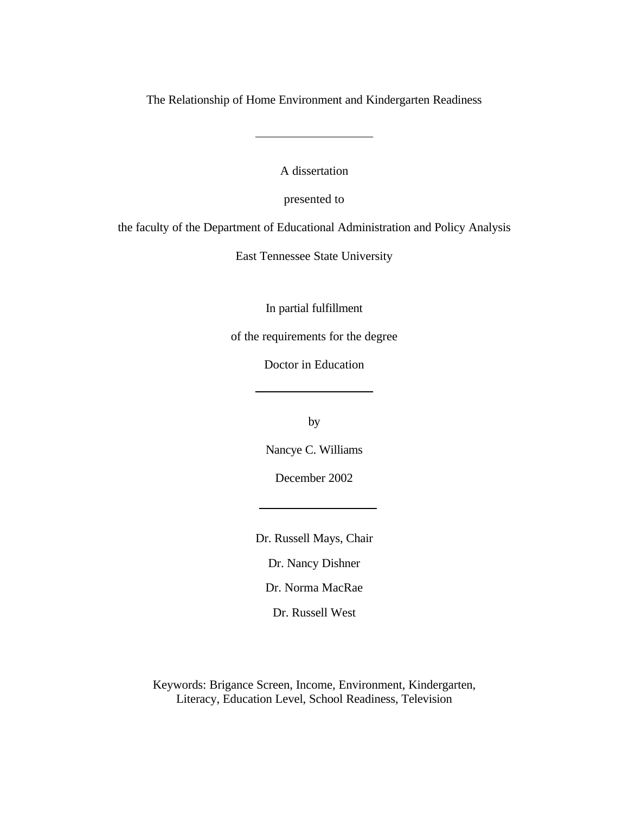The Relationship of Home Environment and Kindergarten Readiness

A dissertation

presented to

the faculty of the Department of Educational Administration and Policy Analysis

East Tennessee State University

In partial fulfillment

of the requirements for the degree

Doctor in Education

by

Nancye C. Williams

December 2002

Dr. Russell Mays, Chair Dr. Nancy Dishner Dr. Norma MacRae

Dr. Russell West

Keywords: Brigance Screen, Income, Environment, Kindergarten, Literacy, Education Level, School Readiness, Television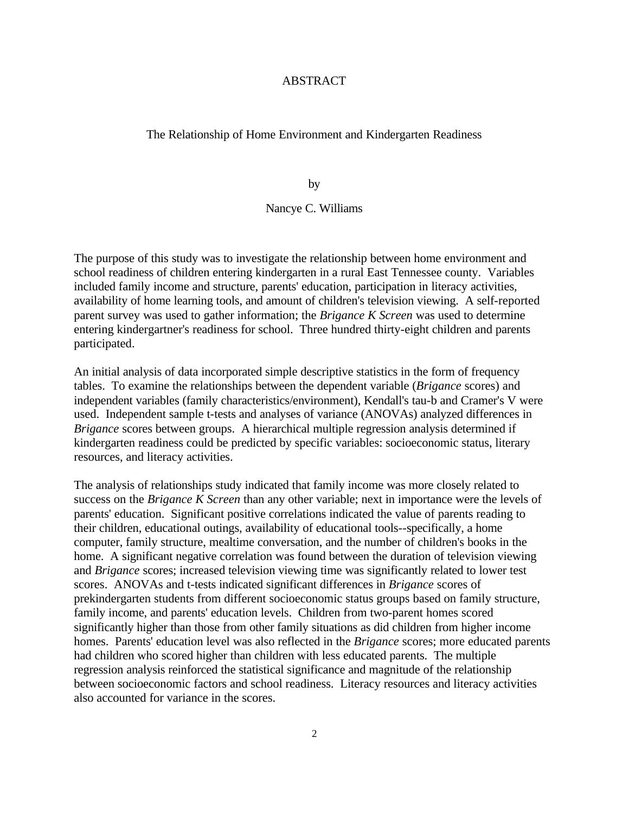# ABSTRACT

### The Relationship of Home Environment and Kindergarten Readiness

by

# Nancye C. Williams

The purpose of this study was to investigate the relationship between home environment and school readiness of children entering kindergarten in a rural East Tennessee county. Variables included family income and structure, parents' education, participation in literacy activities, availability of home learning tools, and amount of children's television viewing. A self-reported parent survey was used to gather information; the *Brigance K Screen* was used to determine entering kindergartner's readiness for school. Three hundred thirty-eight children and parents participated.

An initial analysis of data incorporated simple descriptive statistics in the form of frequency tables. To examine the relationships between the dependent variable (*Brigance* scores) and independent variables (family characteristics/environment), Kendall's tau-b and Cramer's V were used. Independent sample t-tests and analyses of variance (ANOVAs) analyzed differences in *Brigance* scores between groups. A hierarchical multiple regression analysis determined if kindergarten readiness could be predicted by specific variables: socioeconomic status, literary resources, and literacy activities.

The analysis of relationships study indicated that family income was more closely related to success on the *Brigance K Screen* than any other variable; next in importance were the levels of parents' education. Significant positive correlations indicated the value of parents reading to their children, educational outings, availability of educational tools--specifically, a home computer, family structure, mealtime conversation, and the number of children's books in the home. A significant negative correlation was found between the duration of television viewing and *Brigance* scores; increased television viewing time was significantly related to lower test scores. ANOVAs and t-tests indicated significant differences in *Brigance* scores of prekindergarten students from different socioeconomic status groups based on family structure, family income, and parents' education levels. Children from two-parent homes scored significantly higher than those from other family situations as did children from higher income homes. Parents' education level was also reflected in the *Brigance* scores; more educated parents had children who scored higher than children with less educated parents. The multiple regression analysis reinforced the statistical significance and magnitude of the relationship between socioeconomic factors and school readiness. Literacy resources and literacy activities also accounted for variance in the scores.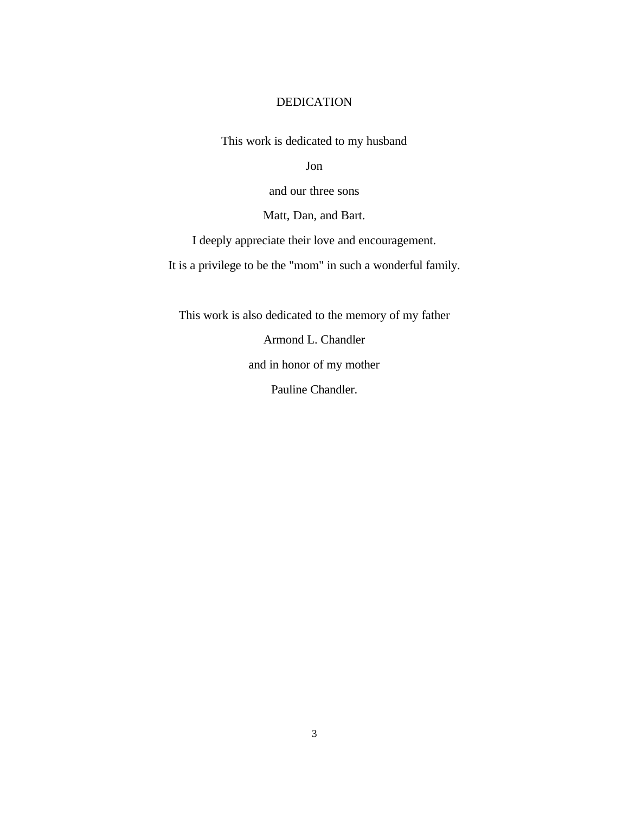# DEDICATION

This work is dedicated to my husband

Jon

and our three sons

Matt, Dan, and Bart.

I deeply appreciate their love and encouragement. It is a privilege to be the "mom" in such a wonderful family.

This work is also dedicated to the memory of my father Armond L. Chandler and in honor of my mother Pauline Chandler.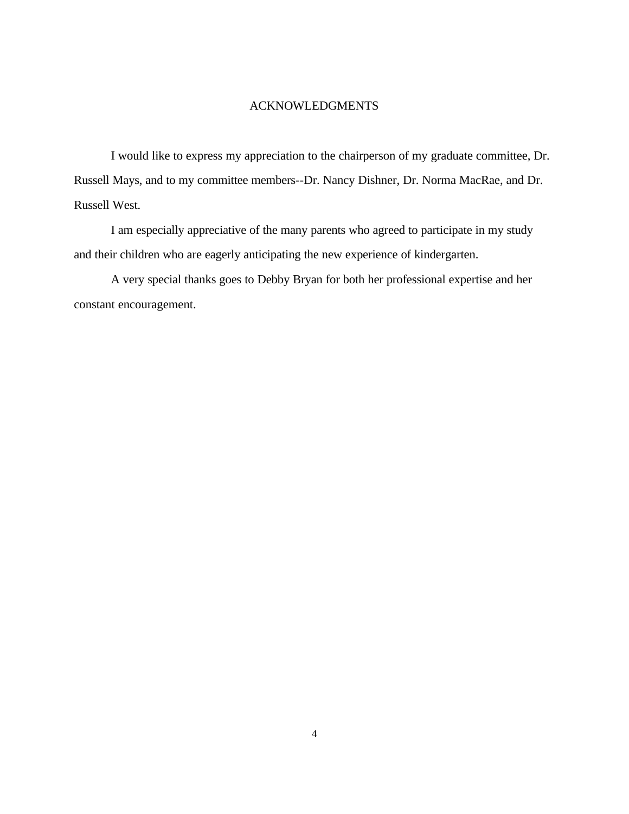### ACKNOWLEDGMENTS

I would like to express my appreciation to the chairperson of my graduate committee, Dr. Russell Mays, and to my committee members--Dr. Nancy Dishner, Dr. Norma MacRae, and Dr. Russell West.

I am especially appreciative of the many parents who agreed to participate in my study and their children who are eagerly anticipating the new experience of kindergarten.

A very special thanks goes to Debby Bryan for both her professional expertise and her constant encouragement.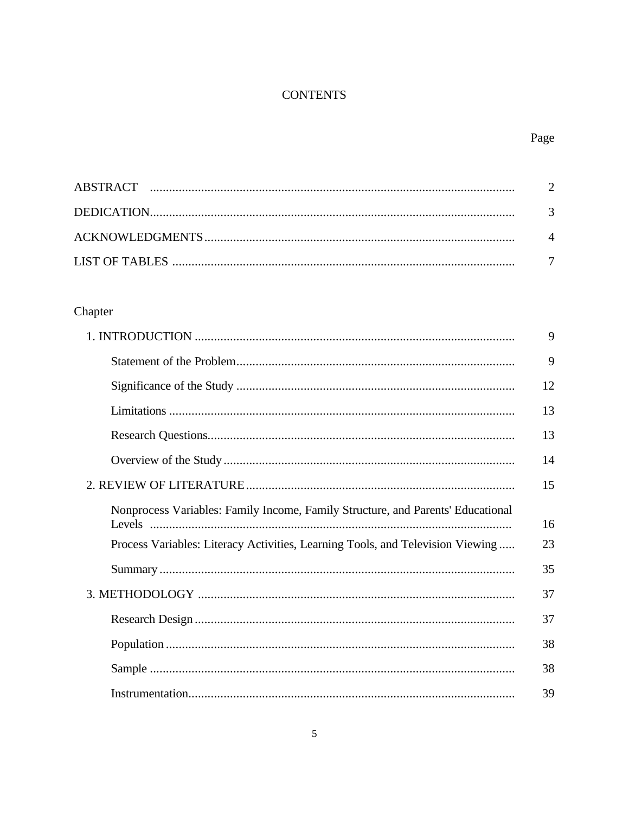# **CONTENTS**

# Page

# Chapter

|                                                                                 | 9  |
|---------------------------------------------------------------------------------|----|
|                                                                                 | 9  |
|                                                                                 | 12 |
|                                                                                 | 13 |
|                                                                                 | 13 |
|                                                                                 | 14 |
|                                                                                 | 15 |
| Nonprocess Variables: Family Income, Family Structure, and Parents' Educational | 16 |
| Process Variables: Literacy Activities, Learning Tools, and Television Viewing  | 23 |
|                                                                                 | 35 |
|                                                                                 | 37 |
|                                                                                 | 37 |
|                                                                                 | 38 |
|                                                                                 | 38 |
|                                                                                 | 39 |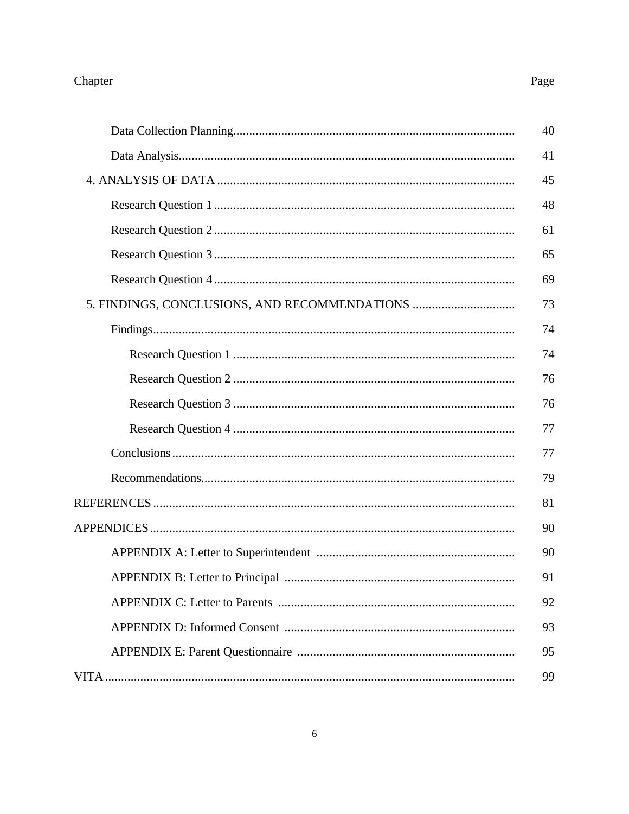# Chapter

# Page

|                                               | 40 |
|-----------------------------------------------|----|
|                                               | 41 |
|                                               | 45 |
|                                               | 48 |
|                                               | 61 |
|                                               | 65 |
|                                               | 69 |
| 5. FINDINGS, CONCLUSIONS, AND RECOMMENDATIONS | 73 |
|                                               | 74 |
|                                               | 74 |
|                                               | 76 |
|                                               | 76 |
|                                               | 77 |
|                                               | 77 |
|                                               | 79 |
|                                               | 81 |
|                                               | 90 |
|                                               | 90 |
|                                               | 91 |
|                                               | 92 |
|                                               | 93 |
|                                               | 95 |
|                                               | 99 |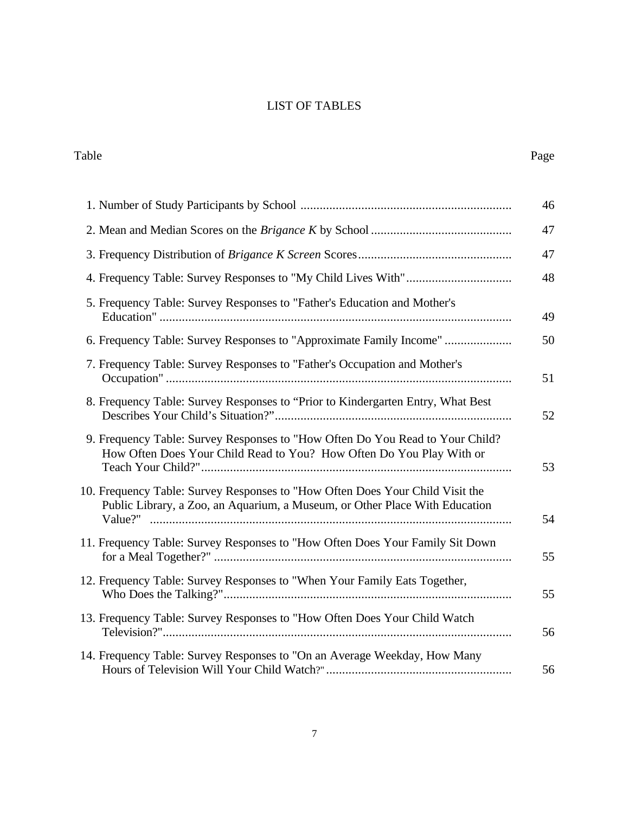# LIST OF TABLES

Table Page

| 5. Frequency Table: Survey Responses to "Father's Education and Mother's                                                                                     |  |
|--------------------------------------------------------------------------------------------------------------------------------------------------------------|--|
|                                                                                                                                                              |  |
| 7. Frequency Table: Survey Responses to "Father's Occupation and Mother's                                                                                    |  |
| 8. Frequency Table: Survey Responses to "Prior to Kindergarten Entry, What Best                                                                              |  |
| 9. Frequency Table: Survey Responses to "How Often Do You Read to Your Child?<br>How Often Does Your Child Read to You? How Often Do You Play With or        |  |
| 10. Frequency Table: Survey Responses to "How Often Does Your Child Visit the<br>Public Library, a Zoo, an Aquarium, a Museum, or Other Place With Education |  |
| 11. Frequency Table: Survey Responses to "How Often Does Your Family Sit Down                                                                                |  |
| 12. Frequency Table: Survey Responses to "When Your Family Eats Together,                                                                                    |  |
| 13. Frequency Table: Survey Responses to "How Often Does Your Child Watch"                                                                                   |  |
| 14. Frequency Table: Survey Responses to "On an Average Weekday, How Many                                                                                    |  |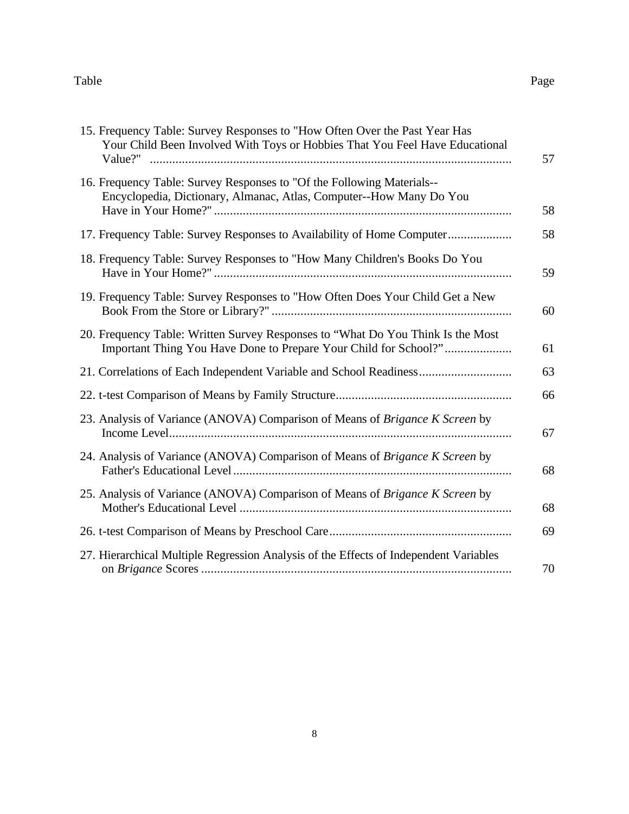# Table Page

| 15. Frequency Table: Survey Responses to "How Often Over the Past Year Has<br>Your Child Been Involved With Toys or Hobbies That You Feel Have Educational |  |
|------------------------------------------------------------------------------------------------------------------------------------------------------------|--|
| 16. Frequency Table: Survey Responses to "Of the Following Materials--<br>Encyclopedia, Dictionary, Almanac, Atlas, Computer--How Many Do You              |  |
| 17. Frequency Table: Survey Responses to Availability of Home Computer                                                                                     |  |
| 18. Frequency Table: Survey Responses to "How Many Children's Books Do You                                                                                 |  |
| 19. Frequency Table: Survey Responses to "How Often Does Your Child Get a New                                                                              |  |
| 20. Frequency Table: Written Survey Responses to "What Do You Think Is the Most"<br>Important Thing You Have Done to Prepare Your Child for School?"       |  |
| 21. Correlations of Each Independent Variable and School Readiness                                                                                         |  |
|                                                                                                                                                            |  |
| 23. Analysis of Variance (ANOVA) Comparison of Means of Brigance K Screen by                                                                               |  |
| 24. Analysis of Variance (ANOVA) Comparison of Means of Brigance K Screen by                                                                               |  |
| 25. Analysis of Variance (ANOVA) Comparison of Means of Brigance K Screen by                                                                               |  |
|                                                                                                                                                            |  |
| 27. Hierarchical Multiple Regression Analysis of the Effects of Independent Variables                                                                      |  |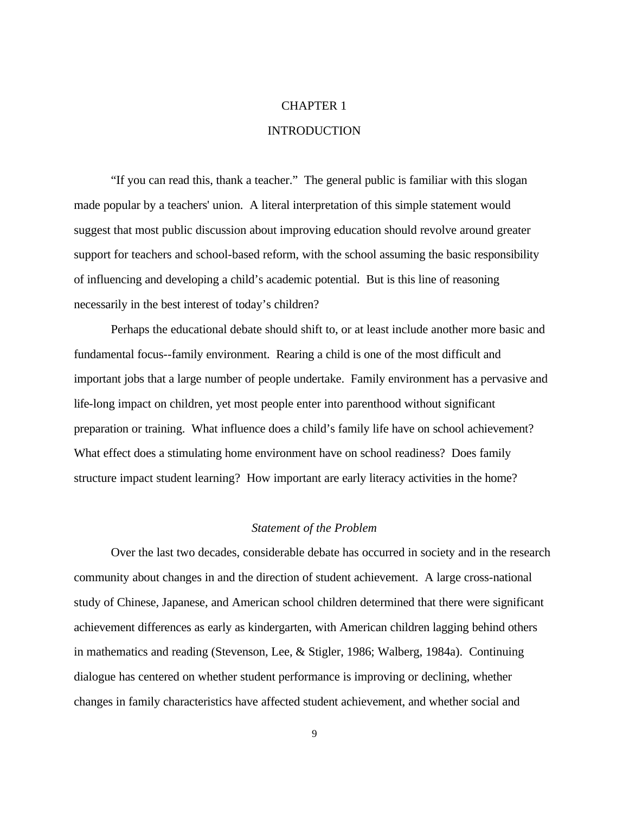# CHAPTER 1

# INTRODUCTION

"If you can read this, thank a teacher." The general public is familiar with this slogan made popular by a teachers' union. A literal interpretation of this simple statement would suggest that most public discussion about improving education should revolve around greater support for teachers and school-based reform, with the school assuming the basic responsibility of influencing and developing a child's academic potential. But is this line of reasoning necessarily in the best interest of today's children?

Perhaps the educational debate should shift to, or at least include another more basic and fundamental focus--family environment. Rearing a child is one of the most difficult and important jobs that a large number of people undertake. Family environment has a pervasive and life-long impact on children, yet most people enter into parenthood without significant preparation or training. What influence does a child's family life have on school achievement? What effect does a stimulating home environment have on school readiness? Does family structure impact student learning? How important are early literacy activities in the home?

# *Statement of the Problem*

Over the last two decades, considerable debate has occurred in society and in the research community about changes in and the direction of student achievement. A large cross-national study of Chinese, Japanese, and American school children determined that there were significant achievement differences as early as kindergarten, with American children lagging behind others in mathematics and reading (Stevenson, Lee, & Stigler, 1986; Walberg, 1984a). Continuing dialogue has centered on whether student performance is improving or declining, whether changes in family characteristics have affected student achievement, and whether social and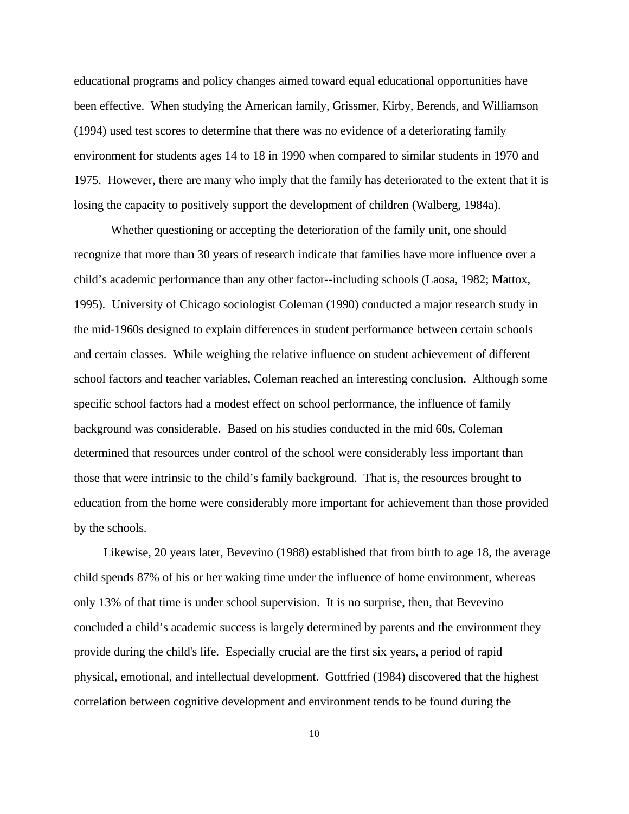educational programs and policy changes aimed toward equal educational opportunities have been effective. When studying the American family, Grissmer, Kirby, Berends, and Williamson (1994) used test scores to determine that there was no evidence of a deteriorating family environment for students ages 14 to 18 in 1990 when compared to similar students in 1970 and 1975. However, there are many who imply that the family has deteriorated to the extent that it is losing the capacity to positively support the development of children (Walberg, 1984a).

Whether questioning or accepting the deterioration of the family unit, one should recognize that more than 30 years of research indicate that families have more influence over a child's academic performance than any other factor--including schools (Laosa, 1982; Mattox, 1995). University of Chicago sociologist Coleman (1990) conducted a major research study in the mid-1960s designed to explain differences in student performance between certain schools and certain classes. While weighing the relative influence on student achievement of different school factors and teacher variables, Coleman reached an interesting conclusion. Although some specific school factors had a modest effect on school performance, the influence of family background was considerable. Based on his studies conducted in the mid 60s, Coleman determined that resources under control of the school were considerably less important than those that were intrinsic to the child's family background. That is, the resources brought to education from the home were considerably more important for achievement than those provided by the schools.

Likewise, 20 years later, Bevevino (1988) established that from birth to age 18, the average child spends 87% of his or her waking time under the influence of home environment, whereas only 13% of that time is under school supervision. It is no surprise, then, that Bevevino concluded a child's academic success is largely determined by parents and the environment they provide during the child's life. Especially crucial are the first six years, a period of rapid physical, emotional, and intellectual development. Gottfried (1984) discovered that the highest correlation between cognitive development and environment tends to be found during the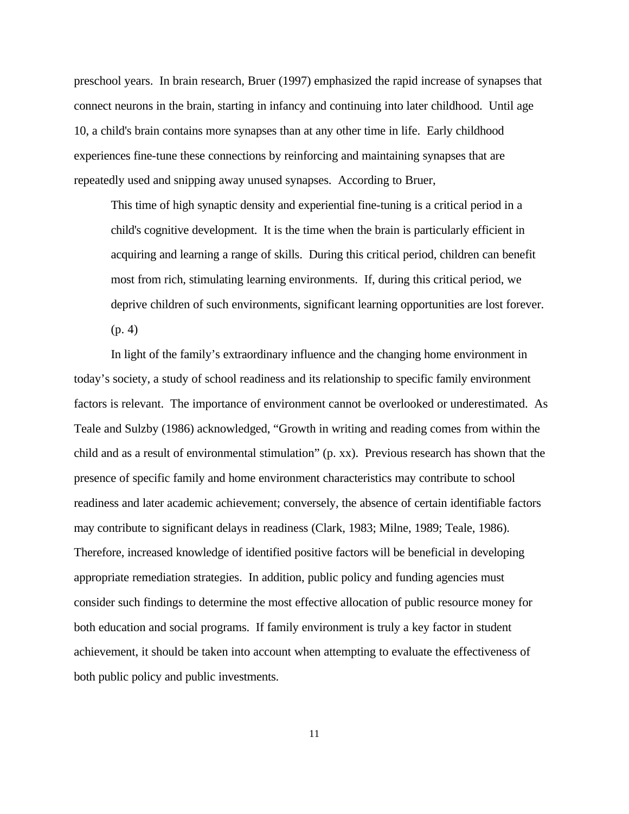preschool years. In brain research, Bruer (1997) emphasized the rapid increase of synapses that connect neurons in the brain, starting in infancy and continuing into later childhood. Until age 10, a child's brain contains more synapses than at any other time in life. Early childhood experiences fine-tune these connections by reinforcing and maintaining synapses that are repeatedly used and snipping away unused synapses. According to Bruer,

This time of high synaptic density and experiential fine-tuning is a critical period in a child's cognitive development. It is the time when the brain is particularly efficient in acquiring and learning a range of skills. During this critical period, children can benefit most from rich, stimulating learning environments. If, during this critical period, we deprive children of such environments, significant learning opportunities are lost forever. (p. 4)

In light of the family's extraordinary influence and the changing home environment in today's society, a study of school readiness and its relationship to specific family environment factors is relevant. The importance of environment cannot be overlooked or underestimated. As Teale and Sulzby (1986) acknowledged, "Growth in writing and reading comes from within the child and as a result of environmental stimulation" (p. xx). Previous research has shown that the presence of specific family and home environment characteristics may contribute to school readiness and later academic achievement; conversely, the absence of certain identifiable factors may contribute to significant delays in readiness (Clark, 1983; Milne, 1989; Teale, 1986). Therefore, increased knowledge of identified positive factors will be beneficial in developing appropriate remediation strategies. In addition, public policy and funding agencies must consider such findings to determine the most effective allocation of public resource money for both education and social programs. If family environment is truly a key factor in student achievement, it should be taken into account when attempting to evaluate the effectiveness of both public policy and public investments.

11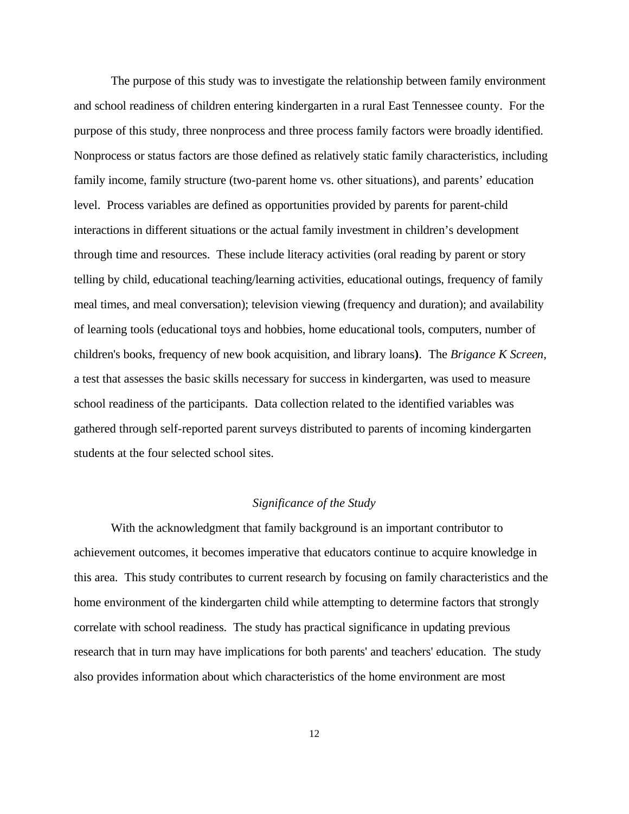The purpose of this study was to investigate the relationship between family environment and school readiness of children entering kindergarten in a rural East Tennessee county. For the purpose of this study, three nonprocess and three process family factors were broadly identified. Nonprocess or status factors are those defined as relatively static family characteristics, including family income, family structure (two-parent home vs. other situations), and parents' education level. Process variables are defined as opportunities provided by parents for parent-child interactions in different situations or the actual family investment in children's development through time and resources. These include literacy activities (oral reading by parent or story telling by child, educational teaching/learning activities, educational outings, frequency of family meal times, and meal conversation); television viewing (frequency and duration); and availability of learning tools (educational toys and hobbies, home educational tools, computers, number of children's books, frequency of new book acquisition, and library loans**)**. The *Brigance K Screen*, a test that assesses the basic skills necessary for success in kindergarten, was used to measure school readiness of the participants. Data collection related to the identified variables was gathered through self-reported parent surveys distributed to parents of incoming kindergarten students at the four selected school sites.

# *Significance of the Study*

With the acknowledgment that family background is an important contributor to achievement outcomes, it becomes imperative that educators continue to acquire knowledge in this area. This study contributes to current research by focusing on family characteristics and the home environment of the kindergarten child while attempting to determine factors that strongly correlate with school readiness. The study has practical significance in updating previous research that in turn may have implications for both parents' and teachers' education. The study also provides information about which characteristics of the home environment are most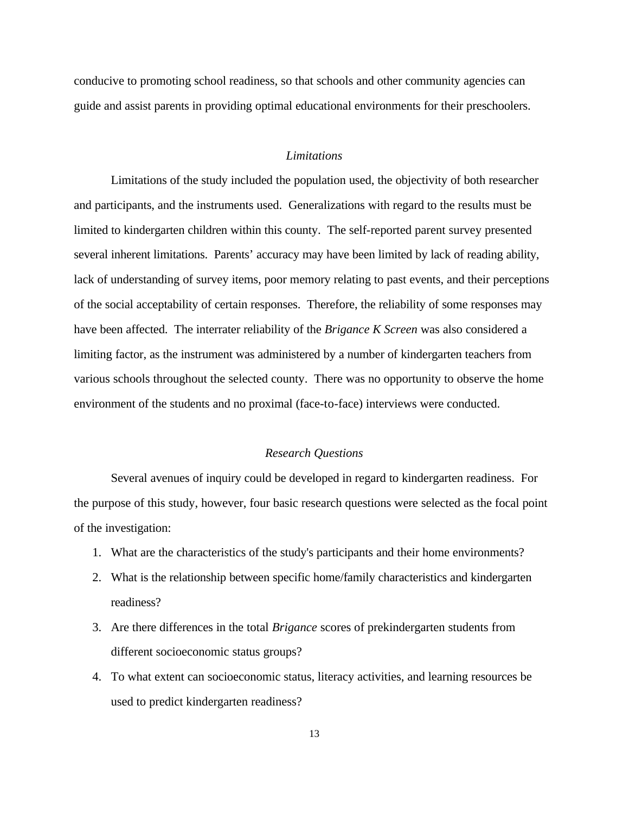conducive to promoting school readiness, so that schools and other community agencies can guide and assist parents in providing optimal educational environments for their preschoolers.

# *Limitations*

Limitations of the study included the population used, the objectivity of both researcher and participants, and the instruments used. Generalizations with regard to the results must be limited to kindergarten children within this county. The self-reported parent survey presented several inherent limitations. Parents' accuracy may have been limited by lack of reading ability, lack of understanding of survey items, poor memory relating to past events, and their perceptions of the social acceptability of certain responses. Therefore, the reliability of some responses may have been affected. The interrater reliability of the *Brigance K Screen* was also considered a limiting factor, as the instrument was administered by a number of kindergarten teachers from various schools throughout the selected county. There was no opportunity to observe the home environment of the students and no proximal (face-to-face) interviews were conducted.

### *Research Questions*

Several avenues of inquiry could be developed in regard to kindergarten readiness. For the purpose of this study, however, four basic research questions were selected as the focal point of the investigation:

- 1. What are the characteristics of the study's participants and their home environments?
- 2. What is the relationship between specific home/family characteristics and kindergarten readiness?
- 3. Are there differences in the total *Brigance* scores of prekindergarten students from different socioeconomic status groups?
- 4. To what extent can socioeconomic status, literacy activities, and learning resources be used to predict kindergarten readiness?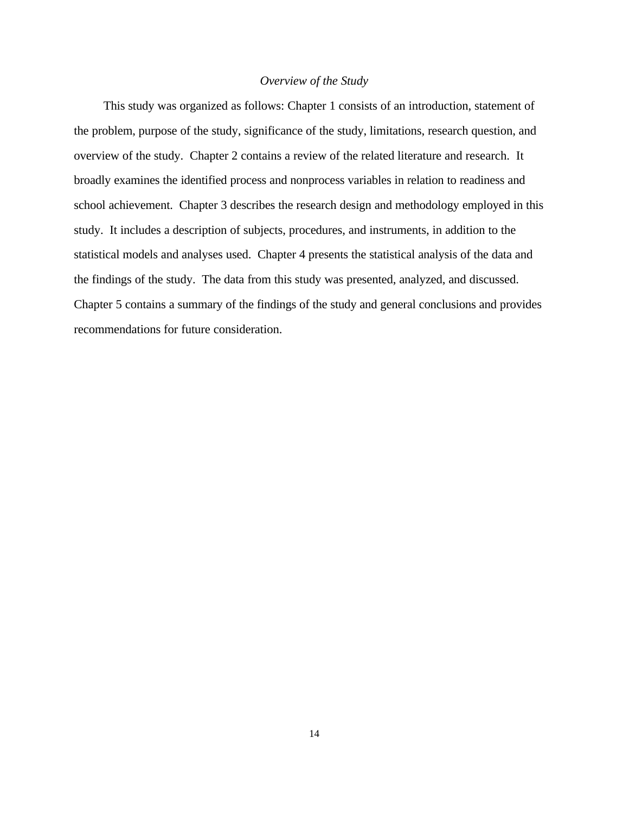### *Overview of the Study*

This study was organized as follows: Chapter 1 consists of an introduction, statement of the problem, purpose of the study, significance of the study, limitations, research question, and overview of the study. Chapter 2 contains a review of the related literature and research. It broadly examines the identified process and nonprocess variables in relation to readiness and school achievement. Chapter 3 describes the research design and methodology employed in this study. It includes a description of subjects, procedures, and instruments, in addition to the statistical models and analyses used. Chapter 4 presents the statistical analysis of the data and the findings of the study. The data from this study was presented, analyzed, and discussed. Chapter 5 contains a summary of the findings of the study and general conclusions and provides recommendations for future consideration.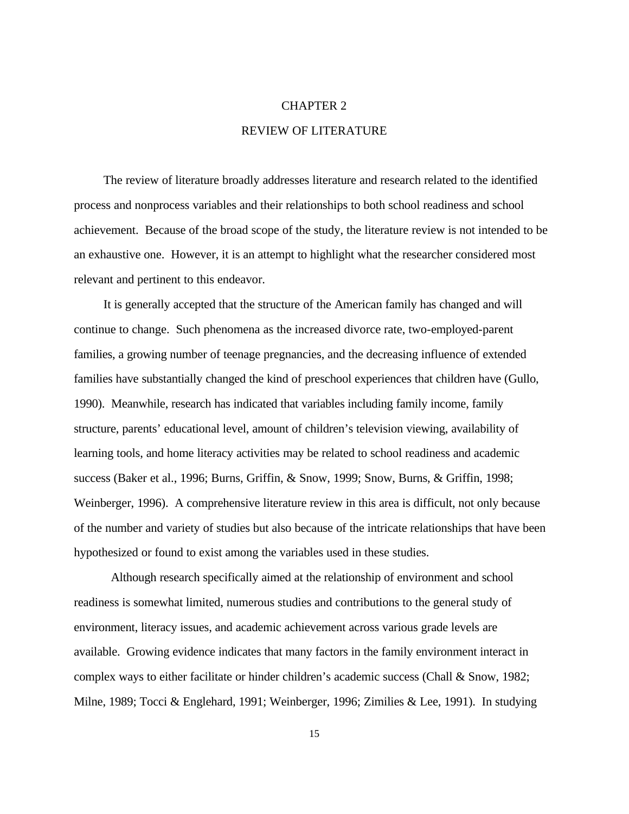# CHAPTER 2 REVIEW OF LITERATURE

The review of literature broadly addresses literature and research related to the identified process and nonprocess variables and their relationships to both school readiness and school achievement. Because of the broad scope of the study, the literature review is not intended to be an exhaustive one. However, it is an attempt to highlight what the researcher considered most relevant and pertinent to this endeavor.

It is generally accepted that the structure of the American family has changed and will continue to change. Such phenomena as the increased divorce rate, two-employed-parent families, a growing number of teenage pregnancies, and the decreasing influence of extended families have substantially changed the kind of preschool experiences that children have (Gullo, 1990). Meanwhile, research has indicated that variables including family income, family structure, parents' educational level, amount of children's television viewing, availability of learning tools, and home literacy activities may be related to school readiness and academic success (Baker et al., 1996; Burns, Griffin, & Snow, 1999; Snow, Burns, & Griffin, 1998; Weinberger, 1996). A comprehensive literature review in this area is difficult, not only because of the number and variety of studies but also because of the intricate relationships that have been hypothesized or found to exist among the variables used in these studies.

Although research specifically aimed at the relationship of environment and school readiness is somewhat limited, numerous studies and contributions to the general study of environment, literacy issues, and academic achievement across various grade levels are available. Growing evidence indicates that many factors in the family environment interact in complex ways to either facilitate or hinder children's academic success (Chall & Snow, 1982; Milne, 1989; Tocci & Englehard, 1991; Weinberger, 1996; Zimilies & Lee, 1991). In studying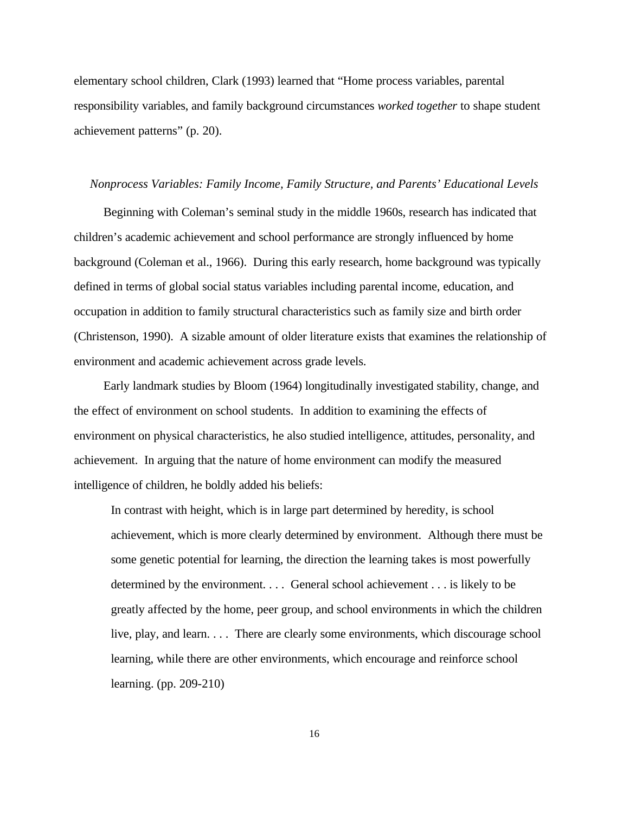elementary school children, Clark (1993) learned that "Home process variables, parental responsibility variables, and family background circumstances *worked together* to shape student achievement patterns" (p. 20).

### *Nonprocess Variables: Family Income, Family Structure, and Parents' Educational Levels*

Beginning with Coleman's seminal study in the middle 1960s, research has indicated that children's academic achievement and school performance are strongly influenced by home background (Coleman et al., 1966). During this early research, home background was typically defined in terms of global social status variables including parental income, education, and occupation in addition to family structural characteristics such as family size and birth order (Christenson, 1990). A sizable amount of older literature exists that examines the relationship of environment and academic achievement across grade levels.

Early landmark studies by Bloom (1964) longitudinally investigated stability, change, and the effect of environment on school students. In addition to examining the effects of environment on physical characteristics, he also studied intelligence, attitudes, personality, and achievement. In arguing that the nature of home environment can modify the measured intelligence of children, he boldly added his beliefs:

In contrast with height, which is in large part determined by heredity, is school achievement, which is more clearly determined by environment. Although there must be some genetic potential for learning, the direction the learning takes is most powerfully determined by the environment. . . . General school achievement . . . is likely to be greatly affected by the home, peer group, and school environments in which the children live, play, and learn. . . . There are clearly some environments, which discourage school learning, while there are other environments, which encourage and reinforce school learning. (pp. 209-210)

16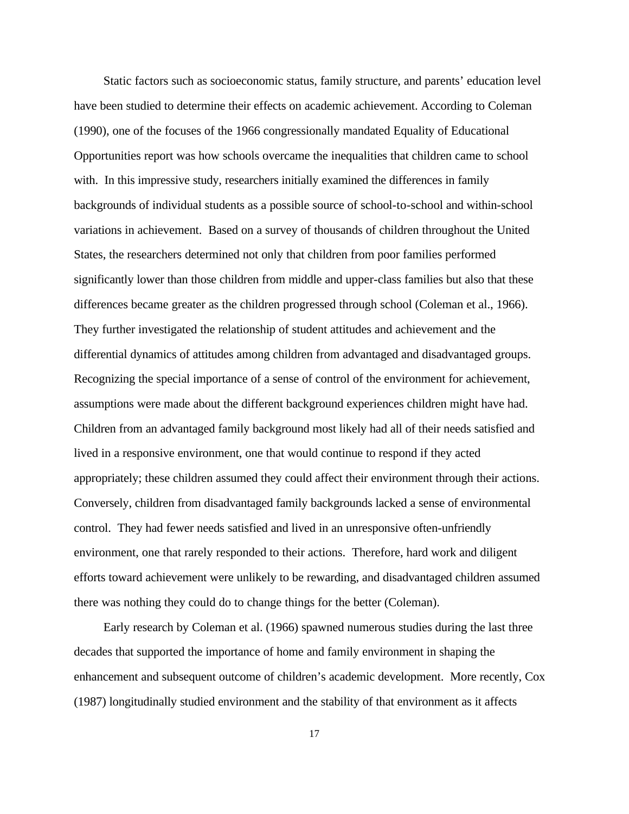Static factors such as socioeconomic status, family structure, and parents' education level have been studied to determine their effects on academic achievement. According to Coleman (1990), one of the focuses of the 1966 congressionally mandated Equality of Educational Opportunities report was how schools overcame the inequalities that children came to school with. In this impressive study, researchers initially examined the differences in family backgrounds of individual students as a possible source of school-to-school and within-school variations in achievement. Based on a survey of thousands of children throughout the United States, the researchers determined not only that children from poor families performed significantly lower than those children from middle and upper-class families but also that these differences became greater as the children progressed through school (Coleman et al., 1966). They further investigated the relationship of student attitudes and achievement and the differential dynamics of attitudes among children from advantaged and disadvantaged groups. Recognizing the special importance of a sense of control of the environment for achievement, assumptions were made about the different background experiences children might have had. Children from an advantaged family background most likely had all of their needs satisfied and lived in a responsive environment, one that would continue to respond if they acted appropriately; these children assumed they could affect their environment through their actions. Conversely, children from disadvantaged family backgrounds lacked a sense of environmental control. They had fewer needs satisfied and lived in an unresponsive often-unfriendly environment, one that rarely responded to their actions. Therefore, hard work and diligent efforts toward achievement were unlikely to be rewarding, and disadvantaged children assumed there was nothing they could do to change things for the better (Coleman).

Early research by Coleman et al. (1966) spawned numerous studies during the last three decades that supported the importance of home and family environment in shaping the enhancement and subsequent outcome of children's academic development. More recently, Cox (1987) longitudinally studied environment and the stability of that environment as it affects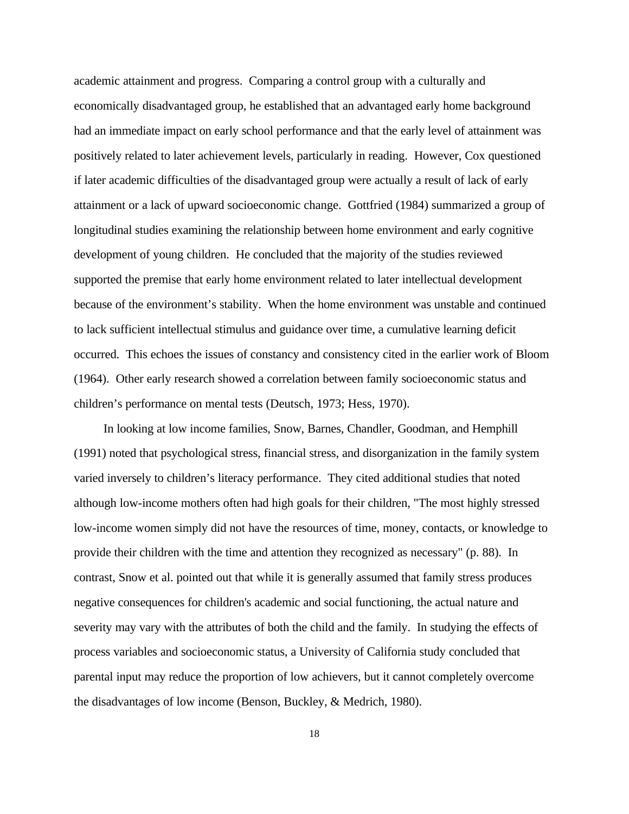academic attainment and progress. Comparing a control group with a culturally and economically disadvantaged group, he established that an advantaged early home background had an immediate impact on early school performance and that the early level of attainment was positively related to later achievement levels, particularly in reading. However, Cox questioned if later academic difficulties of the disadvantaged group were actually a result of lack of early attainment or a lack of upward socioeconomic change. Gottfried (1984) summarized a group of longitudinal studies examining the relationship between home environment and early cognitive development of young children. He concluded that the majority of the studies reviewed supported the premise that early home environment related to later intellectual development because of the environment's stability. When the home environment was unstable and continued to lack sufficient intellectual stimulus and guidance over time, a cumulative learning deficit occurred. This echoes the issues of constancy and consistency cited in the earlier work of Bloom (1964). Other early research showed a correlation between family socioeconomic status and children's performance on mental tests (Deutsch, 1973; Hess, 1970).

In looking at low income families, Snow, Barnes, Chandler, Goodman, and Hemphill (1991) noted that psychological stress, financial stress, and disorganization in the family system varied inversely to children's literacy performance. They cited additional studies that noted although low-income mothers often had high goals for their children, "The most highly stressed low-income women simply did not have the resources of time, money, contacts, or knowledge to provide their children with the time and attention they recognized as necessary" (p. 88). In contrast, Snow et al. pointed out that while it is generally assumed that family stress produces negative consequences for children's academic and social functioning, the actual nature and severity may vary with the attributes of both the child and the family. In studying the effects of process variables and socioeconomic status, a University of California study concluded that parental input may reduce the proportion of low achievers, but it cannot completely overcome the disadvantages of low income (Benson, Buckley, & Medrich, 1980).

18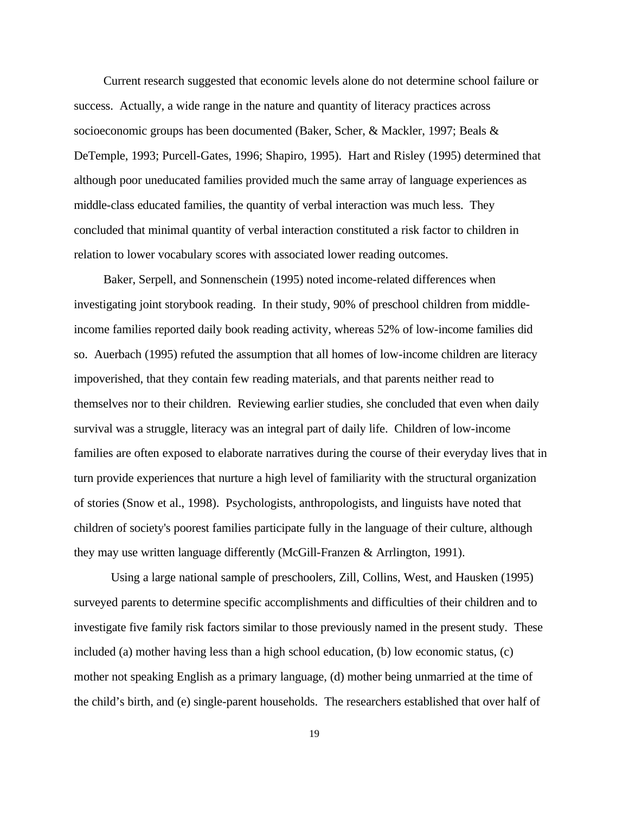Current research suggested that economic levels alone do not determine school failure or success. Actually, a wide range in the nature and quantity of literacy practices across socioeconomic groups has been documented (Baker, Scher, & Mackler, 1997; Beals & DeTemple, 1993; Purcell-Gates, 1996; Shapiro, 1995). Hart and Risley (1995) determined that although poor uneducated families provided much the same array of language experiences as middle-class educated families, the quantity of verbal interaction was much less. They concluded that minimal quantity of verbal interaction constituted a risk factor to children in relation to lower vocabulary scores with associated lower reading outcomes.

Baker, Serpell, and Sonnenschein (1995) noted income-related differences when investigating joint storybook reading. In their study, 90% of preschool children from middleincome families reported daily book reading activity, whereas 52% of low-income families did so. Auerbach (1995) refuted the assumption that all homes of low-income children are literacy impoverished, that they contain few reading materials, and that parents neither read to themselves nor to their children. Reviewing earlier studies, she concluded that even when daily survival was a struggle, literacy was an integral part of daily life. Children of low-income families are often exposed to elaborate narratives during the course of their everyday lives that in turn provide experiences that nurture a high level of familiarity with the structural organization of stories (Snow et al., 1998). Psychologists, anthropologists, and linguists have noted that children of society's poorest families participate fully in the language of their culture, although they may use written language differently (McGill-Franzen & Arrlington, 1991).

Using a large national sample of preschoolers, Zill, Collins, West, and Hausken (1995) surveyed parents to determine specific accomplishments and difficulties of their children and to investigate five family risk factors similar to those previously named in the present study. These included (a) mother having less than a high school education, (b) low economic status, (c) mother not speaking English as a primary language, (d) mother being unmarried at the time of the child's birth, and (e) single-parent households. The researchers established that over half of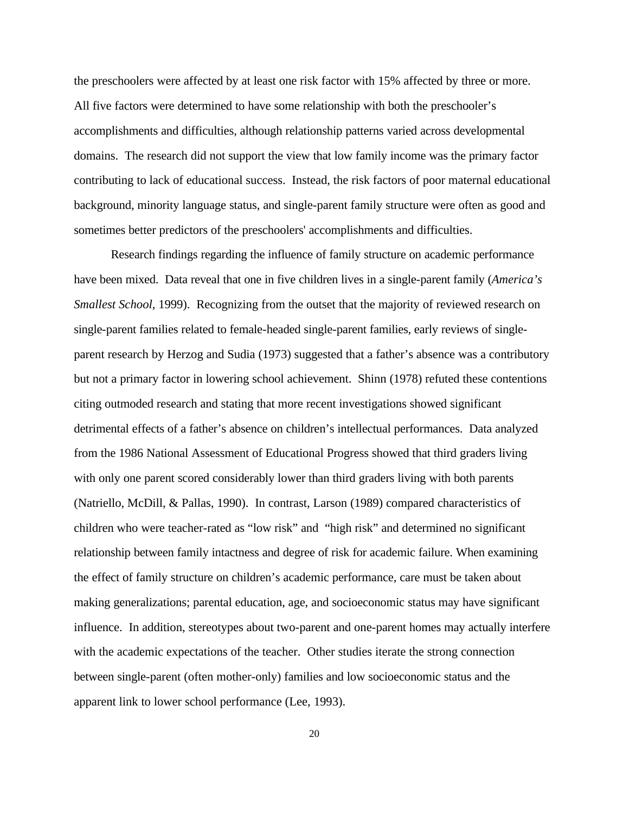the preschoolers were affected by at least one risk factor with 15% affected by three or more. All five factors were determined to have some relationship with both the preschooler's accomplishments and difficulties, although relationship patterns varied across developmental domains. The research did not support the view that low family income was the primary factor contributing to lack of educational success. Instead, the risk factors of poor maternal educational background, minority language status, and single-parent family structure were often as good and sometimes better predictors of the preschoolers' accomplishments and difficulties.

Research findings regarding the influence of family structure on academic performance have been mixed. Data reveal that one in five children lives in a single-parent family (*America's Smallest School*, 1999). Recognizing from the outset that the majority of reviewed research on single-parent families related to female-headed single-parent families, early reviews of singleparent research by Herzog and Sudia (1973) suggested that a father's absence was a contributory but not a primary factor in lowering school achievement. Shinn (1978) refuted these contentions citing outmoded research and stating that more recent investigations showed significant detrimental effects of a father's absence on children's intellectual performances. Data analyzed from the 1986 National Assessment of Educational Progress showed that third graders living with only one parent scored considerably lower than third graders living with both parents (Natriello, McDill, & Pallas, 1990). In contrast, Larson (1989) compared characteristics of children who were teacher-rated as "low risk" and "high risk" and determined no significant relationship between family intactness and degree of risk for academic failure. When examining the effect of family structure on children's academic performance, care must be taken about making generalizations; parental education, age, and socioeconomic status may have significant influence. In addition, stereotypes about two-parent and one-parent homes may actually interfere with the academic expectations of the teacher. Other studies iterate the strong connection between single-parent (often mother-only) families and low socioeconomic status and the apparent link to lower school performance (Lee, 1993).

20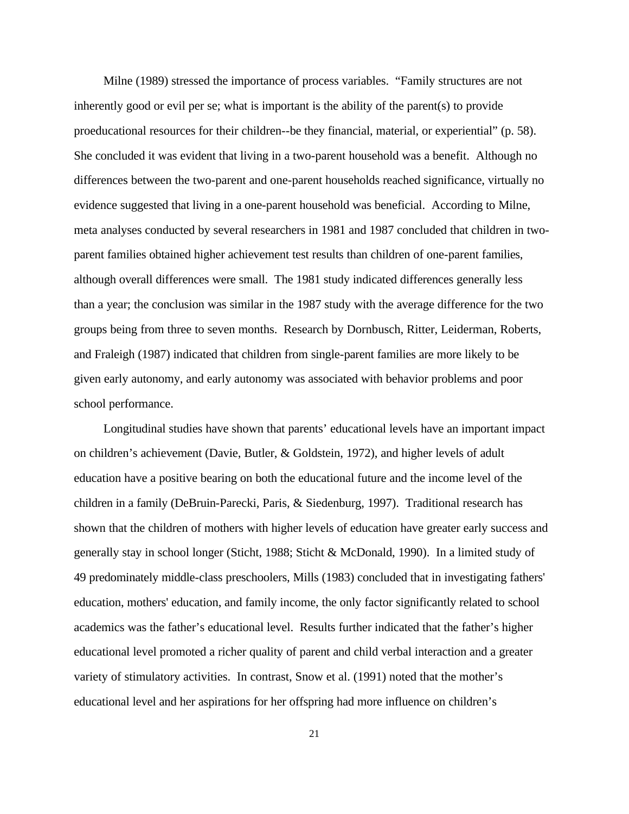Milne (1989) stressed the importance of process variables. "Family structures are not inherently good or evil per se; what is important is the ability of the parent(s) to provide proeducational resources for their children--be they financial, material, or experiential" (p. 58). She concluded it was evident that living in a two-parent household was a benefit. Although no differences between the two-parent and one-parent households reached significance, virtually no evidence suggested that living in a one-parent household was beneficial. According to Milne, meta analyses conducted by several researchers in 1981 and 1987 concluded that children in twoparent families obtained higher achievement test results than children of one-parent families, although overall differences were small. The 1981 study indicated differences generally less than a year; the conclusion was similar in the 1987 study with the average difference for the two groups being from three to seven months. Research by Dornbusch, Ritter, Leiderman, Roberts, and Fraleigh (1987) indicated that children from single-parent families are more likely to be given early autonomy, and early autonomy was associated with behavior problems and poor school performance.

Longitudinal studies have shown that parents' educational levels have an important impact on children's achievement (Davie, Butler, & Goldstein, 1972), and higher levels of adult education have a positive bearing on both the educational future and the income level of the children in a family (DeBruin-Parecki, Paris, & Siedenburg, 1997). Traditional research has shown that the children of mothers with higher levels of education have greater early success and generally stay in school longer (Sticht, 1988; Sticht & McDonald, 1990). In a limited study of 49 predominately middle-class preschoolers, Mills (1983) concluded that in investigating fathers' education, mothers' education, and family income, the only factor significantly related to school academics was the father's educational level. Results further indicated that the father's higher educational level promoted a richer quality of parent and child verbal interaction and a greater variety of stimulatory activities. In contrast, Snow et al. (1991) noted that the mother's educational level and her aspirations for her offspring had more influence on children's

21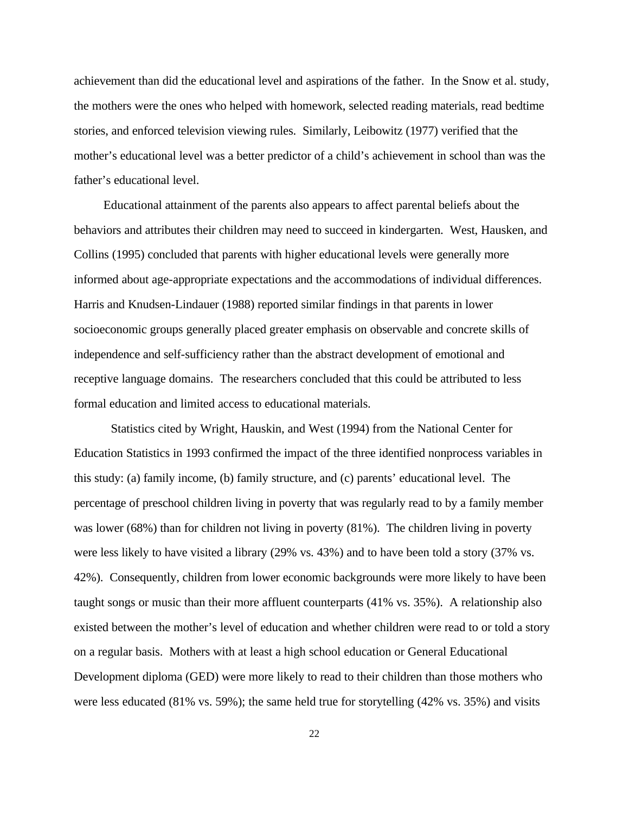achievement than did the educational level and aspirations of the father. In the Snow et al. study, the mothers were the ones who helped with homework, selected reading materials, read bedtime stories, and enforced television viewing rules. Similarly, Leibowitz (1977) verified that the mother's educational level was a better predictor of a child's achievement in school than was the father's educational level.

Educational attainment of the parents also appears to affect parental beliefs about the behaviors and attributes their children may need to succeed in kindergarten. West, Hausken, and Collins (1995) concluded that parents with higher educational levels were generally more informed about age-appropriate expectations and the accommodations of individual differences. Harris and Knudsen-Lindauer (1988) reported similar findings in that parents in lower socioeconomic groups generally placed greater emphasis on observable and concrete skills of independence and self-sufficiency rather than the abstract development of emotional and receptive language domains. The researchers concluded that this could be attributed to less formal education and limited access to educational materials.

Statistics cited by Wright, Hauskin, and West (1994) from the National Center for Education Statistics in 1993 confirmed the impact of the three identified nonprocess variables in this study: (a) family income, (b) family structure, and (c) parents' educational level. The percentage of preschool children living in poverty that was regularly read to by a family member was lower (68%) than for children not living in poverty (81%). The children living in poverty were less likely to have visited a library (29% vs. 43%) and to have been told a story (37% vs. 42%). Consequently, children from lower economic backgrounds were more likely to have been taught songs or music than their more affluent counterparts (41% vs. 35%). A relationship also existed between the mother's level of education and whether children were read to or told a story on a regular basis. Mothers with at least a high school education or General Educational Development diploma (GED) were more likely to read to their children than those mothers who were less educated (81% vs. 59%); the same held true for storytelling (42% vs. 35%) and visits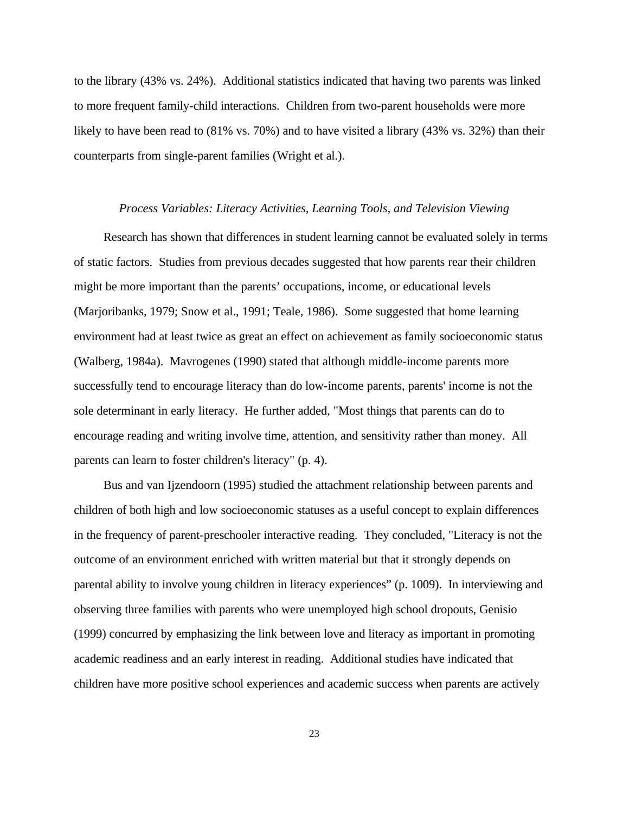to the library (43% vs. 24%). Additional statistics indicated that having two parents was linked to more frequent family-child interactions. Children from two-parent households were more likely to have been read to (81% vs. 70%) and to have visited a library (43% vs. 32%) than their counterparts from single-parent families (Wright et al.).

### *Process Variables: Literacy Activities, Learning Tools, and Television Viewing*

Research has shown that differences in student learning cannot be evaluated solely in terms of static factors. Studies from previous decades suggested that how parents rear their children might be more important than the parents' occupations, income, or educational levels (Marjoribanks, 1979; Snow et al., 1991; Teale, 1986). Some suggested that home learning environment had at least twice as great an effect on achievement as family socioeconomic status (Walberg, 1984a). Mavrogenes (1990) stated that although middle-income parents more successfully tend to encourage literacy than do low-income parents, parents' income is not the sole determinant in early literacy. He further added, "Most things that parents can do to encourage reading and writing involve time, attention, and sensitivity rather than money. All parents can learn to foster children's literacy" (p. 4).

Bus and van Ijzendoorn (1995) studied the attachment relationship between parents and children of both high and low socioeconomic statuses as a useful concept to explain differences in the frequency of parent-preschooler interactive reading. They concluded, "Literacy is not the outcome of an environment enriched with written material but that it strongly depends on parental ability to involve young children in literacy experiences" (p. 1009). In interviewing and observing three families with parents who were unemployed high school dropouts, Genisio (1999) concurred by emphasizing the link between love and literacy as important in promoting academic readiness and an early interest in reading. Additional studies have indicated that children have more positive school experiences and academic success when parents are actively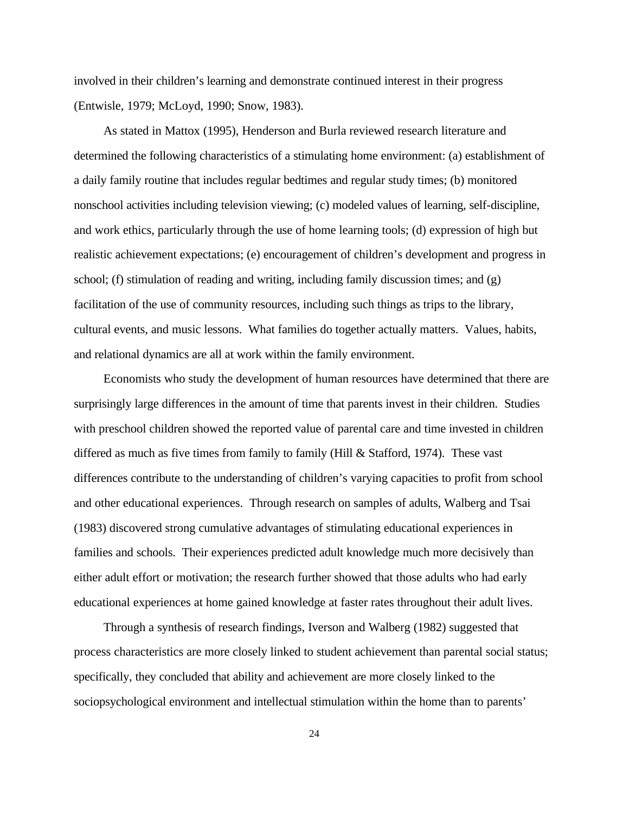involved in their children's learning and demonstrate continued interest in their progress (Entwisle, 1979; McLoyd, 1990; Snow, 1983).

As stated in Mattox (1995), Henderson and Burla reviewed research literature and determined the following characteristics of a stimulating home environment: (a) establishment of a daily family routine that includes regular bedtimes and regular study times; (b) monitored nonschool activities including television viewing; (c) modeled values of learning, self-discipline, and work ethics, particularly through the use of home learning tools; (d) expression of high but realistic achievement expectations; (e) encouragement of children's development and progress in school; (f) stimulation of reading and writing, including family discussion times; and (g) facilitation of the use of community resources, including such things as trips to the library, cultural events, and music lessons. What families do together actually matters. Values, habits, and relational dynamics are all at work within the family environment.

Economists who study the development of human resources have determined that there are surprisingly large differences in the amount of time that parents invest in their children. Studies with preschool children showed the reported value of parental care and time invested in children differed as much as five times from family to family (Hill & Stafford, 1974). These vast differences contribute to the understanding of children's varying capacities to profit from school and other educational experiences. Through research on samples of adults, Walberg and Tsai (1983) discovered strong cumulative advantages of stimulating educational experiences in families and schools. Their experiences predicted adult knowledge much more decisively than either adult effort or motivation; the research further showed that those adults who had early educational experiences at home gained knowledge at faster rates throughout their adult lives.

Through a synthesis of research findings, Iverson and Walberg (1982) suggested that process characteristics are more closely linked to student achievement than parental social status; specifically, they concluded that ability and achievement are more closely linked to the sociopsychological environment and intellectual stimulation within the home than to parents'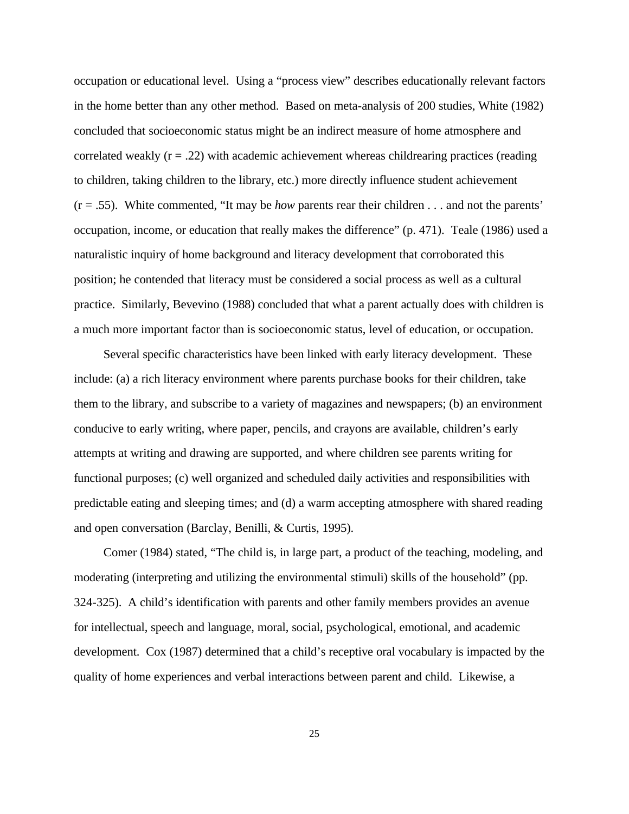occupation or educational level. Using a "process view" describes educationally relevant factors in the home better than any other method. Based on meta-analysis of 200 studies, White (1982) concluded that socioeconomic status might be an indirect measure of home atmosphere and correlated weakly  $(r = .22)$  with academic achievement whereas childrearing practices (reading to children, taking children to the library, etc.) more directly influence student achievement (r = .55). White commented, "It may be *how* parents rear their children . . . and not the parents' occupation, income, or education that really makes the difference" (p. 471). Teale (1986) used a naturalistic inquiry of home background and literacy development that corroborated this position; he contended that literacy must be considered a social process as well as a cultural practice. Similarly, Bevevino (1988) concluded that what a parent actually does with children is a much more important factor than is socioeconomic status, level of education, or occupation.

Several specific characteristics have been linked with early literacy development. These include: (a) a rich literacy environment where parents purchase books for their children, take them to the library, and subscribe to a variety of magazines and newspapers; (b) an environment conducive to early writing, where paper, pencils, and crayons are available, children's early attempts at writing and drawing are supported, and where children see parents writing for functional purposes; (c) well organized and scheduled daily activities and responsibilities with predictable eating and sleeping times; and (d) a warm accepting atmosphere with shared reading and open conversation (Barclay, Benilli, & Curtis, 1995).

Comer (1984) stated, "The child is, in large part, a product of the teaching, modeling, and moderating (interpreting and utilizing the environmental stimuli) skills of the household" (pp. 324-325). A child's identification with parents and other family members provides an avenue for intellectual, speech and language, moral, social, psychological, emotional, and academic development. Cox (1987) determined that a child's receptive oral vocabulary is impacted by the quality of home experiences and verbal interactions between parent and child. Likewise, a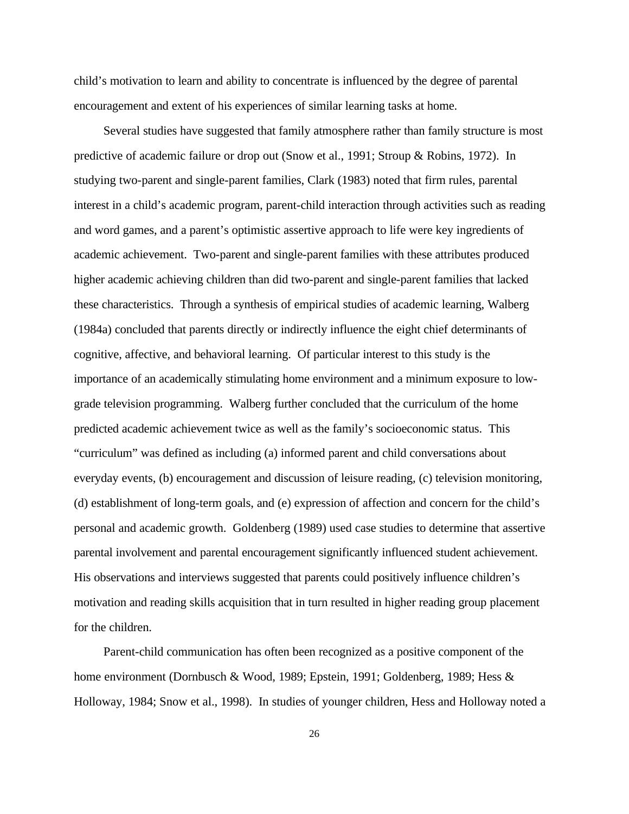child's motivation to learn and ability to concentrate is influenced by the degree of parental encouragement and extent of his experiences of similar learning tasks at home.

Several studies have suggested that family atmosphere rather than family structure is most predictive of academic failure or drop out (Snow et al., 1991; Stroup & Robins, 1972). In studying two-parent and single-parent families, Clark (1983) noted that firm rules, parental interest in a child's academic program, parent-child interaction through activities such as reading and word games, and a parent's optimistic assertive approach to life were key ingredients of academic achievement. Two-parent and single-parent families with these attributes produced higher academic achieving children than did two-parent and single-parent families that lacked these characteristics. Through a synthesis of empirical studies of academic learning, Walberg (1984a) concluded that parents directly or indirectly influence the eight chief determinants of cognitive, affective, and behavioral learning. Of particular interest to this study is the importance of an academically stimulating home environment and a minimum exposure to lowgrade television programming. Walberg further concluded that the curriculum of the home predicted academic achievement twice as well as the family's socioeconomic status. This "curriculum" was defined as including (a) informed parent and child conversations about everyday events, (b) encouragement and discussion of leisure reading, (c) television monitoring, (d) establishment of long-term goals, and (e) expression of affection and concern for the child's personal and academic growth. Goldenberg (1989) used case studies to determine that assertive parental involvement and parental encouragement significantly influenced student achievement. His observations and interviews suggested that parents could positively influence children's motivation and reading skills acquisition that in turn resulted in higher reading group placement for the children.

Parent-child communication has often been recognized as a positive component of the home environment (Dornbusch & Wood, 1989; Epstein, 1991; Goldenberg, 1989; Hess & Holloway, 1984; Snow et al., 1998). In studies of younger children, Hess and Holloway noted a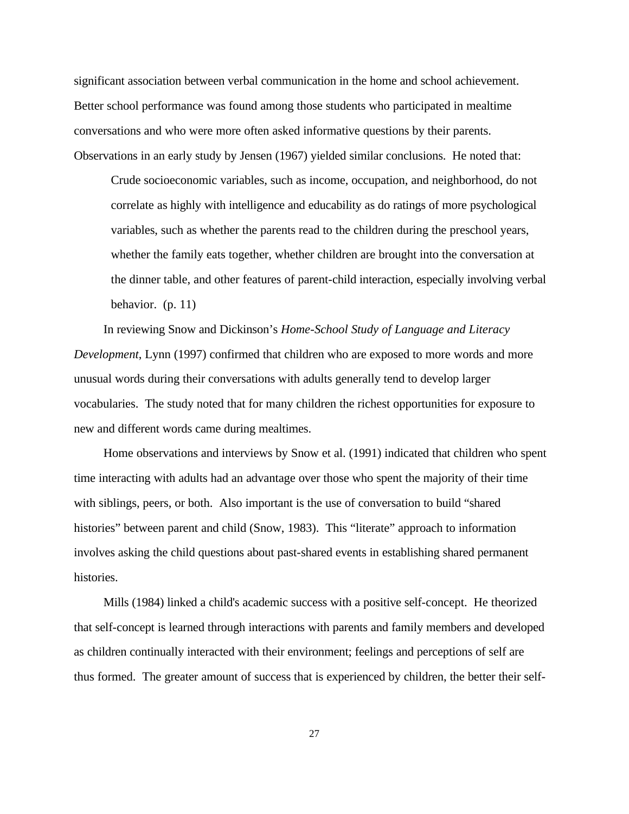significant association between verbal communication in the home and school achievement. Better school performance was found among those students who participated in mealtime conversations and who were more often asked informative questions by their parents. Observations in an early study by Jensen (1967) yielded similar conclusions. He noted that:

Crude socioeconomic variables, such as income, occupation, and neighborhood, do not correlate as highly with intelligence and educability as do ratings of more psychological variables, such as whether the parents read to the children during the preschool years, whether the family eats together, whether children are brought into the conversation at the dinner table, and other features of parent-child interaction, especially involving verbal behavior. (p. 11)

In reviewing Snow and Dickinson's *Home-School Study of Language and Literacy Development*, Lynn (1997) confirmed that children who are exposed to more words and more unusual words during their conversations with adults generally tend to develop larger vocabularies. The study noted that for many children the richest opportunities for exposure to new and different words came during mealtimes.

Home observations and interviews by Snow et al. (1991) indicated that children who spent time interacting with adults had an advantage over those who spent the majority of their time with siblings, peers, or both. Also important is the use of conversation to build "shared histories" between parent and child (Snow, 1983). This "literate" approach to information involves asking the child questions about past-shared events in establishing shared permanent histories.

Mills (1984) linked a child's academic success with a positive self-concept. He theorized that self-concept is learned through interactions with parents and family members and developed as children continually interacted with their environment; feelings and perceptions of self are thus formed. The greater amount of success that is experienced by children, the better their self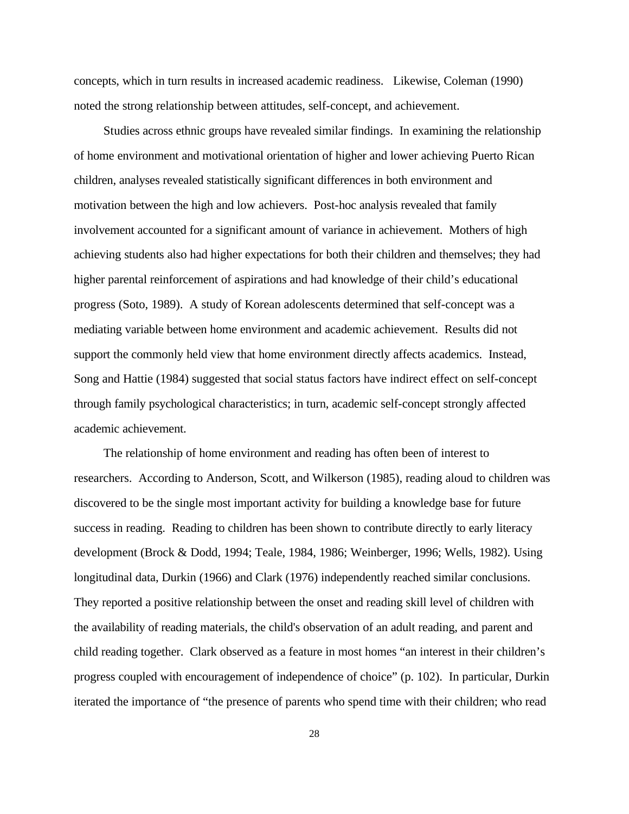concepts, which in turn results in increased academic readiness. Likewise, Coleman (1990) noted the strong relationship between attitudes, self-concept, and achievement.

Studies across ethnic groups have revealed similar findings. In examining the relationship of home environment and motivational orientation of higher and lower achieving Puerto Rican children, analyses revealed statistically significant differences in both environment and motivation between the high and low achievers. Post-hoc analysis revealed that family involvement accounted for a significant amount of variance in achievement. Mothers of high achieving students also had higher expectations for both their children and themselves; they had higher parental reinforcement of aspirations and had knowledge of their child's educational progress (Soto, 1989). A study of Korean adolescents determined that self-concept was a mediating variable between home environment and academic achievement. Results did not support the commonly held view that home environment directly affects academics. Instead, Song and Hattie (1984) suggested that social status factors have indirect effect on self-concept through family psychological characteristics; in turn, academic self-concept strongly affected academic achievement.

The relationship of home environment and reading has often been of interest to researchers. According to Anderson, Scott, and Wilkerson (1985), reading aloud to children was discovered to be the single most important activity for building a knowledge base for future success in reading. Reading to children has been shown to contribute directly to early literacy development (Brock & Dodd, 1994; Teale, 1984, 1986; Weinberger, 1996; Wells, 1982). Using longitudinal data, Durkin (1966) and Clark (1976) independently reached similar conclusions. They reported a positive relationship between the onset and reading skill level of children with the availability of reading materials, the child's observation of an adult reading, and parent and child reading together. Clark observed as a feature in most homes "an interest in their children's progress coupled with encouragement of independence of choice" (p. 102). In particular, Durkin iterated the importance of "the presence of parents who spend time with their children; who read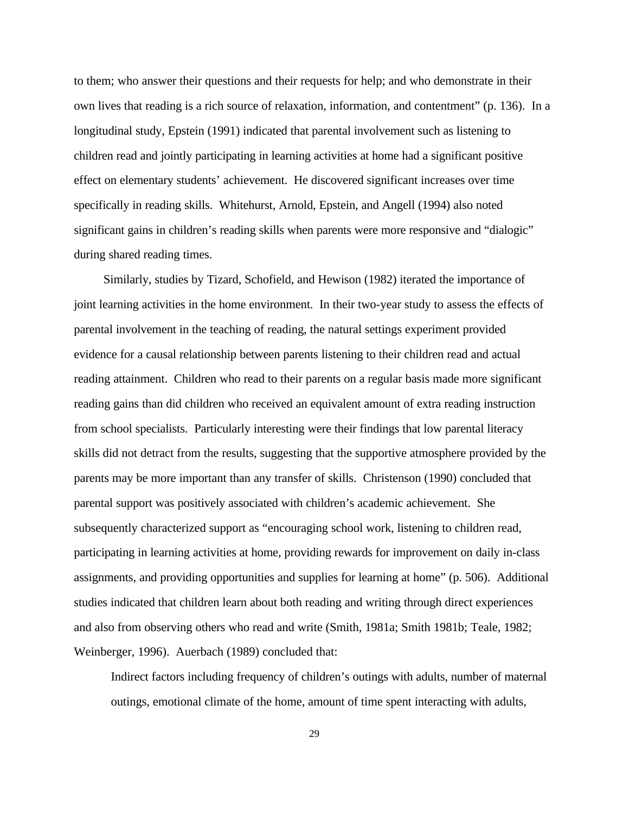to them; who answer their questions and their requests for help; and who demonstrate in their own lives that reading is a rich source of relaxation, information, and contentment" (p. 136). In a longitudinal study, Epstein (1991) indicated that parental involvement such as listening to children read and jointly participating in learning activities at home had a significant positive effect on elementary students' achievement. He discovered significant increases over time specifically in reading skills. Whitehurst, Arnold, Epstein, and Angell (1994) also noted significant gains in children's reading skills when parents were more responsive and "dialogic" during shared reading times.

Similarly, studies by Tizard, Schofield, and Hewison (1982) iterated the importance of joint learning activities in the home environment. In their two-year study to assess the effects of parental involvement in the teaching of reading, the natural settings experiment provided evidence for a causal relationship between parents listening to their children read and actual reading attainment. Children who read to their parents on a regular basis made more significant reading gains than did children who received an equivalent amount of extra reading instruction from school specialists. Particularly interesting were their findings that low parental literacy skills did not detract from the results, suggesting that the supportive atmosphere provided by the parents may be more important than any transfer of skills. Christenson (1990) concluded that parental support was positively associated with children's academic achievement. She subsequently characterized support as "encouraging school work, listening to children read, participating in learning activities at home, providing rewards for improvement on daily in-class assignments, and providing opportunities and supplies for learning at home" (p. 506). Additional studies indicated that children learn about both reading and writing through direct experiences and also from observing others who read and write (Smith, 1981a; Smith 1981b; Teale, 1982; Weinberger, 1996). Auerbach (1989) concluded that:

Indirect factors including frequency of children's outings with adults, number of maternal outings, emotional climate of the home, amount of time spent interacting with adults,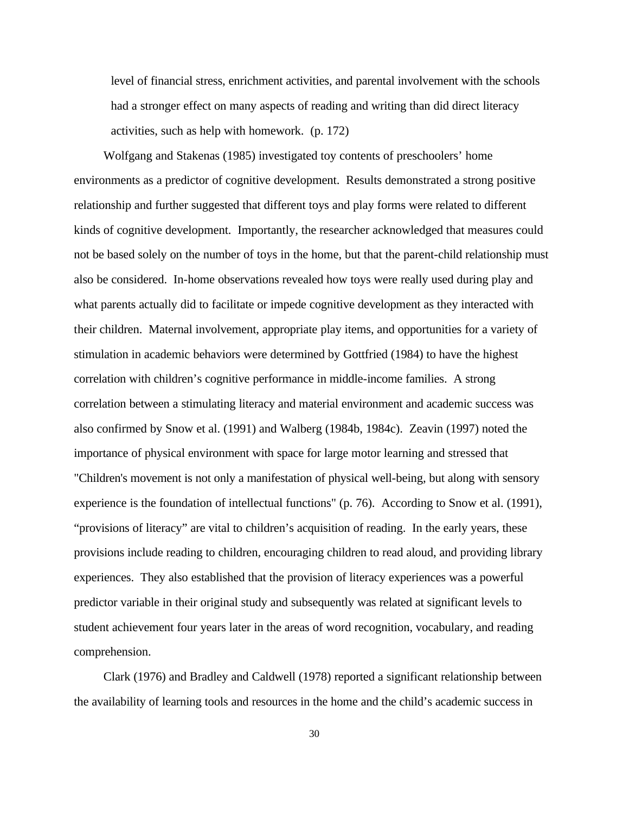level of financial stress, enrichment activities, and parental involvement with the schools had a stronger effect on many aspects of reading and writing than did direct literacy activities, such as help with homework. (p. 172)

Wolfgang and Stakenas (1985) investigated toy contents of preschoolers' home environments as a predictor of cognitive development. Results demonstrated a strong positive relationship and further suggested that different toys and play forms were related to different kinds of cognitive development. Importantly, the researcher acknowledged that measures could not be based solely on the number of toys in the home, but that the parent-child relationship must also be considered. In-home observations revealed how toys were really used during play and what parents actually did to facilitate or impede cognitive development as they interacted with their children. Maternal involvement, appropriate play items, and opportunities for a variety of stimulation in academic behaviors were determined by Gottfried (1984) to have the highest correlation with children's cognitive performance in middle-income families. A strong correlation between a stimulating literacy and material environment and academic success was also confirmed by Snow et al. (1991) and Walberg (1984b, 1984c). Zeavin (1997) noted the importance of physical environment with space for large motor learning and stressed that "Children's movement is not only a manifestation of physical well-being, but along with sensory experience is the foundation of intellectual functions" (p. 76). According to Snow et al. (1991), "provisions of literacy" are vital to children's acquisition of reading. In the early years, these provisions include reading to children, encouraging children to read aloud, and providing library experiences. They also established that the provision of literacy experiences was a powerful predictor variable in their original study and subsequently was related at significant levels to student achievement four years later in the areas of word recognition, vocabulary, and reading comprehension.

Clark (1976) and Bradley and Caldwell (1978) reported a significant relationship between the availability of learning tools and resources in the home and the child's academic success in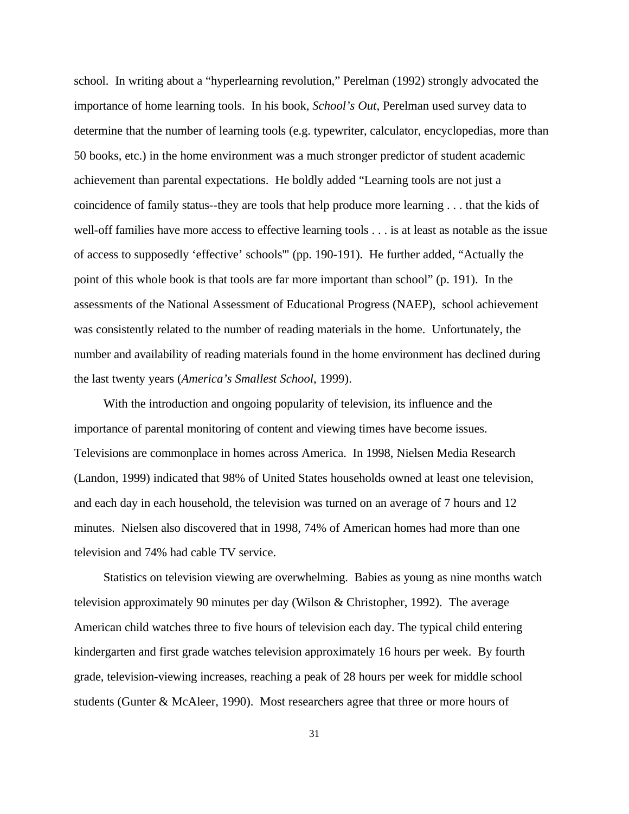school. In writing about a "hyperlearning revolution," Perelman (1992) strongly advocated the importance of home learning tools. In his book, *School's Out*, Perelman used survey data to determine that the number of learning tools (e.g. typewriter, calculator, encyclopedias, more than 50 books, etc.) in the home environment was a much stronger predictor of student academic achievement than parental expectations. He boldly added "Learning tools are not just a coincidence of family status--they are tools that help produce more learning . . . that the kids of well-off families have more access to effective learning tools . . . is at least as notable as the issue of access to supposedly 'effective' schools'" (pp. 190-191). He further added, "Actually the point of this whole book is that tools are far more important than school" (p. 191). In the assessments of the National Assessment of Educational Progress (NAEP), school achievement was consistently related to the number of reading materials in the home. Unfortunately, the number and availability of reading materials found in the home environment has declined during the last twenty years (*America's Smallest School*, 1999).

With the introduction and ongoing popularity of television, its influence and the importance of parental monitoring of content and viewing times have become issues. Televisions are commonplace in homes across America. In 1998, Nielsen Media Research (Landon, 1999) indicated that 98% of United States households owned at least one television, and each day in each household, the television was turned on an average of 7 hours and 12 minutes. Nielsen also discovered that in 1998, 74% of American homes had more than one television and 74% had cable TV service.

Statistics on television viewing are overwhelming. Babies as young as nine months watch television approximately 90 minutes per day (Wilson & Christopher, 1992). The average American child watches three to five hours of television each day. The typical child entering kindergarten and first grade watches television approximately 16 hours per week. By fourth grade, television-viewing increases, reaching a peak of 28 hours per week for middle school students (Gunter & McAleer, 1990). Most researchers agree that three or more hours of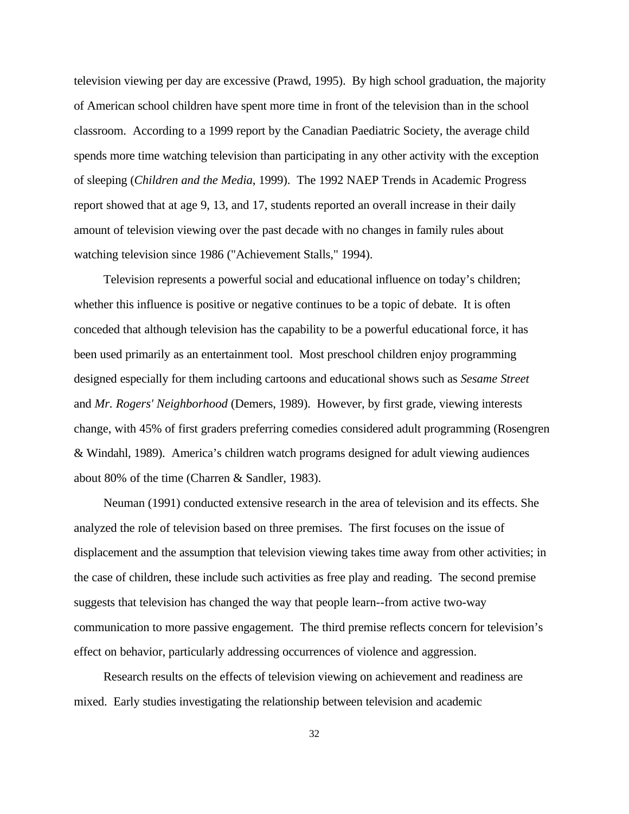television viewing per day are excessive (Prawd, 1995). By high school graduation, the majority of American school children have spent more time in front of the television than in the school classroom. According to a 1999 report by the Canadian Paediatric Society, the average child spends more time watching television than participating in any other activity with the exception of sleeping (*Children and the Media*, 1999). The 1992 NAEP Trends in Academic Progress report showed that at age 9, 13, and 17, students reported an overall increase in their daily amount of television viewing over the past decade with no changes in family rules about watching television since 1986 ("Achievement Stalls," 1994).

Television represents a powerful social and educational influence on today's children; whether this influence is positive or negative continues to be a topic of debate. It is often conceded that although television has the capability to be a powerful educational force, it has been used primarily as an entertainment tool. Most preschool children enjoy programming designed especially for them including cartoons and educational shows such as *Sesame Street* and *Mr. Rogers' Neighborhood* (Demers, 1989). However, by first grade, viewing interests change, with 45% of first graders preferring comedies considered adult programming (Rosengren & Windahl, 1989). America's children watch programs designed for adult viewing audiences about 80% of the time (Charren & Sandler, 1983).

Neuman (1991) conducted extensive research in the area of television and its effects. She analyzed the role of television based on three premises. The first focuses on the issue of displacement and the assumption that television viewing takes time away from other activities; in the case of children, these include such activities as free play and reading. The second premise suggests that television has changed the way that people learn--from active two-way communication to more passive engagement. The third premise reflects concern for television's effect on behavior, particularly addressing occurrences of violence and aggression.

Research results on the effects of television viewing on achievement and readiness are mixed. Early studies investigating the relationship between television and academic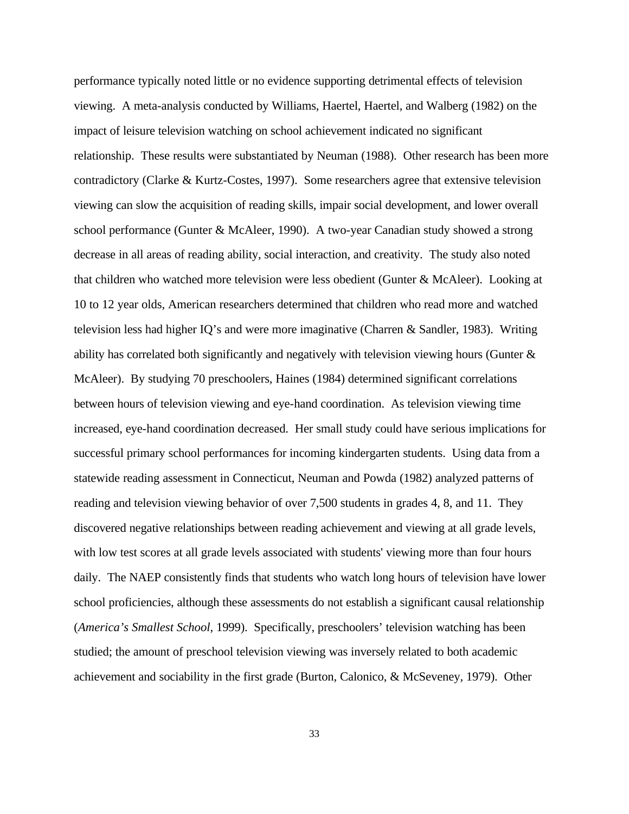performance typically noted little or no evidence supporting detrimental effects of television viewing. A meta-analysis conducted by Williams, Haertel, Haertel, and Walberg (1982) on the impact of leisure television watching on school achievement indicated no significant relationship. These results were substantiated by Neuman (1988). Other research has been more contradictory (Clarke & Kurtz-Costes, 1997). Some researchers agree that extensive television viewing can slow the acquisition of reading skills, impair social development, and lower overall school performance (Gunter & McAleer, 1990). A two-year Canadian study showed a strong decrease in all areas of reading ability, social interaction, and creativity. The study also noted that children who watched more television were less obedient (Gunter & McAleer). Looking at 10 to 12 year olds, American researchers determined that children who read more and watched television less had higher IQ's and were more imaginative (Charren & Sandler, 1983). Writing ability has correlated both significantly and negatively with television viewing hours (Gunter & McAleer). By studying 70 preschoolers, Haines (1984) determined significant correlations between hours of television viewing and eye-hand coordination. As television viewing time increased, eye-hand coordination decreased. Her small study could have serious implications for successful primary school performances for incoming kindergarten students. Using data from a statewide reading assessment in Connecticut, Neuman and Powda (1982) analyzed patterns of reading and television viewing behavior of over 7,500 students in grades 4, 8, and 11. They discovered negative relationships between reading achievement and viewing at all grade levels, with low test scores at all grade levels associated with students' viewing more than four hours daily. The NAEP consistently finds that students who watch long hours of television have lower school proficiencies, although these assessments do not establish a significant causal relationship (*America's Smallest School*, 1999). Specifically, preschoolers' television watching has been studied; the amount of preschool television viewing was inversely related to both academic achievement and sociability in the first grade (Burton, Calonico, & McSeveney, 1979). Other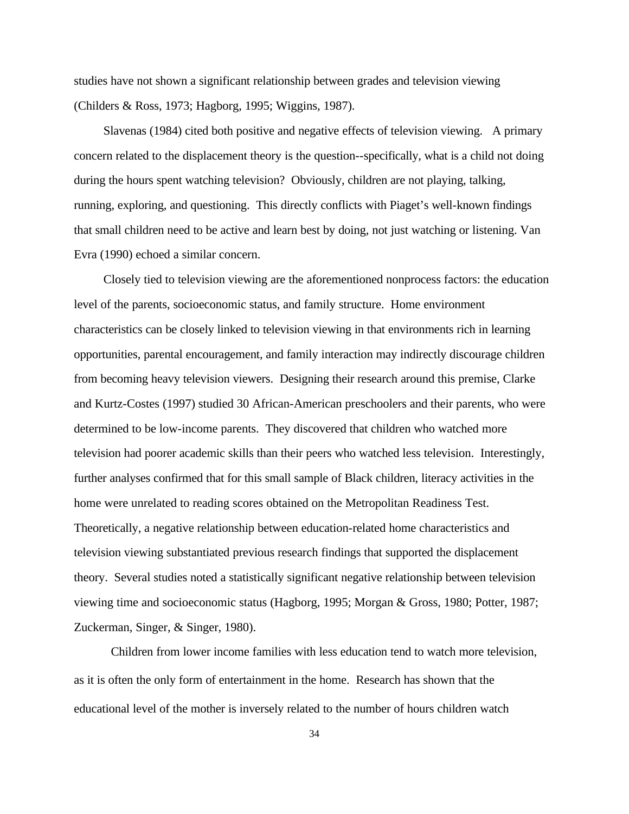studies have not shown a significant relationship between grades and television viewing (Childers & Ross, 1973; Hagborg, 1995; Wiggins, 1987).

Slavenas (1984) cited both positive and negative effects of television viewing. A primary concern related to the displacement theory is the question--specifically, what is a child not doing during the hours spent watching television? Obviously, children are not playing, talking, running, exploring, and questioning. This directly conflicts with Piaget's well-known findings that small children need to be active and learn best by doing, not just watching or listening. Van Evra (1990) echoed a similar concern.

Closely tied to television viewing are the aforementioned nonprocess factors: the education level of the parents, socioeconomic status, and family structure. Home environment characteristics can be closely linked to television viewing in that environments rich in learning opportunities, parental encouragement, and family interaction may indirectly discourage children from becoming heavy television viewers. Designing their research around this premise, Clarke and Kurtz-Costes (1997) studied 30 African-American preschoolers and their parents, who were determined to be low-income parents. They discovered that children who watched more television had poorer academic skills than their peers who watched less television. Interestingly, further analyses confirmed that for this small sample of Black children, literacy activities in the home were unrelated to reading scores obtained on the Metropolitan Readiness Test. Theoretically, a negative relationship between education-related home characteristics and television viewing substantiated previous research findings that supported the displacement theory. Several studies noted a statistically significant negative relationship between television viewing time and socioeconomic status (Hagborg, 1995; Morgan & Gross, 1980; Potter, 1987; Zuckerman, Singer, & Singer, 1980).

Children from lower income families with less education tend to watch more television, as it is often the only form of entertainment in the home. Research has shown that the educational level of the mother is inversely related to the number of hours children watch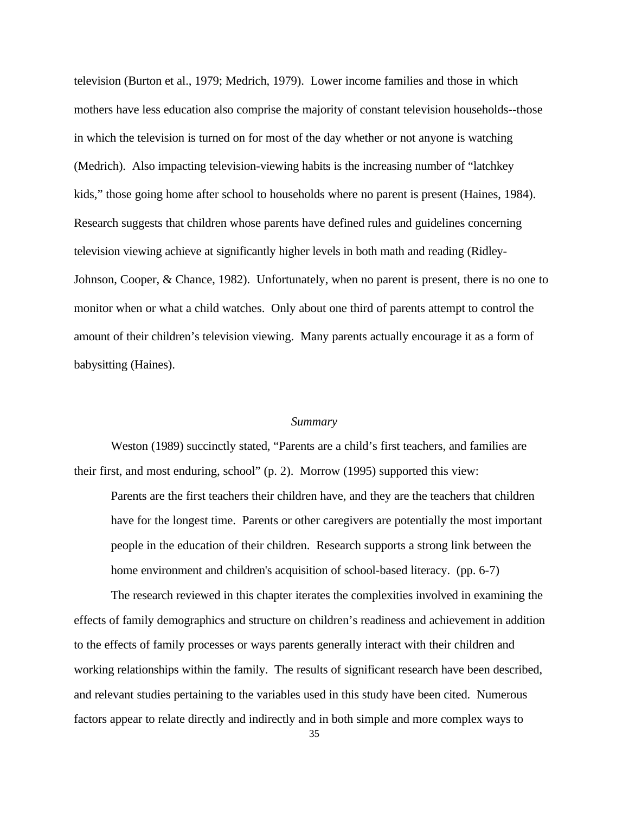television (Burton et al., 1979; Medrich, 1979). Lower income families and those in which mothers have less education also comprise the majority of constant television households--those in which the television is turned on for most of the day whether or not anyone is watching (Medrich). Also impacting television-viewing habits is the increasing number of "latchkey kids," those going home after school to households where no parent is present (Haines, 1984). Research suggests that children whose parents have defined rules and guidelines concerning television viewing achieve at significantly higher levels in both math and reading (Ridley-Johnson, Cooper, & Chance, 1982). Unfortunately, when no parent is present, there is no one to monitor when or what a child watches. Only about one third of parents attempt to control the amount of their children's television viewing. Many parents actually encourage it as a form of babysitting (Haines).

### *Summary*

Weston (1989) succinctly stated, "Parents are a child's first teachers, and families are their first, and most enduring, school" (p. 2). Morrow (1995) supported this view:

Parents are the first teachers their children have, and they are the teachers that children have for the longest time. Parents or other caregivers are potentially the most important people in the education of their children. Research supports a strong link between the home environment and children's acquisition of school-based literacy. (pp. 6-7)

The research reviewed in this chapter iterates the complexities involved in examining the effects of family demographics and structure on children's readiness and achievement in addition to the effects of family processes or ways parents generally interact with their children and working relationships within the family. The results of significant research have been described, and relevant studies pertaining to the variables used in this study have been cited. Numerous factors appear to relate directly and indirectly and in both simple and more complex ways to

35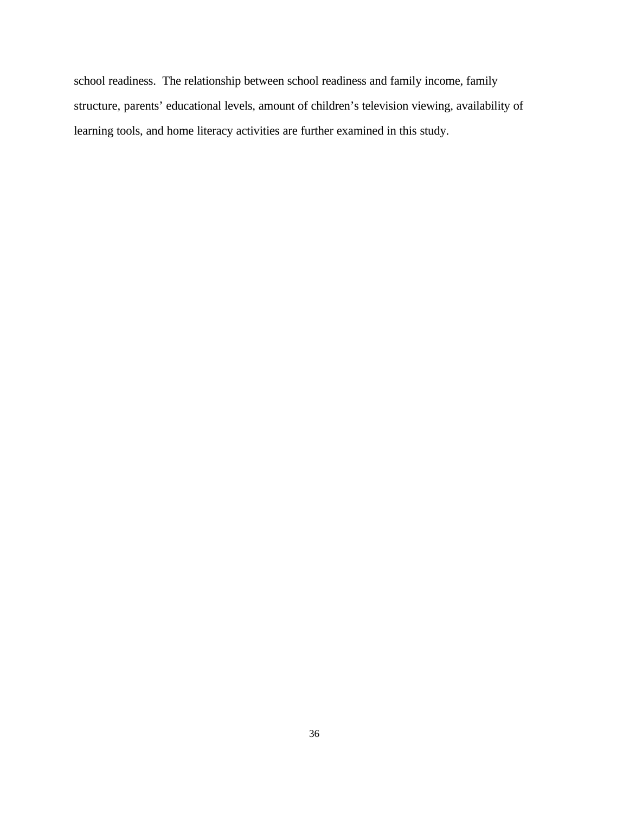school readiness. The relationship between school readiness and family income, family structure, parents' educational levels, amount of children's television viewing, availability of learning tools, and home literacy activities are further examined in this study.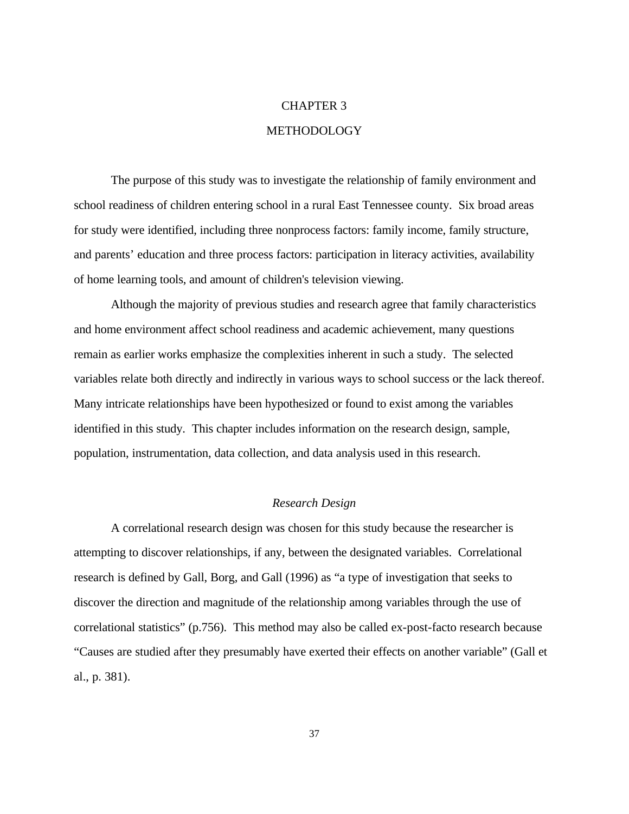# CHAPTER 3 **METHODOLOGY**

The purpose of this study was to investigate the relationship of family environment and school readiness of children entering school in a rural East Tennessee county. Six broad areas for study were identified, including three nonprocess factors: family income, family structure, and parents' education and three process factors: participation in literacy activities, availability of home learning tools, and amount of children's television viewing.

Although the majority of previous studies and research agree that family characteristics and home environment affect school readiness and academic achievement, many questions remain as earlier works emphasize the complexities inherent in such a study. The selected variables relate both directly and indirectly in various ways to school success or the lack thereof. Many intricate relationships have been hypothesized or found to exist among the variables identified in this study. This chapter includes information on the research design, sample, population, instrumentation, data collection, and data analysis used in this research.

## *Research Design*

A correlational research design was chosen for this study because the researcher is attempting to discover relationships, if any, between the designated variables. Correlational research is defined by Gall, Borg, and Gall (1996) as "a type of investigation that seeks to discover the direction and magnitude of the relationship among variables through the use of correlational statistics" (p.756). This method may also be called ex-post-facto research because "Causes are studied after they presumably have exerted their effects on another variable" (Gall et al., p. 381).

37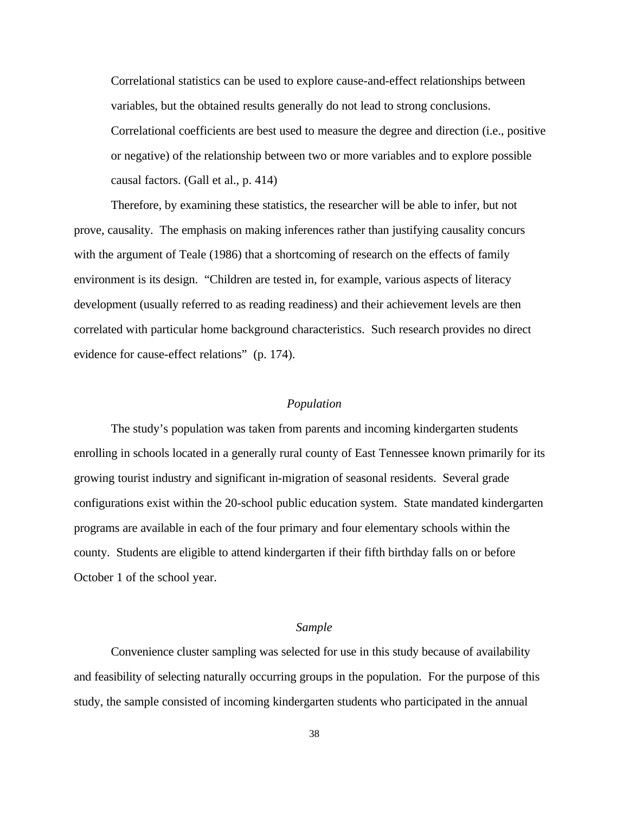Correlational statistics can be used to explore cause-and-effect relationships between variables, but the obtained results generally do not lead to strong conclusions. Correlational coefficients are best used to measure the degree and direction (i.e., positive or negative) of the relationship between two or more variables and to explore possible causal factors. (Gall et al., p. 414)

Therefore, by examining these statistics, the researcher will be able to infer, but not prove, causality. The emphasis on making inferences rather than justifying causality concurs with the argument of Teale (1986) that a shortcoming of research on the effects of family environment is its design. "Children are tested in, for example, various aspects of literacy development (usually referred to as reading readiness) and their achievement levels are then correlated with particular home background characteristics. Such research provides no direct evidence for cause-effect relations" (p. 174).

#### *Population*

The study's population was taken from parents and incoming kindergarten students enrolling in schools located in a generally rural county of East Tennessee known primarily for its growing tourist industry and significant in-migration of seasonal residents. Several grade configurations exist within the 20-school public education system. State mandated kindergarten programs are available in each of the four primary and four elementary schools within the county. Students are eligible to attend kindergarten if their fifth birthday falls on or before October 1 of the school year.

## *Sample*

Convenience cluster sampling was selected for use in this study because of availability and feasibility of selecting naturally occurring groups in the population. For the purpose of this study, the sample consisted of incoming kindergarten students who participated in the annual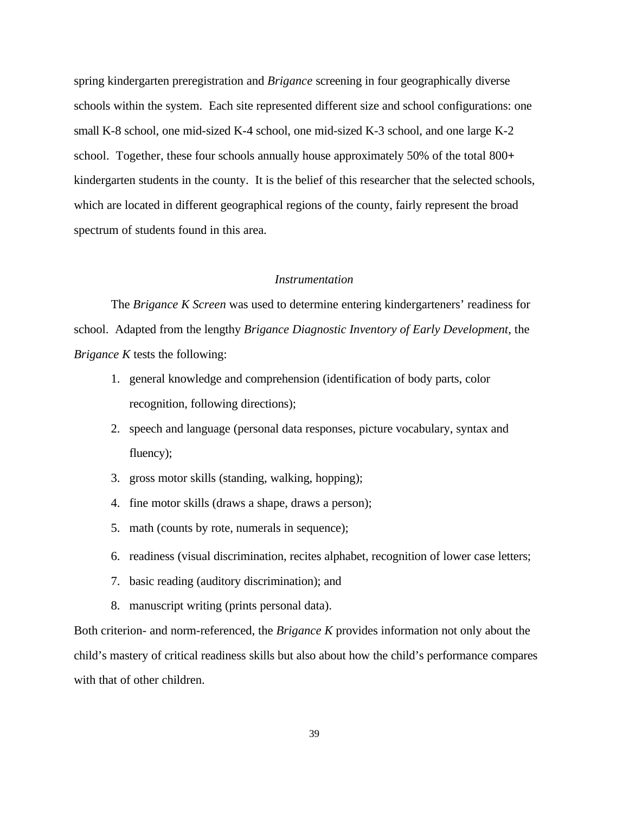spring kindergarten preregistration and *Brigance* screening in four geographically diverse schools within the system. Each site represented different size and school configurations: one small K-8 school, one mid-sized K-4 school, one mid-sized K-3 school, and one large K-2 school. Together, these four schools annually house approximately 50% of the total 800**+** kindergarten students in the county. It is the belief of this researcher that the selected schools, which are located in different geographical regions of the county, fairly represent the broad spectrum of students found in this area.

#### *Instrumentation*

The *Brigance K Screen* was used to determine entering kindergarteners' readiness for school. Adapted from the lengthy *Brigance Diagnostic Inventory of Early Development*, the *Brigance K* tests the following:

- 1. general knowledge and comprehension (identification of body parts, color recognition, following directions);
- 2. speech and language (personal data responses, picture vocabulary, syntax and fluency);
- 3. gross motor skills (standing, walking, hopping);
- 4. fine motor skills (draws a shape, draws a person);
- 5. math (counts by rote, numerals in sequence);
- 6. readiness (visual discrimination, recites alphabet, recognition of lower case letters;
- 7. basic reading (auditory discrimination); and
- 8. manuscript writing (prints personal data).

Both criterion- and norm-referenced, the *Brigance K* provides information not only about the child's mastery of critical readiness skills but also about how the child's performance compares with that of other children.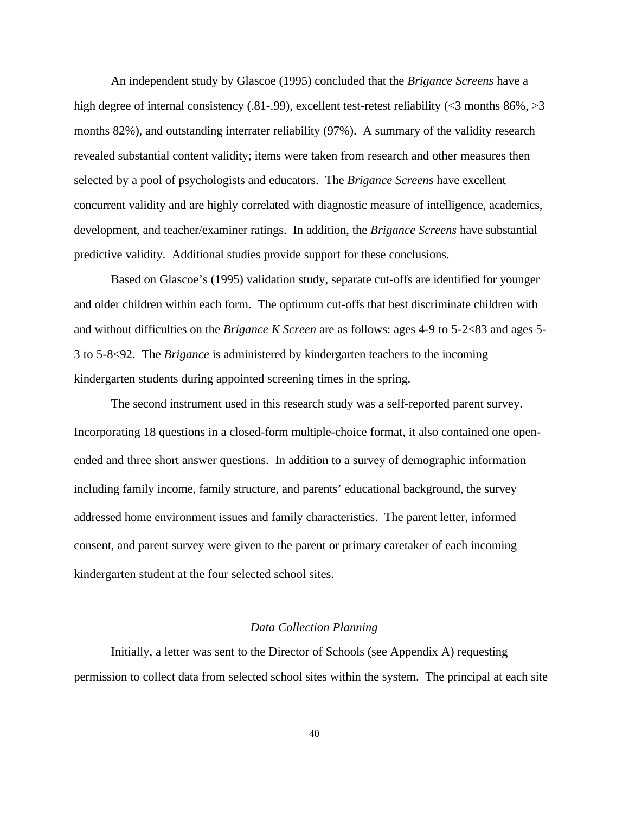An independent study by Glascoe (1995) concluded that the *Brigance Screens* have a high degree of internal consistency (.81-.99), excellent test-retest reliability (<3 months 86%, >3 months 82%), and outstanding interrater reliability (97%). A summary of the validity research revealed substantial content validity; items were taken from research and other measures then selected by a pool of psychologists and educators. The *Brigance Screens* have excellent concurrent validity and are highly correlated with diagnostic measure of intelligence, academics, development, and teacher/examiner ratings. In addition, the *Brigance Screens* have substantial predictive validity. Additional studies provide support for these conclusions.

Based on Glascoe's (1995) validation study, separate cut-offs are identified for younger and older children within each form. The optimum cut-offs that best discriminate children with and without difficulties on the *Brigance K Screen* are as follows: ages 4-9 to 5-2<83 and ages 5- 3 to 5-8<92. The *Brigance* is administered by kindergarten teachers to the incoming kindergarten students during appointed screening times in the spring.

The second instrument used in this research study was a self-reported parent survey. Incorporating 18 questions in a closed-form multiple-choice format, it also contained one openended and three short answer questions. In addition to a survey of demographic information including family income, family structure, and parents' educational background, the survey addressed home environment issues and family characteristics. The parent letter, informed consent, and parent survey were given to the parent or primary caretaker of each incoming kindergarten student at the four selected school sites.

### *Data Collection Planning*

Initially, a letter was sent to the Director of Schools (see Appendix A) requesting permission to collect data from selected school sites within the system. The principal at each site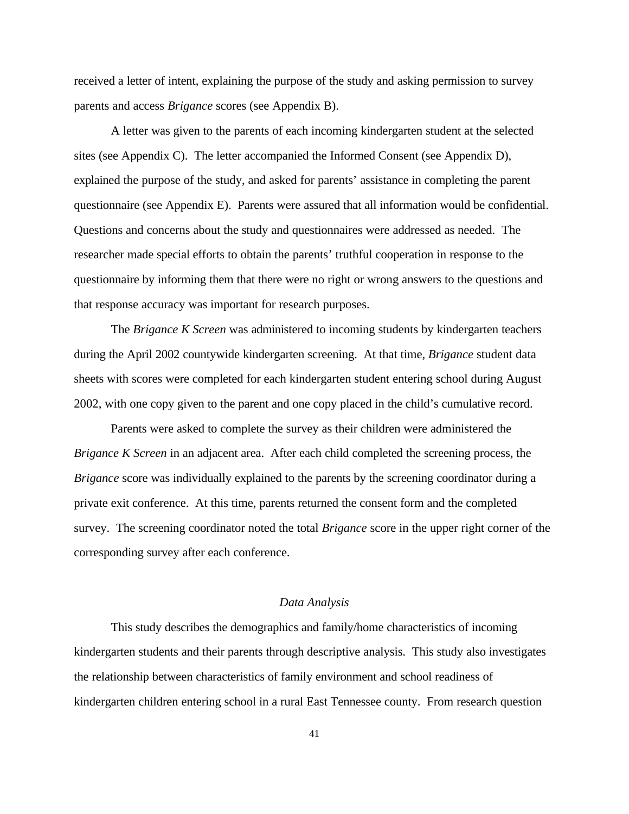received a letter of intent, explaining the purpose of the study and asking permission to survey parents and access *Brigance* scores (see Appendix B).

A letter was given to the parents of each incoming kindergarten student at the selected sites (see Appendix C). The letter accompanied the Informed Consent (see Appendix D), explained the purpose of the study, and asked for parents' assistance in completing the parent questionnaire (see Appendix E). Parents were assured that all information would be confidential. Questions and concerns about the study and questionnaires were addressed as needed. The researcher made special efforts to obtain the parents' truthful cooperation in response to the questionnaire by informing them that there were no right or wrong answers to the questions and that response accuracy was important for research purposes.

The *Brigance K Screen* was administered to incoming students by kindergarten teachers during the April 2002 countywide kindergarten screening. At that time, *Brigance* student data sheets with scores were completed for each kindergarten student entering school during August 2002, with one copy given to the parent and one copy placed in the child's cumulative record.

Parents were asked to complete the survey as their children were administered the *Brigance K Screen* in an adjacent area. After each child completed the screening process, the *Brigance* score was individually explained to the parents by the screening coordinator during a private exit conference. At this time, parents returned the consent form and the completed survey. The screening coordinator noted the total *Brigance* score in the upper right corner of the corresponding survey after each conference.

#### *Data Analysis*

This study describes the demographics and family/home characteristics of incoming kindergarten students and their parents through descriptive analysis. This study also investigates the relationship between characteristics of family environment and school readiness of kindergarten children entering school in a rural East Tennessee county. From research question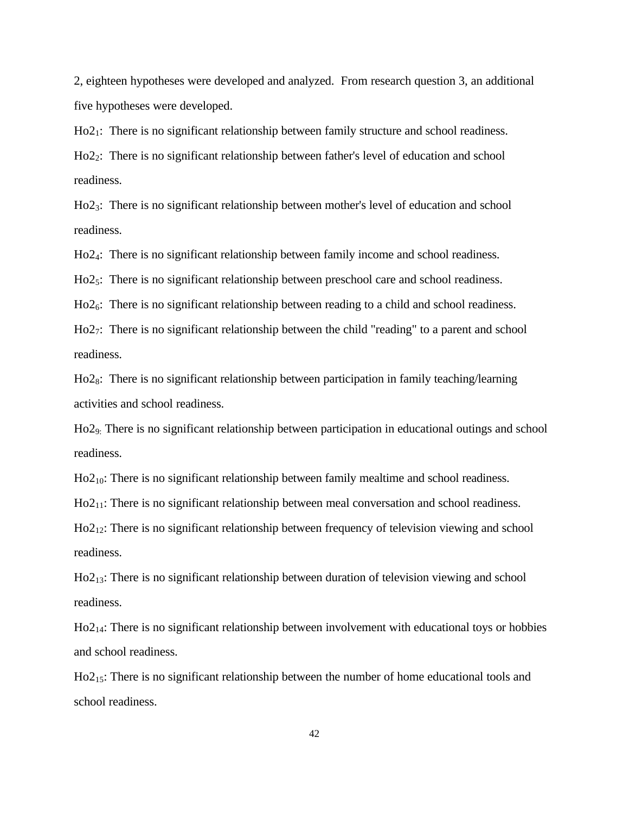2, eighteen hypotheses were developed and analyzed. From research question 3, an additional five hypotheses were developed.

Ho21: There is no significant relationship between family structure and school readiness. Ho22: There is no significant relationship between father's level of education and school readiness.

Ho23: There is no significant relationship between mother's level of education and school readiness.

Ho24: There is no significant relationship between family income and school readiness.

Ho2<sub>5</sub>: There is no significant relationship between preschool care and school readiness.

 $Ho2<sub>6</sub>$ : There is no significant relationship between reading to a child and school readiness.

Ho27: There is no significant relationship between the child "reading" to a parent and school readiness.

Ho28: There is no significant relationship between participation in family teaching/learning activities and school readiness.

Ho29: There is no significant relationship between participation in educational outings and school readiness.

Ho2<sub>10</sub>: There is no significant relationship between family mealtime and school readiness.

Ho2<sub>11</sub>: There is no significant relationship between meal conversation and school readiness.

Ho2<sub>12</sub>: There is no significant relationship between frequency of television viewing and school readiness.

Ho213: There is no significant relationship between duration of television viewing and school readiness.

 $Ho2<sub>14</sub>$ : There is no significant relationship between involvement with educational toys or hobbies and school readiness.

Ho2<sub>15</sub>: There is no significant relationship between the number of home educational tools and school readiness.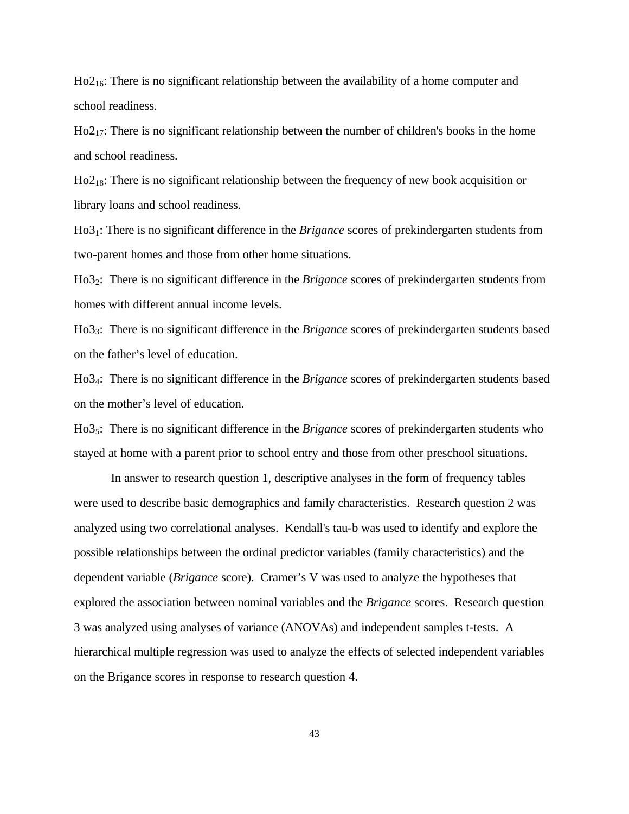Ho216: There is no significant relationship between the availability of a home computer and school readiness.

 $Ho2<sub>17</sub>$ : There is no significant relationship between the number of children's books in the home and school readiness.

Ho2<sub>18</sub>: There is no significant relationship between the frequency of new book acquisition or library loans and school readiness.

Ho31: There is no significant difference in the *Brigance* scores of prekindergarten students from two-parent homes and those from other home situations.

Ho32: There is no significant difference in the *Brigance* scores of prekindergarten students from homes with different annual income levels.

Ho33: There is no significant difference in the *Brigance* scores of prekindergarten students based on the father's level of education.

Ho34: There is no significant difference in the *Brigance* scores of prekindergarten students based on the mother's level of education.

Ho35: There is no significant difference in the *Brigance* scores of prekindergarten students who stayed at home with a parent prior to school entry and those from other preschool situations.

In answer to research question 1, descriptive analyses in the form of frequency tables were used to describe basic demographics and family characteristics. Research question 2 was analyzed using two correlational analyses. Kendall's tau-b was used to identify and explore the possible relationships between the ordinal predictor variables (family characteristics) and the dependent variable (*Brigance* score). Cramer's V was used to analyze the hypotheses that explored the association between nominal variables and the *Brigance* scores. Research question 3 was analyzed using analyses of variance (ANOVAs) and independent samples t-tests. A hierarchical multiple regression was used to analyze the effects of selected independent variables on the Brigance scores in response to research question 4.

43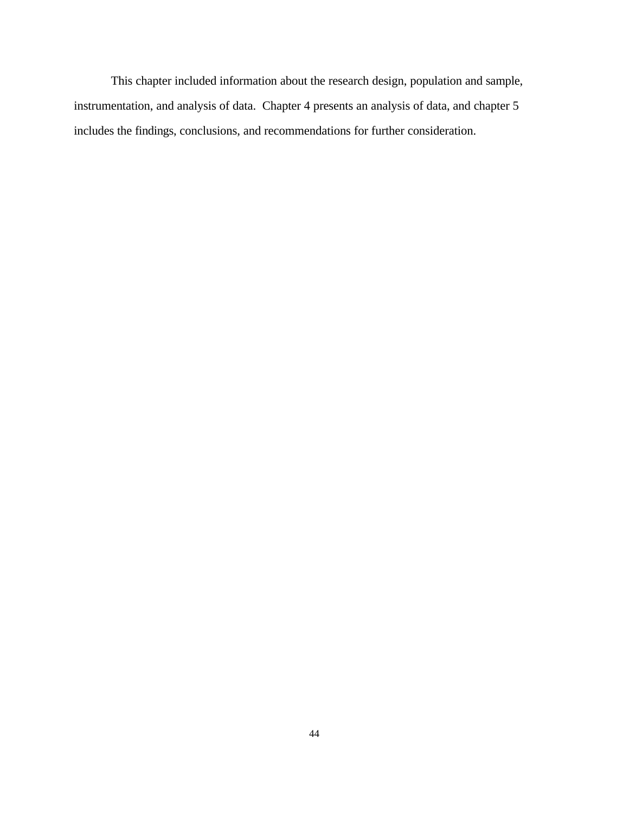This chapter included information about the research design, population and sample, instrumentation, and analysis of data. Chapter 4 presents an analysis of data, and chapter 5 includes the findings, conclusions, and recommendations for further consideration.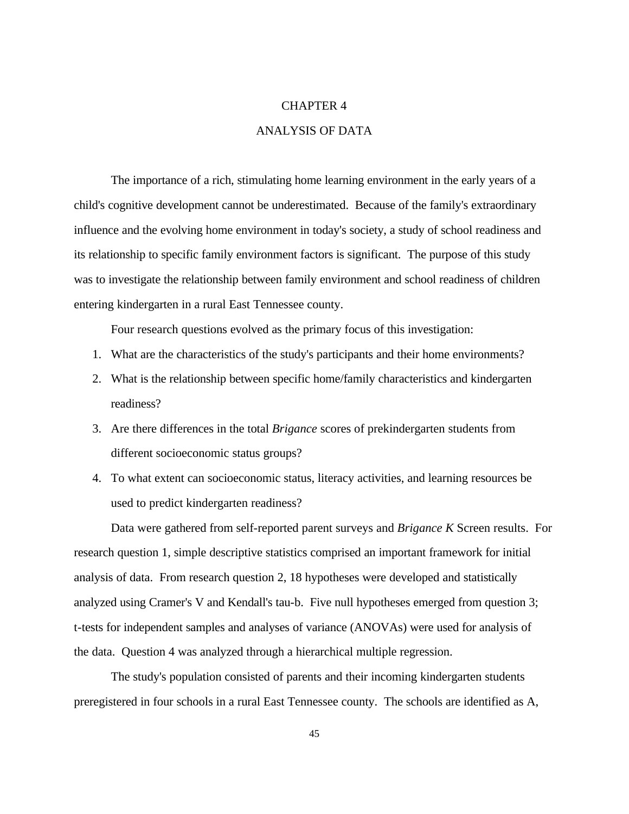#### CHAPTER 4

### ANALYSIS OF DATA

The importance of a rich, stimulating home learning environment in the early years of a child's cognitive development cannot be underestimated. Because of the family's extraordinary influence and the evolving home environment in today's society, a study of school readiness and its relationship to specific family environment factors is significant. The purpose of this study was to investigate the relationship between family environment and school readiness of children entering kindergarten in a rural East Tennessee county.

Four research questions evolved as the primary focus of this investigation:

- 1. What are the characteristics of the study's participants and their home environments?
- 2. What is the relationship between specific home/family characteristics and kindergarten readiness?
- 3. Are there differences in the total *Brigance* scores of prekindergarten students from different socioeconomic status groups?
- 4. To what extent can socioeconomic status, literacy activities, and learning resources be used to predict kindergarten readiness?

Data were gathered from self-reported parent surveys and *Brigance K* Screen results. For research question 1, simple descriptive statistics comprised an important framework for initial analysis of data. From research question 2, 18 hypotheses were developed and statistically analyzed using Cramer's V and Kendall's tau-b. Five null hypotheses emerged from question 3; t-tests for independent samples and analyses of variance (ANOVAs) were used for analysis of the data. Question 4 was analyzed through a hierarchical multiple regression.

The study's population consisted of parents and their incoming kindergarten students preregistered in four schools in a rural East Tennessee county. The schools are identified as A,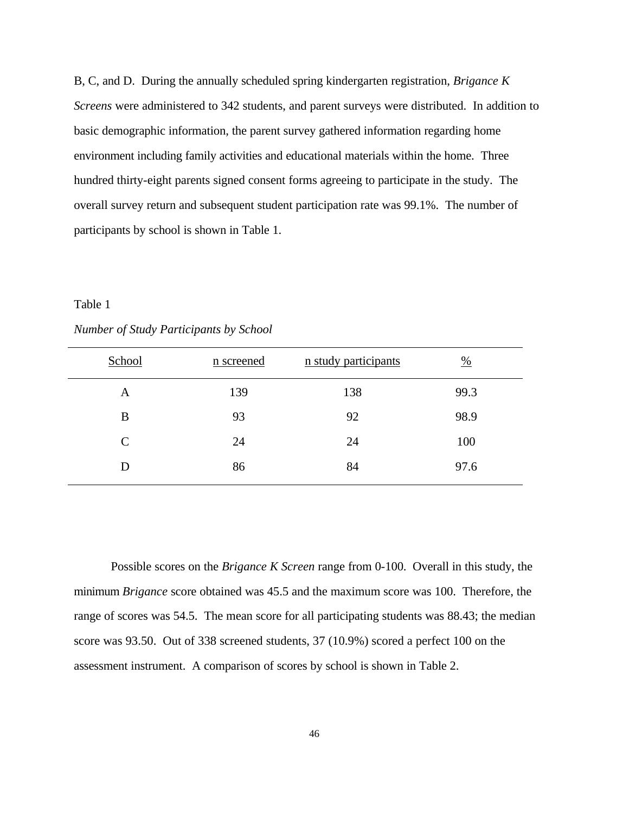B, C, and D. During the annually scheduled spring kindergarten registration, *Brigance K Screens* were administered to 342 students, and parent surveys were distributed. In addition to basic demographic information, the parent survey gathered information regarding home environment including family activities and educational materials within the home. Three hundred thirty-eight parents signed consent forms agreeing to participate in the study. The overall survey return and subsequent student participation rate was 99.1%. The number of participants by school is shown in Table 1.

#### Table 1

| School       | n screened | n study participants | $\frac{0}{0}$ |
|--------------|------------|----------------------|---------------|
| A            | 139        | 138                  | 99.3          |
| B            | 93         | 92                   | 98.9          |
| $\mathsf{C}$ | 24         | 24                   | 100           |
|              | 86         | 84                   | 97.6          |
|              |            |                      |               |

*Number of Study Participants by School*

Possible scores on the *Brigance K Screen* range from 0-100. Overall in this study, the minimum *Brigance* score obtained was 45.5 and the maximum score was 100. Therefore, the range of scores was 54.5. The mean score for all participating students was 88.43; the median score was 93.50. Out of 338 screened students, 37 (10.9%) scored a perfect 100 on the assessment instrument. A comparison of scores by school is shown in Table 2.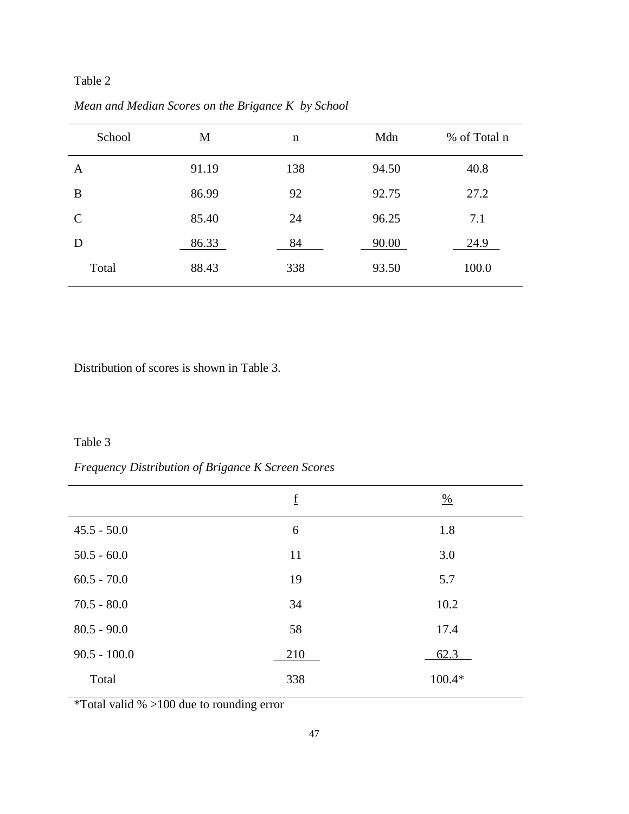| School      | $\underline{\mathbf{M}}$ | $\underline{n}$ | Mdn   | % of Total n |
|-------------|--------------------------|-----------------|-------|--------------|
| A           | 91.19                    | 138             | 94.50 | 40.8         |
| B           | 86.99                    | 92              | 92.75 | 27.2         |
| $\mathbf C$ | 85.40                    | 24              | 96.25 | 7.1          |
| D           | 86.33                    | 84              | 90.00 | 24.9         |
| Total       | 88.43                    | 338             | 93.50 | 100.0        |

*Mean and Median Scores on the Brigance K by School*

Distribution of scores is shown in Table 3.

# Table 3

# *Frequency Distribution of Brigance K Screen Scores*

|                | $\underline{\mathbf{f}}$ | $\frac{0}{0}$ |
|----------------|--------------------------|---------------|
| $45.5 - 50.0$  | 6                        | 1.8           |
| $50.5 - 60.0$  | 11                       | 3.0           |
| $60.5 - 70.0$  | 19                       | 5.7           |
| $70.5 - 80.0$  | 34                       | 10.2          |
| $80.5 - 90.0$  | 58                       | 17.4          |
| $90.5 - 100.0$ | 210                      | 62.3          |
| Total          | 338                      | $100.4*$      |

\*Total valid % >100 due to rounding error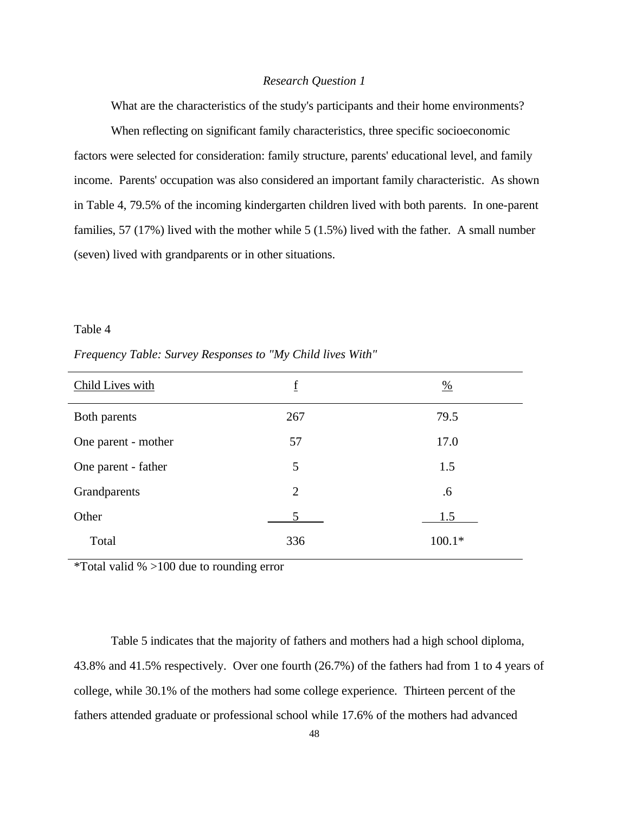#### *Research Question 1*

What are the characteristics of the study's participants and their home environments?

When reflecting on significant family characteristics, three specific socioeconomic factors were selected for consideration: family structure, parents' educational level, and family income. Parents' occupation was also considered an important family characteristic. As shown in Table 4, 79.5% of the incoming kindergarten children lived with both parents. In one-parent families, 57 (17%) lived with the mother while 5 (1.5%) lived with the father. A small number (seven) lived with grandparents or in other situations.

#### Table 4

| <b>Child Lives with</b> | f              | $\frac{0}{0}$ |
|-------------------------|----------------|---------------|
| Both parents            | 267            | 79.5          |
| One parent - mother     | 57             | 17.0          |
| One parent - father     | 5              | 1.5           |
| Grandparents            | $\overline{2}$ | .6            |
| Other                   | 5              | 1.5           |
| Total                   | 336            | $100.1*$      |

*Frequency Table: Survey Responses to "My Child lives With"*

\*Total valid % >100 due to rounding error

Table 5 indicates that the majority of fathers and mothers had a high school diploma, 43.8% and 41.5% respectively. Over one fourth (26.7%) of the fathers had from 1 to 4 years of college, while 30.1% of the mothers had some college experience. Thirteen percent of the fathers attended graduate or professional school while 17.6% of the mothers had advanced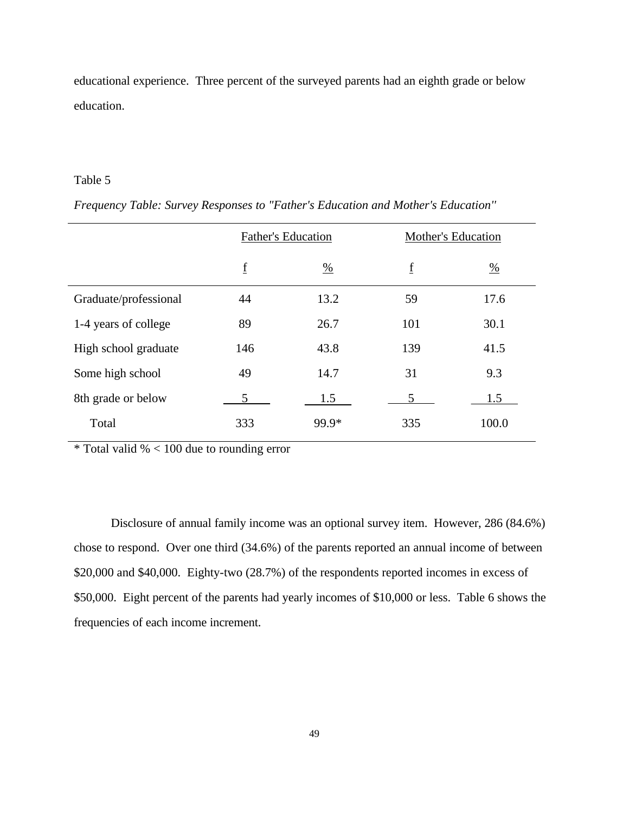educational experience. Three percent of the surveyed parents had an eighth grade or below education.

# Table 5

|                       | <b>Father's Education</b> |               |     | <b>Mother's Education</b> |
|-----------------------|---------------------------|---------------|-----|---------------------------|
|                       | $\underline{\mathbf{f}}$  | $\frac{0}{0}$ | f   | $\frac{0}{0}$             |
| Graduate/professional | 44                        | 13.2          | 59  | 17.6                      |
| 1-4 years of college  | 89                        | 26.7          | 101 | 30.1                      |
| High school graduate  | 146                       | 43.8          | 139 | 41.5                      |
| Some high school      | 49                        | 14.7          | 31  | 9.3                       |
| 8th grade or below    | 5                         | 1.5           | 5   | 1.5                       |
| Total                 | 333                       | 99.9*         | 335 | 100.0                     |

\* Total valid % < 100 due to rounding error

Disclosure of annual family income was an optional survey item. However, 286 (84.6%) chose to respond. Over one third (34.6%) of the parents reported an annual income of between \$20,000 and \$40,000. Eighty-two (28.7%) of the respondents reported incomes in excess of \$50,000. Eight percent of the parents had yearly incomes of \$10,000 or less. Table 6 shows the frequencies of each income increment.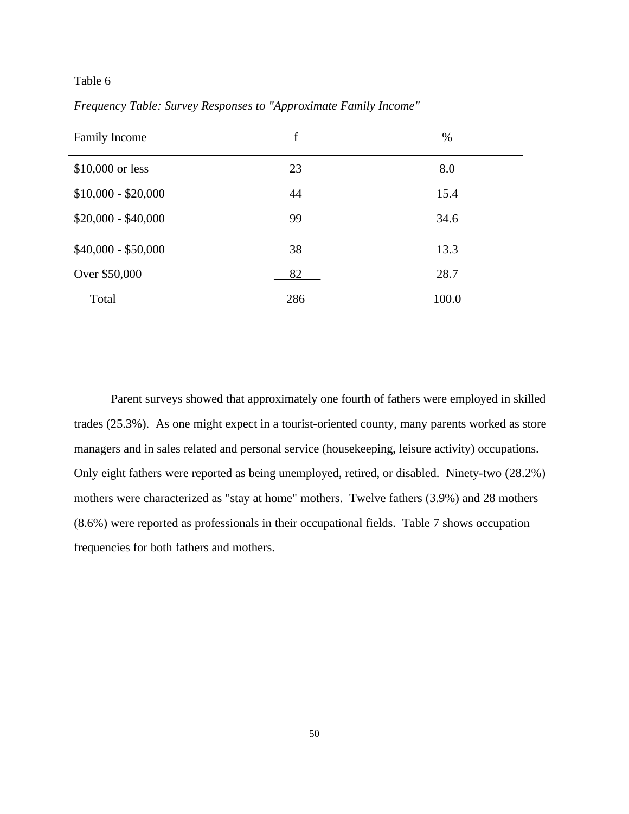| <b>Family Income</b> | f   | $\frac{0}{0}$ |
|----------------------|-----|---------------|
| \$10,000 or less     | 23  | 8.0           |
| $$10,000 - $20,000$  | 44  | 15.4          |
| $$20,000 - $40,000$  | 99  | 34.6          |
| $$40,000 - $50,000$  | 38  | 13.3          |
| Over \$50,000        | 82  | 28.7          |
| Total                | 286 | 100.0         |

*Frequency Table: Survey Responses to "Approximate Family Income"*

Parent surveys showed that approximately one fourth of fathers were employed in skilled trades (25.3%). As one might expect in a tourist-oriented county, many parents worked as store managers and in sales related and personal service (housekeeping, leisure activity) occupations. Only eight fathers were reported as being unemployed, retired, or disabled. Ninety-two (28.2%) mothers were characterized as "stay at home" mothers. Twelve fathers (3.9%) and 28 mothers (8.6%) were reported as professionals in their occupational fields. Table 7 shows occupation frequencies for both fathers and mothers.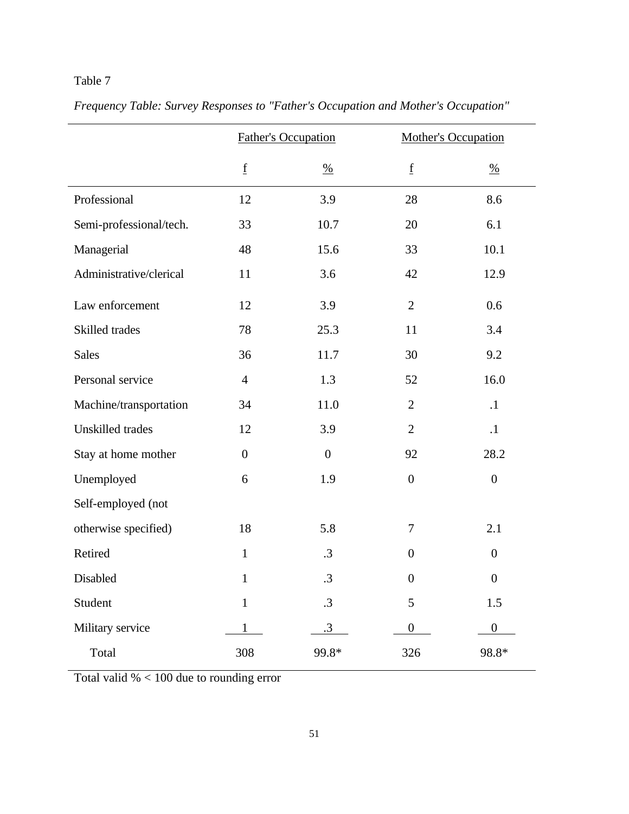|                         |                          | <b>Father's Occupation</b> |                          | <b>Mother's Occupation</b> |
|-------------------------|--------------------------|----------------------------|--------------------------|----------------------------|
|                         | $\underline{\mathbf{f}}$ | $\frac{0}{0}$              | $\underline{\mathbf{f}}$ | $\frac{0}{0}$              |
| Professional            | 12                       | 3.9                        | 28                       | 8.6                        |
| Semi-professional/tech. | 33                       | 10.7                       | 20                       | 6.1                        |
| Managerial              | 48                       | 15.6                       | 33                       | 10.1                       |
| Administrative/clerical | 11                       | 3.6                        | 42                       | 12.9                       |
| Law enforcement         | 12                       | 3.9                        | $\mathfrak{2}$           | 0.6                        |
| Skilled trades          | 78                       | 25.3                       | 11                       | 3.4                        |
| <b>Sales</b>            | 36                       | 11.7                       | 30                       | 9.2                        |
| Personal service        | $\overline{4}$           | 1.3                        | 52                       | 16.0                       |
| Machine/transportation  | 34                       | 11.0                       | $\overline{2}$           | $\cdot$ 1                  |
| Unskilled trades        | 12                       | 3.9                        | $\overline{2}$           | $\cdot$                    |
| Stay at home mother     | $\overline{0}$           | $\overline{0}$             | 92                       | 28.2                       |
| Unemployed              | 6                        | 1.9                        | $\boldsymbol{0}$         | $\boldsymbol{0}$           |
| Self-employed (not      |                          |                            |                          |                            |
| otherwise specified)    | 18                       | 5.8                        | 7                        | 2.1                        |
| Retired                 | $\mathbf{1}$             | $\cdot$ 3                  | $\overline{0}$           | $\boldsymbol{0}$           |
| Disabled                | $\mathbf{1}$             | $\cdot$ 3                  | $\boldsymbol{0}$         | $\boldsymbol{0}$           |
| Student                 | $\mathbf 1$              | $\cdot$ 3                  | 5                        | $1.5\,$                    |
| Military service        |                          | .3                         | $\boldsymbol{0}$         | $\boldsymbol{0}$           |
| Total                   | 308                      | 99.8*                      | 326                      | 98.8*                      |

*Frequency Table: Survey Responses to "Father's Occupation and Mother's Occupation"*

Total valid % < 100 due to rounding error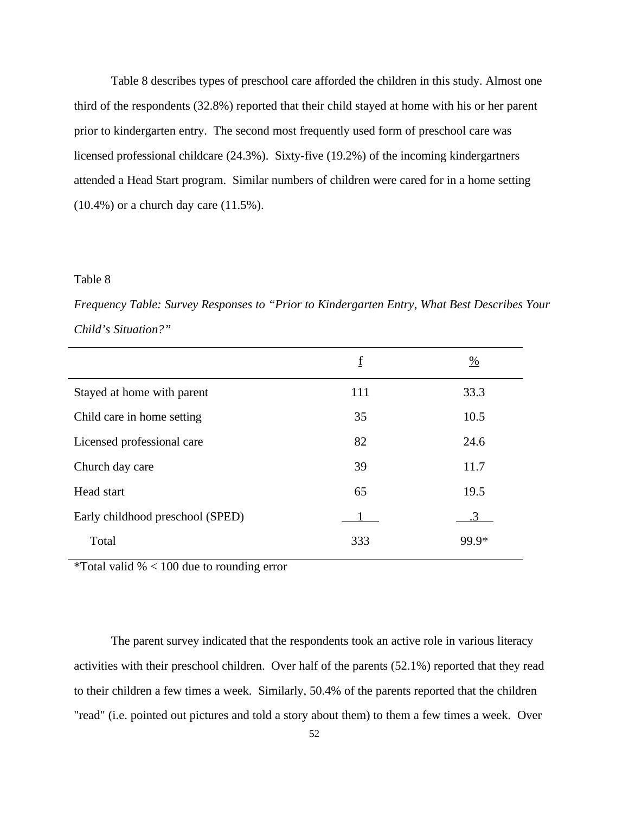Table 8 describes types of preschool care afforded the children in this study. Almost one third of the respondents (32.8%) reported that their child stayed at home with his or her parent prior to kindergarten entry. The second most frequently used form of preschool care was licensed professional childcare (24.3%). Sixty-five (19.2%) of the incoming kindergartners attended a Head Start program. Similar numbers of children were cared for in a home setting (10.4%) or a church day care (11.5%).

#### Table 8

*Frequency Table: Survey Responses to "Prior to Kindergarten Entry, What Best Describes Your Child's Situation?"* 

| f   | $\frac{0}{0}$ |
|-----|---------------|
| 111 | 33.3          |
| 35  | 10.5          |
| 82  | 24.6          |
| 39  | 11.7          |
| 65  | 19.5          |
|     | .3            |
| 333 | 99.9*         |
|     |               |

\*Total valid % < 100 due to rounding error

The parent survey indicated that the respondents took an active role in various literacy activities with their preschool children. Over half of the parents (52.1%) reported that they read to their children a few times a week. Similarly, 50.4% of the parents reported that the children "read" (i.e. pointed out pictures and told a story about them) to them a few times a week. Over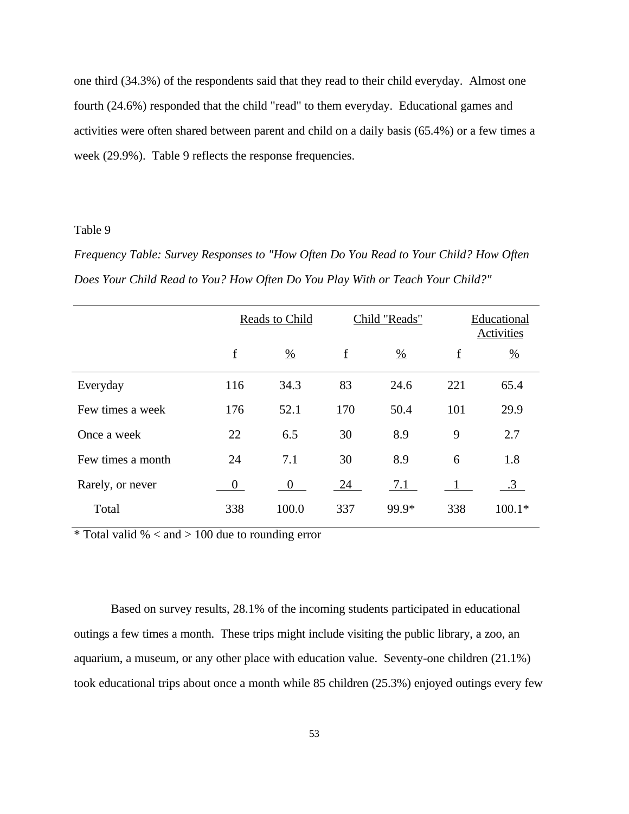one third (34.3%) of the respondents said that they read to their child everyday. Almost one fourth (24.6%) responded that the child "read" to them everyday. Educational games and activities were often shared between parent and child on a daily basis (65.4%) or a few times a week (29.9%). Table 9 reflects the response frequencies.

#### Table 9

*Frequency Table: Survey Responses to "How Often Do You Read to Your Child? How Often Does Your Child Read to You? How Often Do You Play With or Teach Your Child?"*

|                   | Reads to Child           |                | Child "Reads"            |               | Educational<br>Activities |               |
|-------------------|--------------------------|----------------|--------------------------|---------------|---------------------------|---------------|
|                   | $\underline{\mathbf{f}}$ | $\frac{0}{0}$  | $\underline{\mathbf{f}}$ | $\frac{0}{0}$ | $\underline{\mathbf{f}}$  | $\frac{0}{0}$ |
| Everyday          | 116                      | 34.3           | 83                       | 24.6          | 221                       | 65.4          |
| Few times a week  | 176                      | 52.1           | 170                      | 50.4          | 101                       | 29.9          |
| Once a week       | 22                       | 6.5            | 30                       | 8.9           | 9                         | 2.7           |
| Few times a month | 24                       | 7.1            | 30                       | 8.9           | 6                         | 1.8           |
| Rarely, or never  | 0                        | $\overline{0}$ | 24                       | 7.1           |                           | $\cdot$ 3     |
| Total             | 338                      | 100.0          | 337                      | 99.9*         | 338                       | $100.1*$      |

 $*$  Total valid % < and > 100 due to rounding error

Based on survey results, 28.1% of the incoming students participated in educational outings a few times a month. These trips might include visiting the public library, a zoo, an aquarium, a museum, or any other place with education value. Seventy-one children (21.1%) took educational trips about once a month while 85 children (25.3%) enjoyed outings every few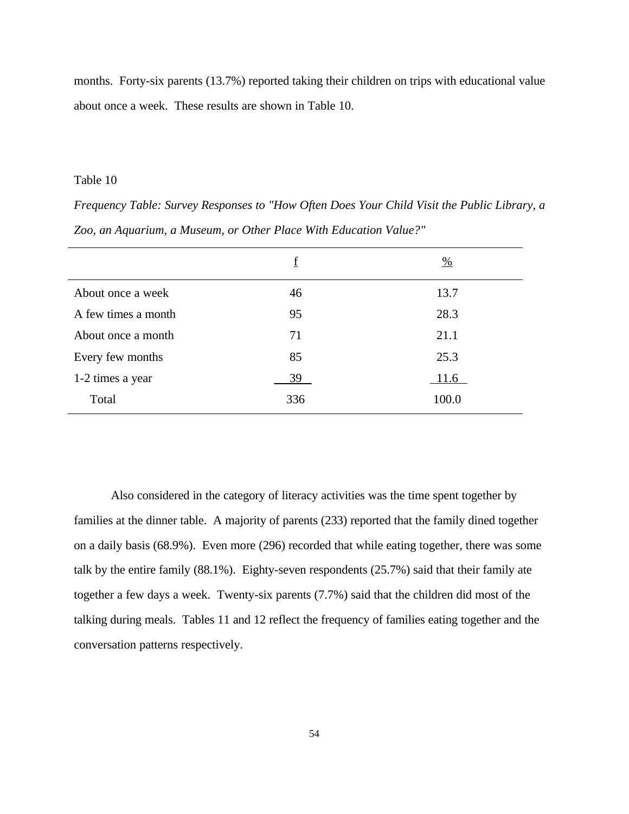months. Forty-six parents (13.7%) reported taking their children on trips with educational value about once a week. These results are shown in Table 10.

#### Table 10

*Frequency Table: Survey Responses to "How Often Does Your Child Visit the Public Library, a Zoo, an Aquarium, a Museum, or Other Place With Education Value?"*

|                     | f   | $\frac{0}{0}$ |
|---------------------|-----|---------------|
| About once a week   | 46  | 13.7          |
| A few times a month | 95  | 28.3          |
| About once a month  | 71  | 21.1          |
| Every few months    | 85  | 25.3          |
| 1-2 times a year    | 39  | 11.6          |
| Total               | 336 | 100.0         |

Also considered in the category of literacy activities was the time spent together by families at the dinner table. A majority of parents (233) reported that the family dined together on a daily basis (68.9%). Even more (296) recorded that while eating together, there was some talk by the entire family (88.1%). Eighty-seven respondents (25.7%) said that their family ate together a few days a week. Twenty-six parents (7.7%) said that the children did most of the talking during meals. Tables 11 and 12 reflect the frequency of families eating together and the conversation patterns respectively.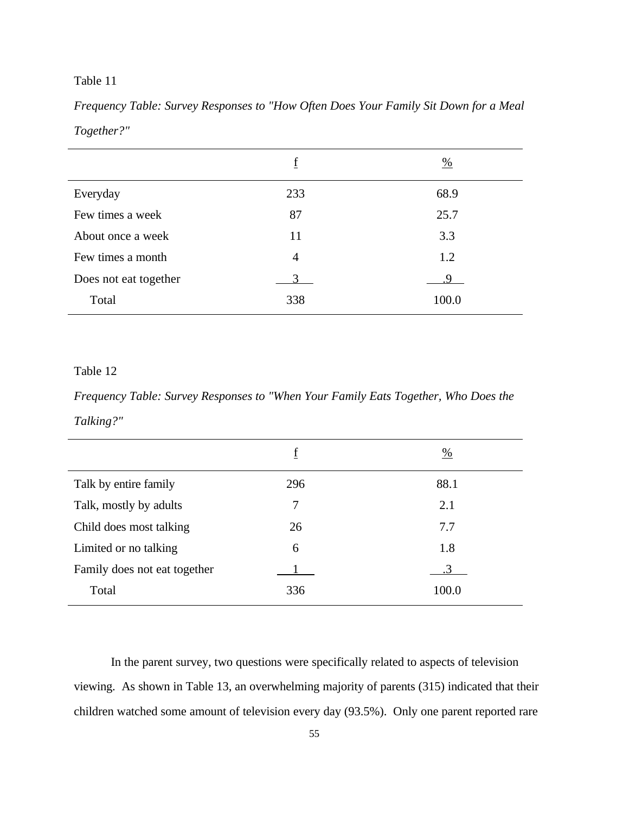*Frequency Table: Survey Responses to "How Often Does Your Family Sit Down for a Meal Together?"*

|                       | f              | $\frac{0}{0}$ |
|-----------------------|----------------|---------------|
| Everyday              | 233            | 68.9          |
| Few times a week      | 87             | 25.7          |
| About once a week     | 11             | 3.3           |
| Few times a month     | $\overline{4}$ | 1.2           |
| Does not eat together |                |               |
| Total                 | 338            | 100.0         |
|                       |                |               |

### Table 12

*Frequency Table: Survey Responses to "When Your Family Eats Together, Who Does the Talking?"*

|                              | f   | $\frac{0}{0}$ |
|------------------------------|-----|---------------|
| Talk by entire family        | 296 | 88.1          |
| Talk, mostly by adults       | 7   | 2.1           |
| Child does most talking      | 26  | 7.7           |
| Limited or no talking        | 6   | 1.8           |
| Family does not eat together |     | .3            |
| Total                        | 336 | 100.0         |

In the parent survey, two questions were specifically related to aspects of television viewing. As shown in Table 13, an overwhelming majority of parents (315) indicated that their children watched some amount of television every day (93.5%). Only one parent reported rare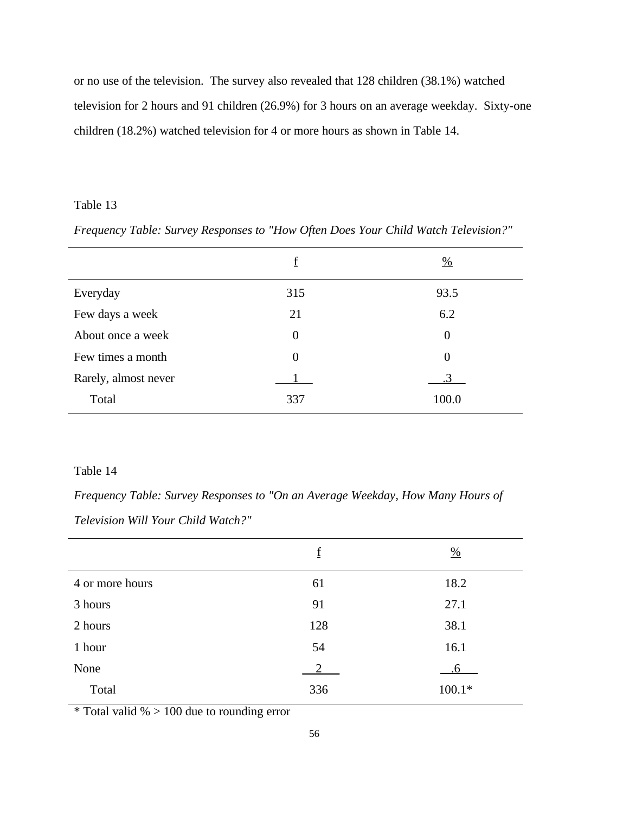or no use of the television. The survey also revealed that 128 children (38.1%) watched television for 2 hours and 91 children (26.9%) for 3 hours on an average weekday. Sixty-one children (18.2%) watched television for 4 or more hours as shown in Table 14.

# Table 13

|                      | f              | $\frac{0}{0}$  |
|----------------------|----------------|----------------|
| Everyday             | 315            | 93.5           |
| Few days a week      | 21             | 6.2            |
| About once a week    | $\overline{0}$ | $\overline{0}$ |
| Few times a month    | $\Omega$       | $\theta$       |
| Rarely, almost never |                | $\cdot$ 3      |
| Total                | 337            | 100.0          |
|                      |                |                |

*Frequency Table: Survey Responses to "How Often Does Your Child Watch Television?"*

## Table 14

*Frequency Table: Survey Responses to "On an Average Weekday, How Many Hours of Television Will Your Child Watch?"*

|                 | f   | $\frac{0}{0}$ |
|-----------------|-----|---------------|
| 4 or more hours | 61  | 18.2          |
| 3 hours         | 91  | 27.1          |
| 2 hours         | 128 | 38.1          |
| 1 hour          | 54  | 16.1          |
| None            | 2   |               |
| Total           | 336 | $100.1*$      |

 $*$  Total valid % > 100 due to rounding error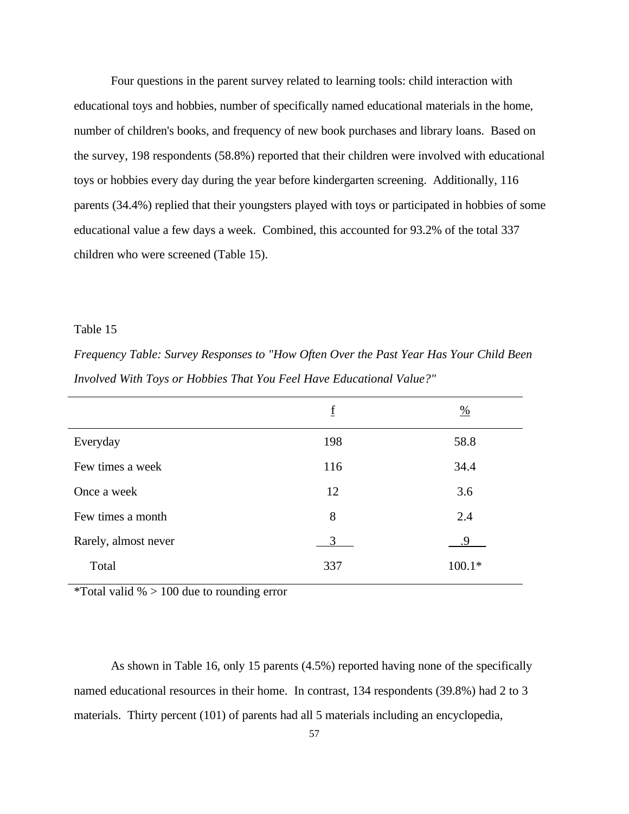Four questions in the parent survey related to learning tools: child interaction with educational toys and hobbies, number of specifically named educational materials in the home, number of children's books, and frequency of new book purchases and library loans. Based on the survey, 198 respondents (58.8%) reported that their children were involved with educational toys or hobbies every day during the year before kindergarten screening. Additionally, 116 parents (34.4%) replied that their youngsters played with toys or participated in hobbies of some educational value a few days a week. Combined, this accounted for 93.2% of the total 337 children who were screened (Table 15).

# Table 15

*Frequency Table: Survey Responses to "How Often Over the Past Year Has Your Child Been Involved With Toys or Hobbies That You Feel Have Educational Value?"*

|                      | f   | $\frac{0}{0}$ |
|----------------------|-----|---------------|
| Everyday             | 198 | 58.8          |
| Few times a week     | 116 | 34.4          |
| Once a week          | 12  | 3.6           |
| Few times a month    | 8   | 2.4           |
| Rarely, almost never | 3   | .9            |
| Total                | 337 | $100.1*$      |

\*Total valid  $\% > 100$  due to rounding error

As shown in Table 16, only 15 parents (4.5%) reported having none of the specifically named educational resources in their home. In contrast, 134 respondents (39.8%) had 2 to 3 materials. Thirty percent (101) of parents had all 5 materials including an encyclopedia,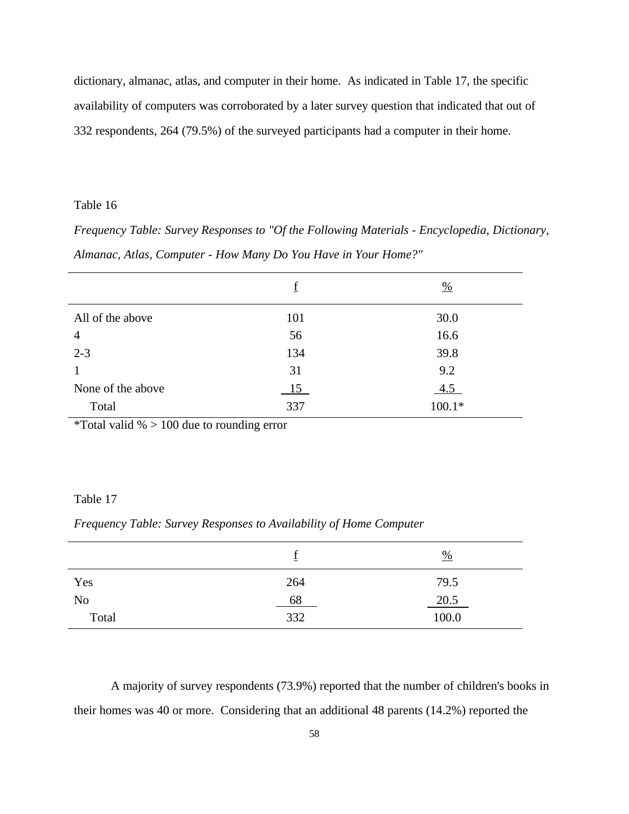dictionary, almanac, atlas, and computer in their home. As indicated in Table 17, the specific availability of computers was corroborated by a later survey question that indicated that out of 332 respondents, 264 (79.5%) of the surveyed participants had a computer in their home.

## Table 16

*Frequency Table: Survey Responses to "Of the Following Materials - Encyclopedia, Dictionary, Almanac, Atlas, Computer - How Many Do You Have in Your Home?"*

|                   | $\underline{f}$ | $\frac{0}{0}$ |
|-------------------|-----------------|---------------|
| All of the above  | 101             | 30.0          |
| $\overline{4}$    | 56              | 16.6          |
| $2 - 3$           | 134             | 39.8          |
| 1                 | 31              | 9.2           |
| None of the above | 15              | 4.5           |
| Total             | 337             | $100.1*$      |

\*Total valid  $\% > 100$  due to rounding error

## Table 17

## *Frequency Table: Survey Responses to Availability of Home Computer*

|                |           | $\frac{0}{0}$     |
|----------------|-----------|-------------------|
| Yes            | 264       | 79.5              |
| N <sub>o</sub> | <u>68</u> | $\frac{20.5}{\ }$ |
| Total          | 332       | 100.0             |

A majority of survey respondents (73.9%) reported that the number of children's books in their homes was 40 or more. Considering that an additional 48 parents (14.2%) reported the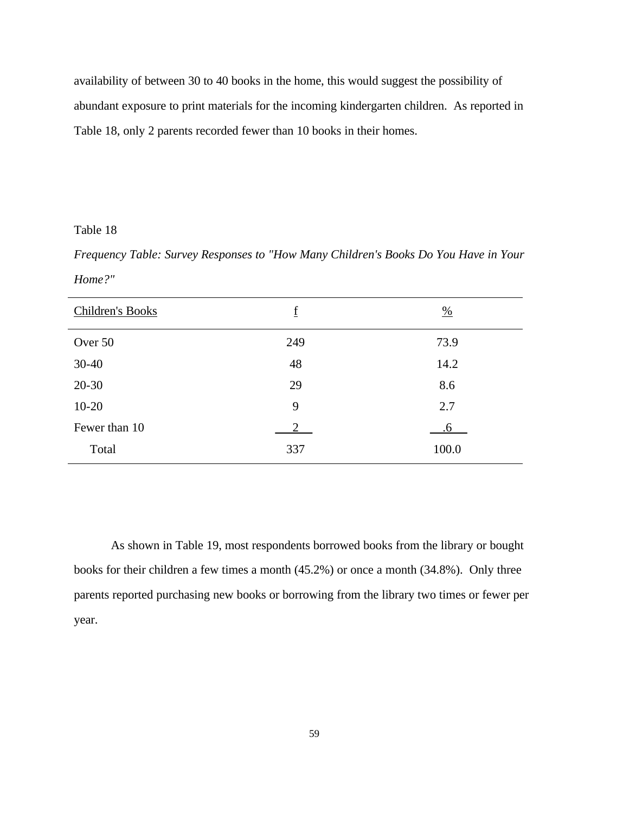availability of between 30 to 40 books in the home, this would suggest the possibility of abundant exposure to print materials for the incoming kindergarten children. As reported in Table 18, only 2 parents recorded fewer than 10 books in their homes.

## Table 18

*Frequency Table: Survey Responses to "How Many Children's Books Do You Have in Your Home?"*

| <b>Children's Books</b> | f              | $\frac{0}{0}$ |
|-------------------------|----------------|---------------|
| Over 50                 | 249            | 73.9          |
| $30 - 40$               | 48             | 14.2          |
| $20 - 30$               | 29             | 8.6           |
| $10 - 20$               | 9              | 2.7           |
| Fewer than 10           | $\overline{2}$ | .6            |
| Total                   | 337            | 100.0         |

As shown in Table 19, most respondents borrowed books from the library or bought books for their children a few times a month (45.2%) or once a month (34.8%). Only three parents reported purchasing new books or borrowing from the library two times or fewer per year.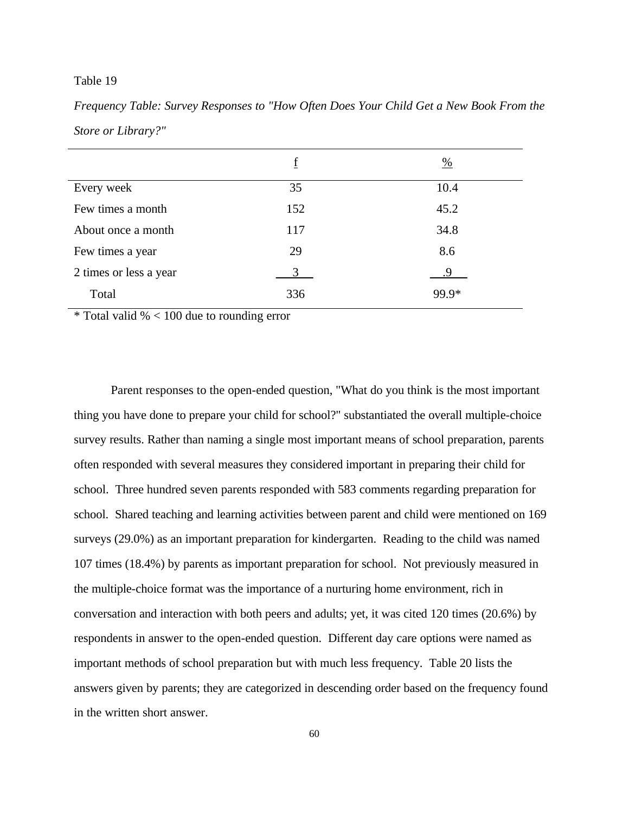*Frequency Table: Survey Responses to "How Often Does Your Child Get a New Book From the Store or Library?"*

|                        | f   | $\frac{0}{0}$ |
|------------------------|-----|---------------|
| Every week             | 35  | 10.4          |
| Few times a month      | 152 | 45.2          |
| About once a month     | 117 | 34.8          |
| Few times a year       | 29  | 8.6           |
| 2 times or less a year |     |               |
| Total                  | 336 | 99.9*         |

\* Total valid % < 100 due to rounding error

Parent responses to the open-ended question, "What do you think is the most important thing you have done to prepare your child for school?" substantiated the overall multiple-choice survey results. Rather than naming a single most important means of school preparation, parents often responded with several measures they considered important in preparing their child for school. Three hundred seven parents responded with 583 comments regarding preparation for school. Shared teaching and learning activities between parent and child were mentioned on 169 surveys (29.0%) as an important preparation for kindergarten. Reading to the child was named 107 times (18.4%) by parents as important preparation for school. Not previously measured in the multiple-choice format was the importance of a nurturing home environment, rich in conversation and interaction with both peers and adults; yet, it was cited 120 times (20.6%) by respondents in answer to the open-ended question. Different day care options were named as important methods of school preparation but with much less frequency. Table 20 lists the answers given by parents; they are categorized in descending order based on the frequency found in the written short answer.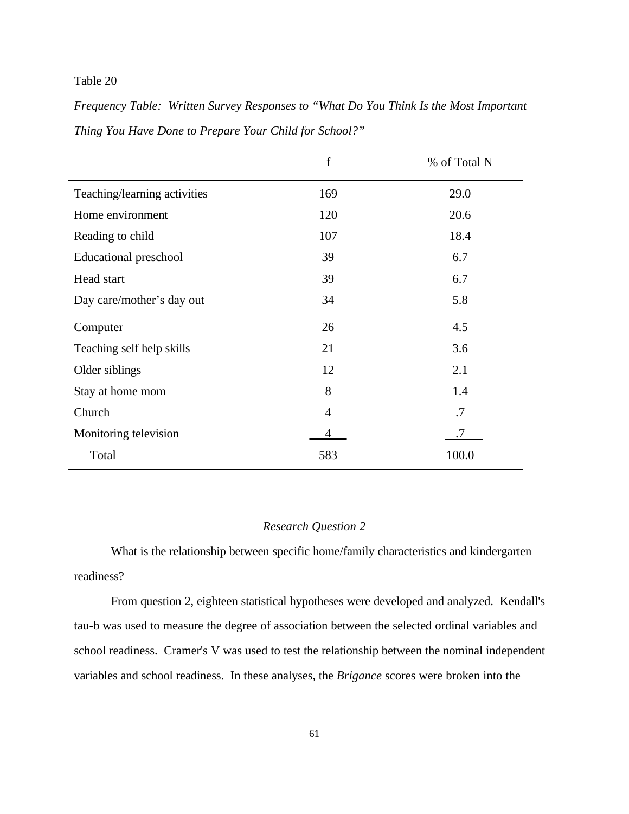*Frequency Table: Written Survey Responses to "What Do You Think Is the Most Important Thing You Have Done to Prepare Your Child for School?"*

|                              | $\underline{\mathbf{f}}$ | % of Total N |
|------------------------------|--------------------------|--------------|
| Teaching/learning activities | 169                      | 29.0         |
| Home environment             | 120                      | 20.6         |
| Reading to child             | 107                      | 18.4         |
| Educational preschool        | 39                       | 6.7          |
| Head start                   | 39                       | 6.7          |
| Day care/mother's day out    | 34                       | 5.8          |
| Computer                     | 26                       | 4.5          |
| Teaching self help skills    | 21                       | 3.6          |
| Older siblings               | 12                       | 2.1          |
| Stay at home mom             | 8                        | 1.4          |
| Church                       | $\overline{4}$           | .7           |
| Monitoring television        | 4                        | .7           |
| Total                        | 583                      | 100.0        |

#### *Research Question 2*

What is the relationship between specific home/family characteristics and kindergarten readiness?

From question 2, eighteen statistical hypotheses were developed and analyzed. Kendall's tau-b was used to measure the degree of association between the selected ordinal variables and school readiness. Cramer's V was used to test the relationship between the nominal independent variables and school readiness. In these analyses, the *Brigance* scores were broken into the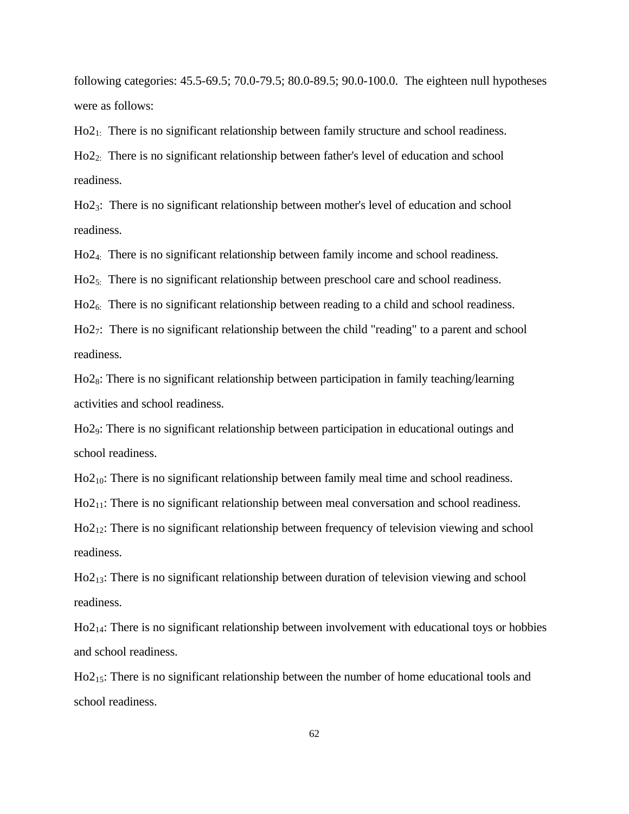following categories: 45.5-69.5; 70.0-79.5; 80.0-89.5; 90.0-100.0. The eighteen null hypotheses were as follows:

 $Ho2<sub>1</sub>:$  There is no significant relationship between family structure and school readiness.

 $Ho2<sub>2</sub>$ : There is no significant relationship between father's level of education and school readiness.

Ho23: There is no significant relationship between mother's level of education and school readiness.

Ho24: There is no significant relationship between family income and school readiness.

 $Ho2<sub>5</sub>$ : There is no significant relationship between preschool care and school readiness.

 $Ho2<sub>6</sub>$ : There is no significant relationship between reading to a child and school readiness.

Ho27: There is no significant relationship between the child "reading" to a parent and school readiness.

Ho28: There is no significant relationship between participation in family teaching/learning activities and school readiness.

Ho29: There is no significant relationship between participation in educational outings and school readiness.

Ho2<sub>10</sub>: There is no significant relationship between family meal time and school readiness.

Ho2<sub>11</sub>: There is no significant relationship between meal conversation and school readiness.

Ho2<sub>12</sub>: There is no significant relationship between frequency of television viewing and school readiness.

 $Ho2<sub>13</sub>$ : There is no significant relationship between duration of television viewing and school readiness.

 $Ho2<sub>14</sub>$ : There is no significant relationship between involvement with educational toys or hobbies and school readiness.

Ho2<sub>15</sub>: There is no significant relationship between the number of home educational tools and school readiness.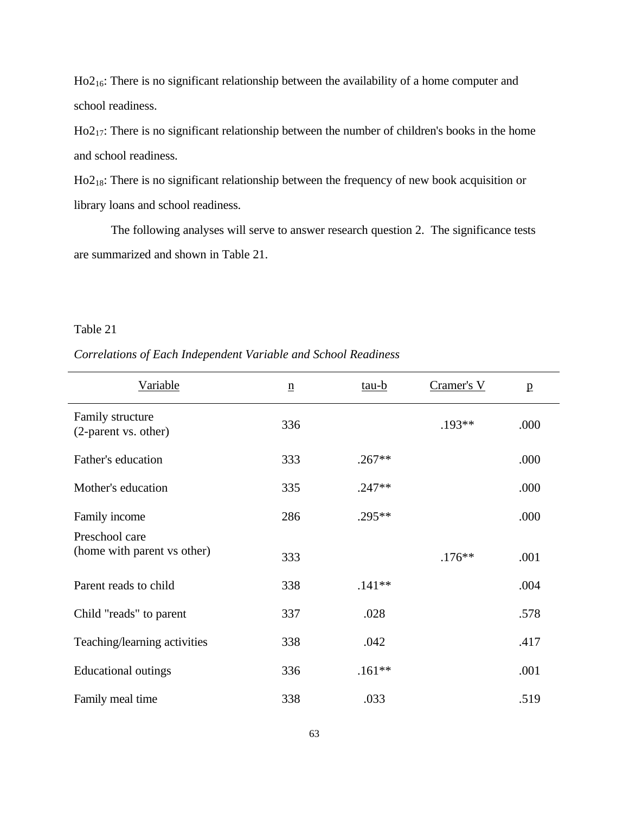Ho2<sub>16</sub>: There is no significant relationship between the availability of a home computer and school readiness.

Ho2<sub>17</sub>: There is no significant relationship between the number of children's books in the home and school readiness.

Ho218: There is no significant relationship between the frequency of new book acquisition or library loans and school readiness.

The following analyses will serve to answer research question 2. The significance tests are summarized and shown in Table 21.

## Table 21

# *Correlations of Each Independent Variable and School Readiness*

| Variable                                      | $\underline{\mathbf{n}}$ | $tau$ -b | Cramer's V | $\mathbf{p}$ |
|-----------------------------------------------|--------------------------|----------|------------|--------------|
| Family structure<br>(2-parent vs. other)      | 336                      |          | $.193**$   | .000         |
| Father's education                            | 333                      | $.267**$ |            | .000         |
| Mother's education                            | 335                      | $.247**$ |            | .000         |
| Family income                                 | 286                      | $.295**$ |            | .000         |
| Preschool care<br>(home with parent vs other) | 333                      |          | $.176**$   | .001         |
| Parent reads to child                         | 338                      | $.141**$ |            | .004         |
| Child "reads" to parent                       | 337                      | .028     |            | .578         |
| Teaching/learning activities                  | 338                      | .042     |            | .417         |
| <b>Educational outings</b>                    | 336                      | $.161**$ |            | .001         |
| Family meal time                              | 338                      | .033     |            | .519         |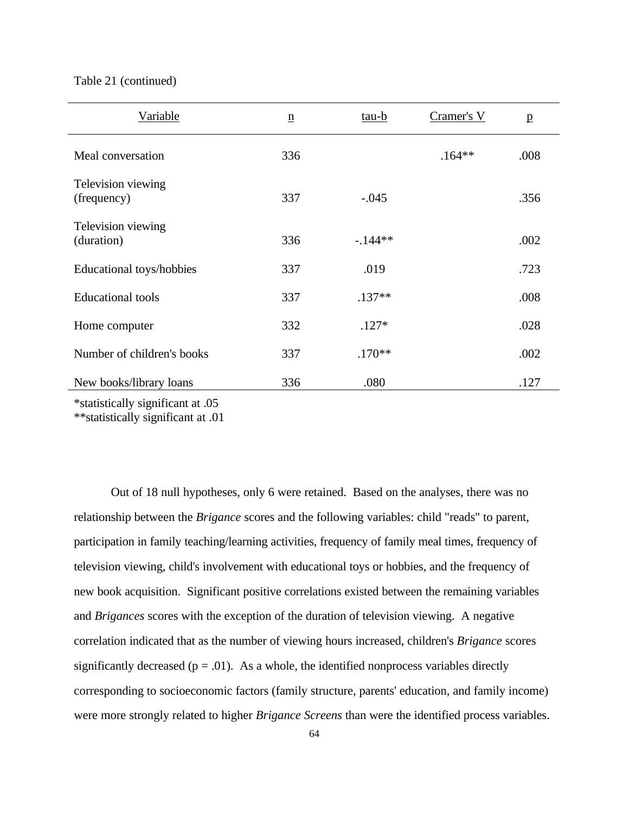#### Table 21 (continued)

| Variable                          | $\underline{n}$ | tau-b     | Cramer's V | $\mathbf{p}$ |
|-----------------------------------|-----------------|-----------|------------|--------------|
| Meal conversation                 | 336             |           | $.164**$   | .008         |
| Television viewing<br>(frequency) | 337             | $-.045$   |            | .356         |
| Television viewing<br>(duration)  | 336             | $-.144**$ |            | .002         |
| Educational toys/hobbies          | 337             | .019      |            | .723         |
| <b>Educational</b> tools          | 337             | $.137**$  |            | .008         |
| Home computer                     | 332             | $.127*$   |            | .028         |
| Number of children's books        | 337             | $.170**$  |            | .002         |
| New books/library loans           | 336             | .080      |            | .127         |

\*statistically significant at .05

\*\*statistically significant at .01

Out of 18 null hypotheses, only 6 were retained. Based on the analyses, there was no relationship between the *Brigance* scores and the following variables: child "reads" to parent, participation in family teaching/learning activities, frequency of family meal times, frequency of television viewing, child's involvement with educational toys or hobbies, and the frequency of new book acquisition. Significant positive correlations existed between the remaining variables and *Brigances* scores with the exception of the duration of television viewing. A negative correlation indicated that as the number of viewing hours increased, children's *Brigance* scores significantly decreased ( $p = .01$ ). As a whole, the identified nonprocess variables directly corresponding to socioeconomic factors (family structure, parents' education, and family income) were more strongly related to higher *Brigance Screens* than were the identified process variables.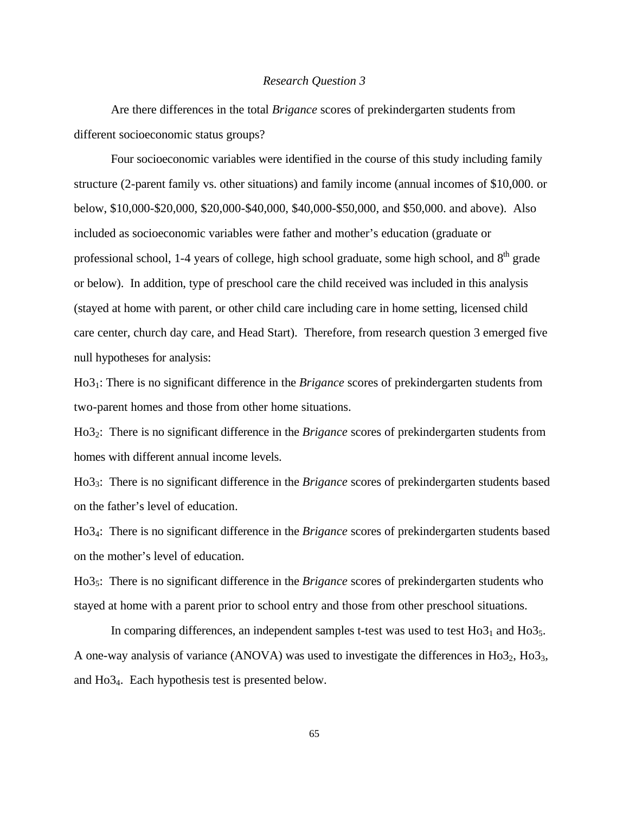#### *Research Question 3*

Are there differences in the total *Brigance* scores of prekindergarten students from different socioeconomic status groups?

Four socioeconomic variables were identified in the course of this study including family structure (2-parent family vs. other situations) and family income (annual incomes of \$10,000. or below, \$10,000-\$20,000, \$20,000-\$40,000, \$40,000-\$50,000, and \$50,000. and above). Also included as socioeconomic variables were father and mother's education (graduate or professional school, 1-4 years of college, high school graduate, some high school, and  $8<sup>th</sup>$  grade or below). In addition, type of preschool care the child received was included in this analysis (stayed at home with parent, or other child care including care in home setting, licensed child care center, church day care, and Head Start). Therefore, from research question 3 emerged five null hypotheses for analysis:

Ho31: There is no significant difference in the *Brigance* scores of prekindergarten students from two-parent homes and those from other home situations.

Ho32: There is no significant difference in the *Brigance* scores of prekindergarten students from homes with different annual income levels.

Ho33: There is no significant difference in the *Brigance* scores of prekindergarten students based on the father's level of education.

Ho34: There is no significant difference in the *Brigance* scores of prekindergarten students based on the mother's level of education.

Ho35: There is no significant difference in the *Brigance* scores of prekindergarten students who stayed at home with a parent prior to school entry and those from other preschool situations.

In comparing differences, an independent samples t-test was used to test  $H<sub>03<sub>1</sub></sub>$  and  $H<sub>03<sub>5</sub></sub>$ . A one-way analysis of variance (ANOVA) was used to investigate the differences in  $H<sub>032</sub>$ ,  $H<sub>033</sub>$ , and Ho34. Each hypothesis test is presented below.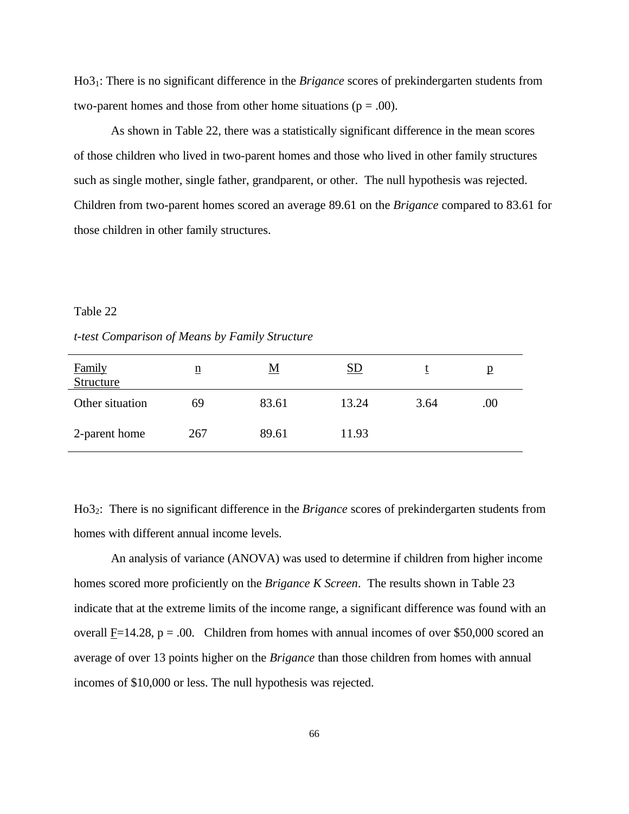Ho31: There is no significant difference in the *Brigance* scores of prekindergarten students from two-parent homes and those from other home situations ( $p = .00$ ).

As shown in Table 22, there was a statistically significant difference in the mean scores of those children who lived in two-parent homes and those who lived in other family structures such as single mother, single father, grandparent, or other. The null hypothesis was rejected. Children from two-parent homes scored an average 89.61 on the *Brigance* compared to 83.61 for those children in other family structures.

#### Table 22

*t-test Comparison of Means by Family Structure*

| <b>Family</b><br><b>Structure</b> | $\underline{n}$ | <u>М</u> | <b>SD</b> |      | p    |
|-----------------------------------|-----------------|----------|-----------|------|------|
| Other situation                   | 69              | 83.61    | 13.24     | 3.64 | .00. |
| 2-parent home                     | 267             | 89.61    | 11.93     |      |      |

Ho32: There is no significant difference in the *Brigance* scores of prekindergarten students from homes with different annual income levels.

An analysis of variance (ANOVA) was used to determine if children from higher income homes scored more proficiently on the *Brigance K Screen*. The results shown in Table 23 indicate that at the extreme limits of the income range, a significant difference was found with an overall  $E=14.28$ ,  $p = .00$ . Children from homes with annual incomes of over \$50,000 scored an average of over 13 points higher on the *Brigance* than those children from homes with annual incomes of \$10,000 or less. The null hypothesis was rejected.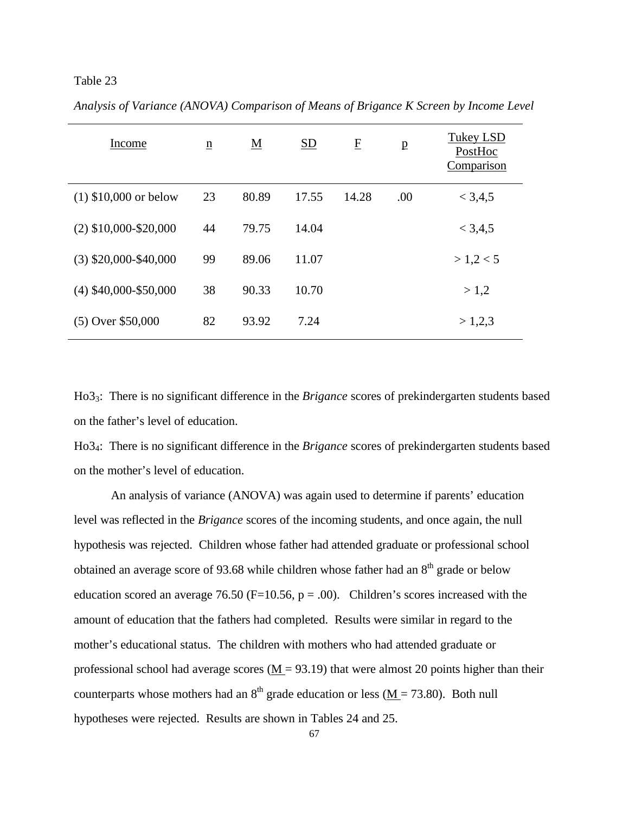| Income                  | $\underline{n}$ | $\underline{\mathbf{M}}$ | SD    | E     | p   | <b>Tukey LSD</b><br>PostHoc<br>Comparison |
|-------------------------|-----------------|--------------------------|-------|-------|-----|-------------------------------------------|
| $(1)$ \$10,000 or below | 23              | 80.89                    | 17.55 | 14.28 | .00 | < 3,4,5                                   |
| $(2)$ \$10,000-\$20,000 | 44              | 79.75                    | 14.04 |       |     | < 3,4,5                                   |
| $(3)$ \$20,000-\$40,000 | 99              | 89.06                    | 11.07 |       |     | > 1,2 < 5                                 |
| $(4)$ \$40,000-\$50,000 | 38              | 90.33                    | 10.70 |       |     | > 1,2                                     |
| $(5)$ Over \$50,000     | 82              | 93.92                    | 7.24  |       |     | > 1,2,3                                   |

*Analysis of Variance (ANOVA) Comparison of Means of Brigance K Screen by Income Level*

Ho33: There is no significant difference in the *Brigance* scores of prekindergarten students based on the father's level of education.

Ho34: There is no significant difference in the *Brigance* scores of prekindergarten students based on the mother's level of education.

An analysis of variance (ANOVA) was again used to determine if parents' education level was reflected in the *Brigance* scores of the incoming students, and once again, the null hypothesis was rejected. Children whose father had attended graduate or professional school obtained an average score of 93.68 while children whose father had an 8<sup>th</sup> grade or below education scored an average 76.50 ( $F=10.56$ ,  $p=.00$ ). Children's scores increased with the amount of education that the fathers had completed. Results were similar in regard to the mother's educational status. The children with mothers who had attended graduate or professional school had average scores ( $M = 93.19$ ) that were almost 20 points higher than their counterparts whose mothers had an  $8<sup>th</sup>$  grade education or less (M = 73.80). Both null hypotheses were rejected. Results are shown in Tables 24 and 25.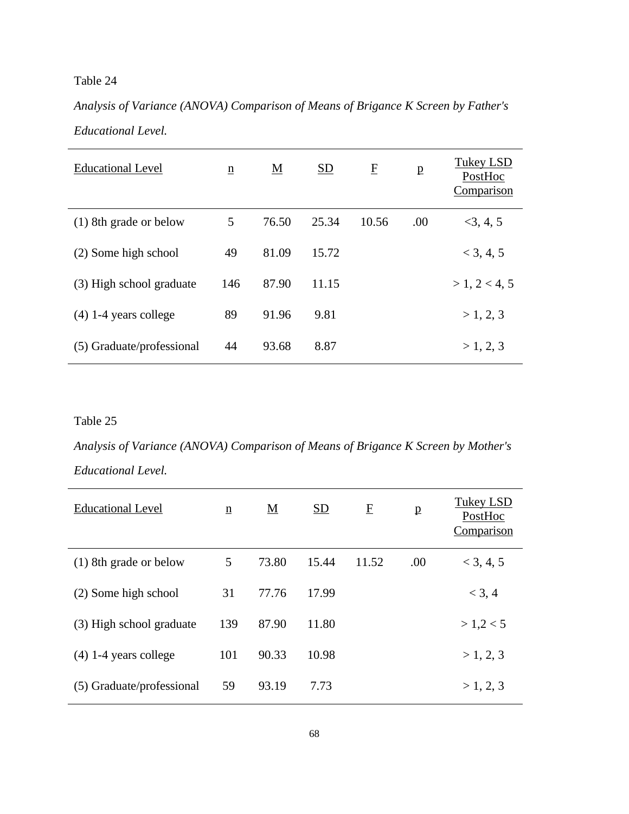*Analysis of Variance (ANOVA) Comparison of Means of Brigance K Screen by Father's Educational Level.*

| <b>Educational Level</b>  | $\underline{n}$ | <u>M</u> | SD    | $\overline{E}$ | p   | Tukey LSD<br>PostHoc<br>Comparison |
|---------------------------|-----------------|----------|-------|----------------|-----|------------------------------------|
| (1) 8th grade or below    | 5               | 76.50    | 25.34 | 10.56          | .00 | $<$ 3, 4, 5                        |
| (2) Some high school      | 49              | 81.09    | 15.72 |                |     | $<$ 3, 4, 5                        |
| (3) High school graduate  | 146             | 87.90    | 11.15 |                |     | >1, 2 < 4, 5                       |
| $(4)$ 1-4 years college   | 89              | 91.96    | 9.81  |                |     | > 1, 2, 3                          |
| (5) Graduate/professional | 44              | 93.68    | 8.87  |                |     | > 1, 2, 3                          |

# Table 25

*Analysis of Variance (ANOVA) Comparison of Means of Brigance K Screen by Mother's Educational Level.*

| <b>Educational Level</b>  | $\underline{n}$ | M     | SD    | $\mathbf{F}$ | $\mathbf{p}$ | Tukey LSD<br>PostHoc<br>Comparison |
|---------------------------|-----------------|-------|-------|--------------|--------------|------------------------------------|
| (1) 8th grade or below    | 5               | 73.80 | 15.44 | 11.52        | .00          | $<$ 3, 4, 5                        |
| (2) Some high school      | 31              | 77.76 | 17.99 |              |              | $<$ 3, 4                           |
| (3) High school graduate  | 139             | 87.90 | 11.80 |              |              | > 1,2 < 5                          |
| $(4)$ 1-4 years college   | 101             | 90.33 | 10.98 |              |              | > 1, 2, 3                          |
| (5) Graduate/professional | 59              | 93.19 | 7.73  |              |              | > 1, 2, 3                          |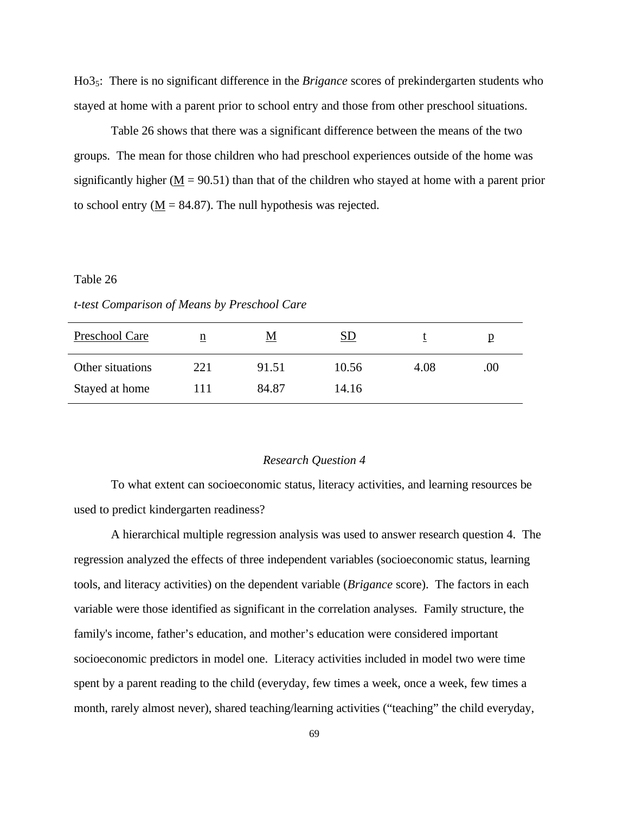Ho35: There is no significant difference in the *Brigance* scores of prekindergarten students who stayed at home with a parent prior to school entry and those from other preschool situations.

Table 26 shows that there was a significant difference between the means of the two groups. The mean for those children who had preschool experiences outside of the home was significantly higher ( $M = 90.51$ ) than that of the children who stayed at home with a parent prior to school entry  $(M = 84.87)$ . The null hypothesis was rejected.

#### Table 26

*t-test Comparison of Means by Preschool Care*

| Preschool Care   | n   | М     | $_{\rm SD}$ |      | p   |
|------------------|-----|-------|-------------|------|-----|
| Other situations | 221 | 91.51 | 10.56       | 4.08 | .00 |
| Stayed at home   | 111 | 84.87 | 14.16       |      |     |

### *Research Question 4*

To what extent can socioeconomic status, literacy activities, and learning resources be used to predict kindergarten readiness?

A hierarchical multiple regression analysis was used to answer research question 4. The regression analyzed the effects of three independent variables (socioeconomic status, learning tools, and literacy activities) on the dependent variable (*Brigance* score). The factors in each variable were those identified as significant in the correlation analyses. Family structure, the family's income, father's education, and mother's education were considered important socioeconomic predictors in model one. Literacy activities included in model two were time spent by a parent reading to the child (everyday, few times a week, once a week, few times a month, rarely almost never), shared teaching/learning activities ("teaching" the child everyday,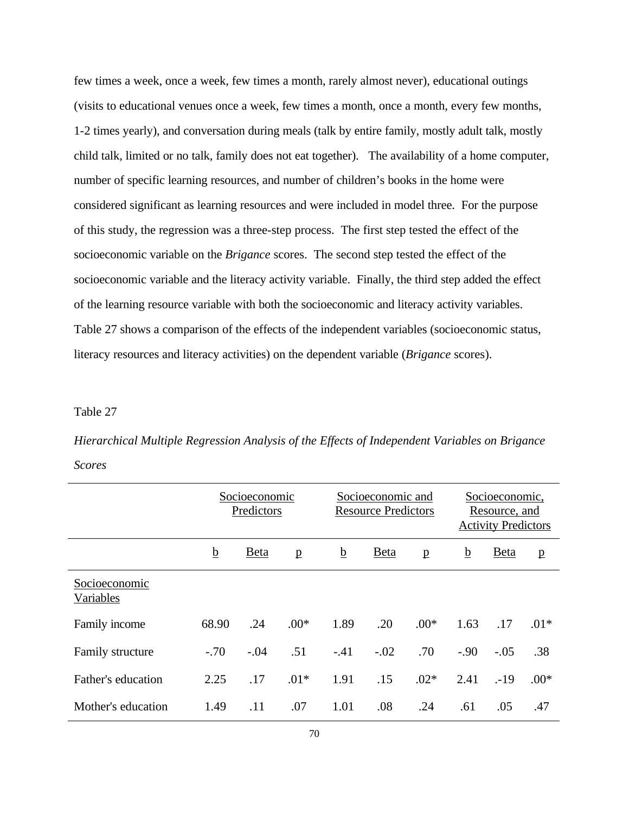few times a week, once a week, few times a month, rarely almost never), educational outings (visits to educational venues once a week, few times a month, once a month, every few months, 1-2 times yearly), and conversation during meals (talk by entire family, mostly adult talk, mostly child talk, limited or no talk, family does not eat together). The availability of a home computer, number of specific learning resources, and number of children's books in the home were considered significant as learning resources and were included in model three. For the purpose of this study, the regression was a three-step process. The first step tested the effect of the socioeconomic variable on the *Brigance* scores. The second step tested the effect of the socioeconomic variable and the literacy activity variable. Finally, the third step added the effect of the learning resource variable with both the socioeconomic and literacy activity variables. Table 27 shows a comparison of the effects of the independent variables (socioeconomic status, literacy resources and literacy activities) on the dependent variable (*Brigance* scores).

#### Table 27

*Hierarchical Multiple Regression Analysis of the Effects of Independent Variables on Brigance Scores*

|                            | Socioeconomic<br>Predictors |             |              | Socioeconomic and<br><b>Resource Predictors</b> |             |              | Socioeconomic,<br>Resource, and<br><b>Activity Predictors</b> |             |        |
|----------------------------|-----------------------------|-------------|--------------|-------------------------------------------------|-------------|--------------|---------------------------------------------------------------|-------------|--------|
|                            | $\underline{b}$             | <b>Beta</b> | $\mathbf{p}$ | $\underline{b}$                                 | <b>Beta</b> | $\mathbf{p}$ | <u>b</u>                                                      | <b>Beta</b> | p      |
| Socioeconomic<br>Variables |                             |             |              |                                                 |             |              |                                                               |             |        |
| Family income              | 68.90                       | .24         | $.00*$       | 1.89                                            | .20         | $.00*$       | 1.63                                                          | .17         | $.01*$ |
| Family structure           | $-.70$                      | $-.04$      | .51          | $-.41$                                          | $-.02$      | .70          | $-.90$                                                        | $-.05$      | .38    |
| Father's education         | 2.25                        | .17         | $.01*$       | 1.91                                            | .15         | $.02*$       | 2.41                                                          | $-19$       | $.00*$ |
| Mother's education         | 1.49                        | .11         | .07          | 1.01                                            | .08         | .24          | .61                                                           | .05         | .47    |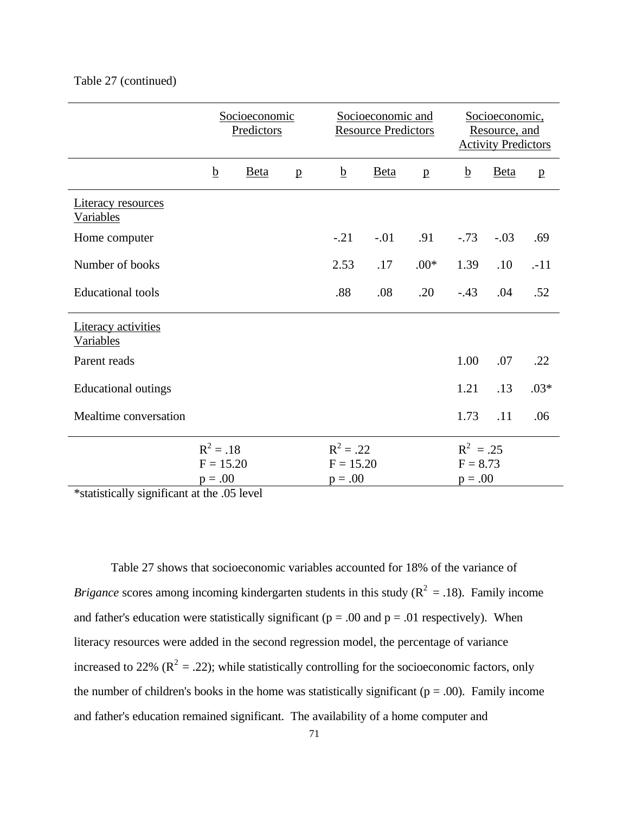## Table 27 (continued)

|                                                | Socioeconomic<br>Predictors           |             |              |                 | Socioeconomic and<br><b>Resource Predictors</b> |              | Socioeconomic,<br>Resource, and<br><b>Activity Predictors</b> |                                      |              |  |
|------------------------------------------------|---------------------------------------|-------------|--------------|-----------------|-------------------------------------------------|--------------|---------------------------------------------------------------|--------------------------------------|--------------|--|
|                                                | $\underline{b}$                       | <b>Beta</b> | $\mathbf{p}$ | $\underline{b}$ | <u>Beta</u>                                     | $\mathbf{p}$ | $\underline{b}$                                               | <u>Beta</u>                          | $\mathbf{p}$ |  |
| Literacy resources<br><b>Variables</b>         |                                       |             |              |                 |                                                 |              |                                                               |                                      |              |  |
| Home computer                                  |                                       |             |              | $-.21$          | $-.01$                                          | .91          | $-.73$                                                        | $-.03$                               | .69          |  |
| Number of books                                |                                       |             |              | 2.53            | .17                                             | $.00*$       | 1.39                                                          | .10                                  | $-11$        |  |
| <b>Educational</b> tools                       |                                       |             |              | .88             | .08                                             | .20          | $-.43$                                                        | .04                                  | .52          |  |
| <b>Literacy activities</b><br><b>Variables</b> |                                       |             |              |                 |                                                 |              |                                                               |                                      |              |  |
| Parent reads                                   |                                       |             |              |                 |                                                 |              | 1.00                                                          | .07                                  | .22          |  |
| <b>Educational outings</b>                     |                                       |             |              |                 |                                                 |              | 1.21                                                          | .13                                  | $.03*$       |  |
| Mealtime conversation                          |                                       |             |              |                 |                                                 |              | 1.73                                                          | .11                                  | .06          |  |
| $\sim$                                         | $R^2 = .18$<br>$F = 15.20$<br>$p=.00$ |             |              |                 | $R^2 = .22$<br>$F = 15.20$<br>$p = .00$         |              |                                                               | $R^2 = .25$<br>$F = 8.73$<br>$p=.00$ |              |  |

\*statistically significant at the .05 level

Table 27 shows that socioeconomic variables accounted for 18% of the variance of *Brigance* scores among incoming kindergarten students in this study ( $R^2 = .18$ ). Family income and father's education were statistically significant ( $p = .00$  and  $p = .01$  respectively). When literacy resources were added in the second regression model, the percentage of variance increased to 22% ( $\mathbb{R}^2 = .22$ ); while statistically controlling for the socioeconomic factors, only the number of children's books in the home was statistically significant ( $p = .00$ ). Family income and father's education remained significant. The availability of a home computer and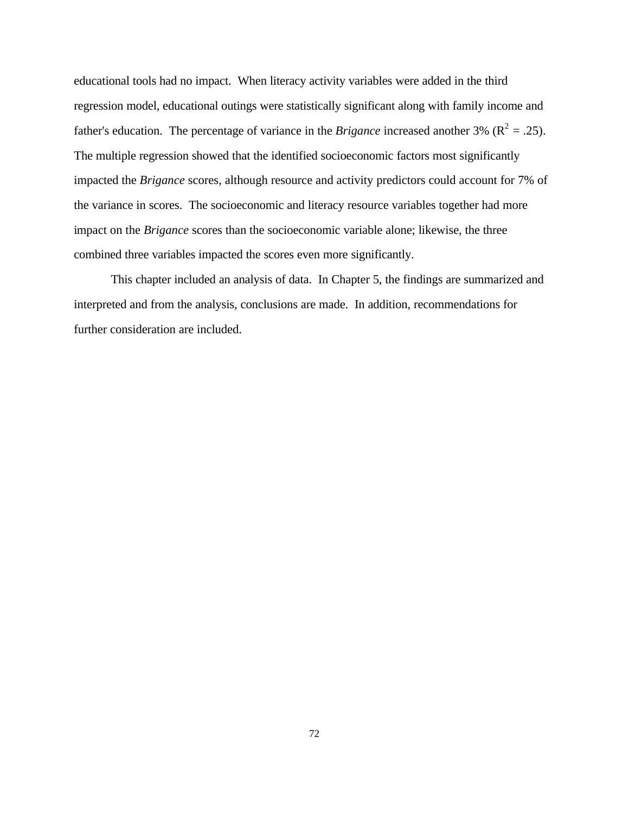educational tools had no impact. When literacy activity variables were added in the third regression model, educational outings were statistically significant along with family income and father's education. The percentage of variance in the *Brigance* increased another 3% ( $R^2 = .25$ ). The multiple regression showed that the identified socioeconomic factors most significantly impacted the *Brigance* scores, although resource and activity predictors could account for 7% of the variance in scores. The socioeconomic and literacy resource variables together had more impact on the *Brigance* scores than the socioeconomic variable alone; likewise, the three combined three variables impacted the scores even more significantly.

This chapter included an analysis of data. In Chapter 5, the findings are summarized and interpreted and from the analysis, conclusions are made. In addition, recommendations for further consideration are included.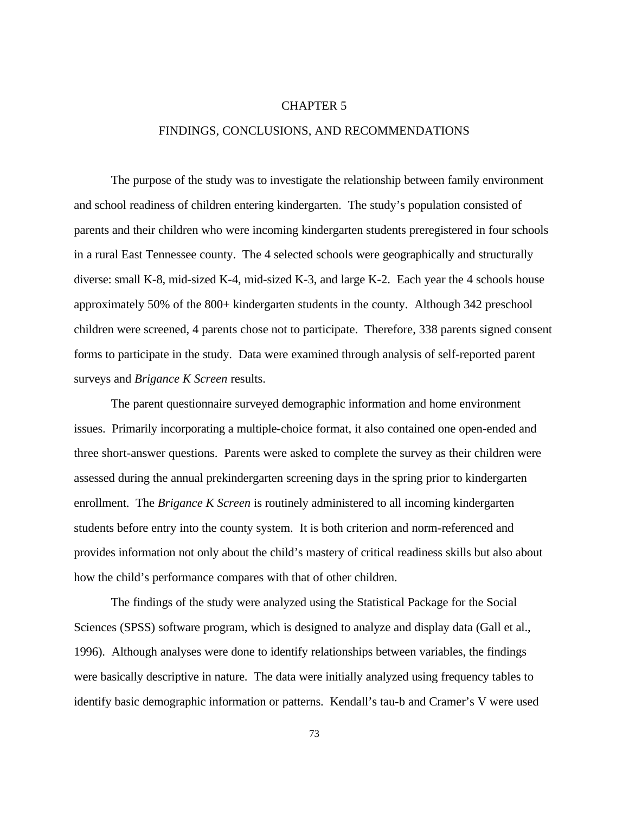#### CHAPTER 5

### FINDINGS, CONCLUSIONS, AND RECOMMENDATIONS

The purpose of the study was to investigate the relationship between family environment and school readiness of children entering kindergarten. The study's population consisted of parents and their children who were incoming kindergarten students preregistered in four schools in a rural East Tennessee county. The 4 selected schools were geographically and structurally diverse: small K-8, mid-sized K-4, mid-sized K-3, and large K-2. Each year the 4 schools house approximately 50% of the 800+ kindergarten students in the county. Although 342 preschool children were screened, 4 parents chose not to participate. Therefore, 338 parents signed consent forms to participate in the study. Data were examined through analysis of self-reported parent surveys and *Brigance K Screen* results.

The parent questionnaire surveyed demographic information and home environment issues. Primarily incorporating a multiple-choice format, it also contained one open-ended and three short-answer questions. Parents were asked to complete the survey as their children were assessed during the annual prekindergarten screening days in the spring prior to kindergarten enrollment. The *Brigance K Screen* is routinely administered to all incoming kindergarten students before entry into the county system. It is both criterion and norm-referenced and provides information not only about the child's mastery of critical readiness skills but also about how the child's performance compares with that of other children.

The findings of the study were analyzed using the Statistical Package for the Social Sciences (SPSS) software program, which is designed to analyze and display data (Gall et al., 1996). Although analyses were done to identify relationships between variables, the findings were basically descriptive in nature. The data were initially analyzed using frequency tables to identify basic demographic information or patterns. Kendall's tau-b and Cramer's V were used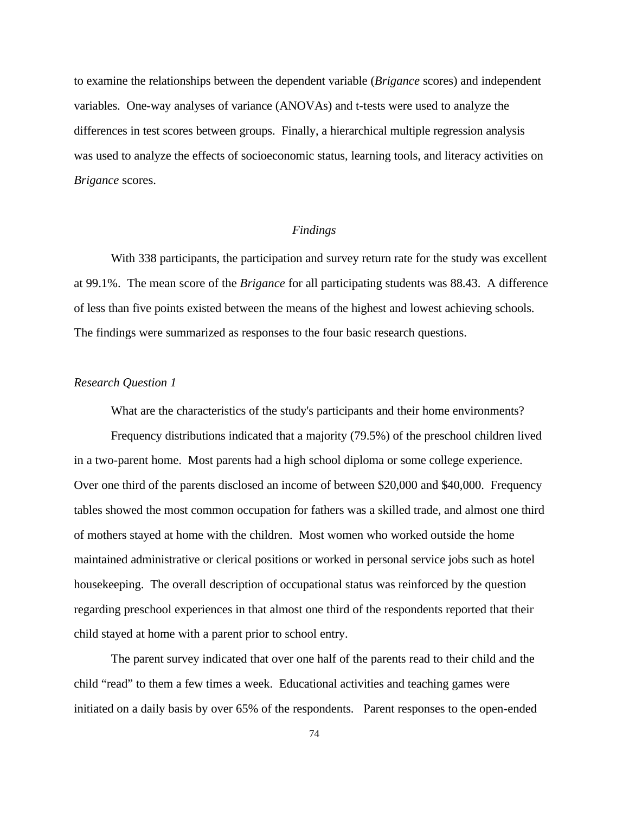to examine the relationships between the dependent variable (*Brigance* scores) and independent variables. One-way analyses of variance (ANOVAs) and t-tests were used to analyze the differences in test scores between groups. Finally, a hierarchical multiple regression analysis was used to analyze the effects of socioeconomic status, learning tools, and literacy activities on *Brigance* scores.

#### *Findings*

With 338 participants, the participation and survey return rate for the study was excellent at 99.1%. The mean score of the *Brigance* for all participating students was 88.43. A difference of less than five points existed between the means of the highest and lowest achieving schools. The findings were summarized as responses to the four basic research questions.

### *Research Question 1*

What are the characteristics of the study's participants and their home environments?

Frequency distributions indicated that a majority (79.5%) of the preschool children lived in a two-parent home. Most parents had a high school diploma or some college experience. Over one third of the parents disclosed an income of between \$20,000 and \$40,000. Frequency tables showed the most common occupation for fathers was a skilled trade, and almost one third of mothers stayed at home with the children. Most women who worked outside the home maintained administrative or clerical positions or worked in personal service jobs such as hotel housekeeping. The overall description of occupational status was reinforced by the question regarding preschool experiences in that almost one third of the respondents reported that their child stayed at home with a parent prior to school entry.

The parent survey indicated that over one half of the parents read to their child and the child "read" to them a few times a week. Educational activities and teaching games were initiated on a daily basis by over 65% of the respondents. Parent responses to the open-ended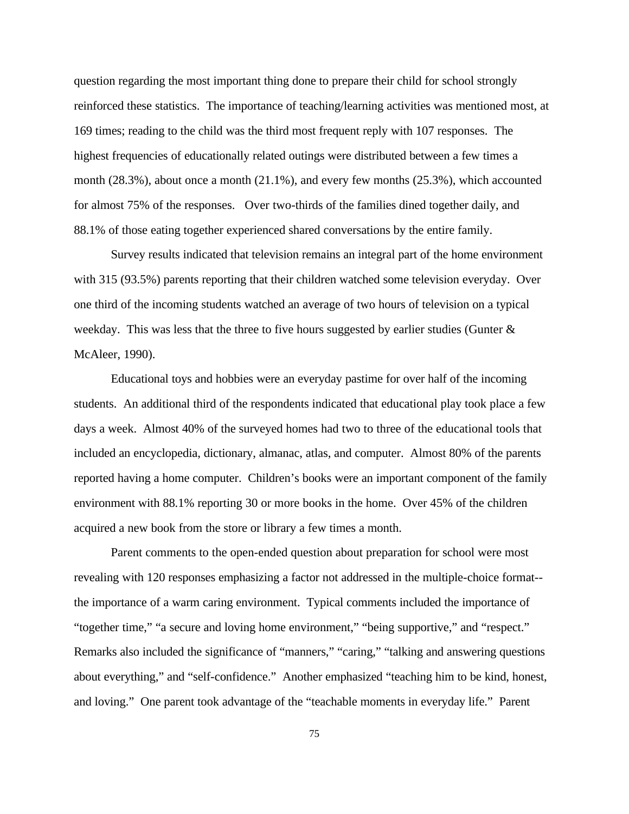question regarding the most important thing done to prepare their child for school strongly reinforced these statistics. The importance of teaching/learning activities was mentioned most, at 169 times; reading to the child was the third most frequent reply with 107 responses. The highest frequencies of educationally related outings were distributed between a few times a month (28.3%), about once a month (21.1%), and every few months (25.3%), which accounted for almost 75% of the responses. Over two-thirds of the families dined together daily, and 88.1% of those eating together experienced shared conversations by the entire family.

Survey results indicated that television remains an integral part of the home environment with 315 (93.5%) parents reporting that their children watched some television everyday. Over one third of the incoming students watched an average of two hours of television on a typical weekday. This was less that the three to five hours suggested by earlier studies (Gunter & McAleer, 1990).

Educational toys and hobbies were an everyday pastime for over half of the incoming students. An additional third of the respondents indicated that educational play took place a few days a week. Almost 40% of the surveyed homes had two to three of the educational tools that included an encyclopedia, dictionary, almanac, atlas, and computer. Almost 80% of the parents reported having a home computer. Children's books were an important component of the family environment with 88.1% reporting 30 or more books in the home. Over 45% of the children acquired a new book from the store or library a few times a month.

Parent comments to the open-ended question about preparation for school were most revealing with 120 responses emphasizing a factor not addressed in the multiple-choice format- the importance of a warm caring environment. Typical comments included the importance of "together time," "a secure and loving home environment," "being supportive," and "respect." Remarks also included the significance of "manners," "caring," "talking and answering questions about everything," and "self-confidence." Another emphasized "teaching him to be kind, honest, and loving." One parent took advantage of the "teachable moments in everyday life." Parent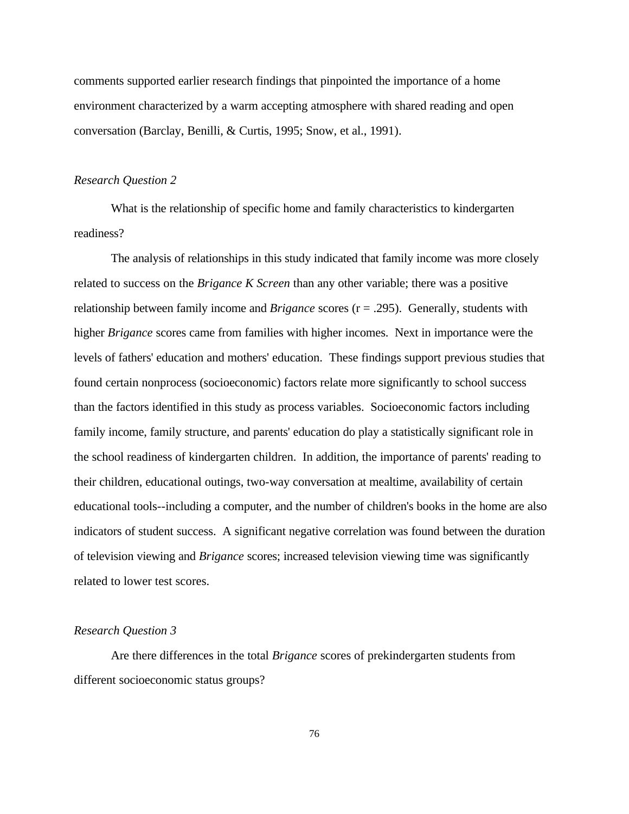comments supported earlier research findings that pinpointed the importance of a home environment characterized by a warm accepting atmosphere with shared reading and open conversation (Barclay, Benilli, & Curtis, 1995; Snow, et al., 1991).

### *Research Question 2*

What is the relationship of specific home and family characteristics to kindergarten readiness?

The analysis of relationships in this study indicated that family income was more closely related to success on the *Brigance K Screen* than any other variable; there was a positive relationship between family income and *Brigance* scores (r = .295). Generally, students with higher *Brigance* scores came from families with higher incomes. Next in importance were the levels of fathers' education and mothers' education. These findings support previous studies that found certain nonprocess (socioeconomic) factors relate more significantly to school success than the factors identified in this study as process variables. Socioeconomic factors including family income, family structure, and parents' education do play a statistically significant role in the school readiness of kindergarten children. In addition, the importance of parents' reading to their children, educational outings, two-way conversation at mealtime, availability of certain educational tools--including a computer, and the number of children's books in the home are also indicators of student success. A significant negative correlation was found between the duration of television viewing and *Brigance* scores; increased television viewing time was significantly related to lower test scores.

### *Research Question 3*

Are there differences in the total *Brigance* scores of prekindergarten students from different socioeconomic status groups?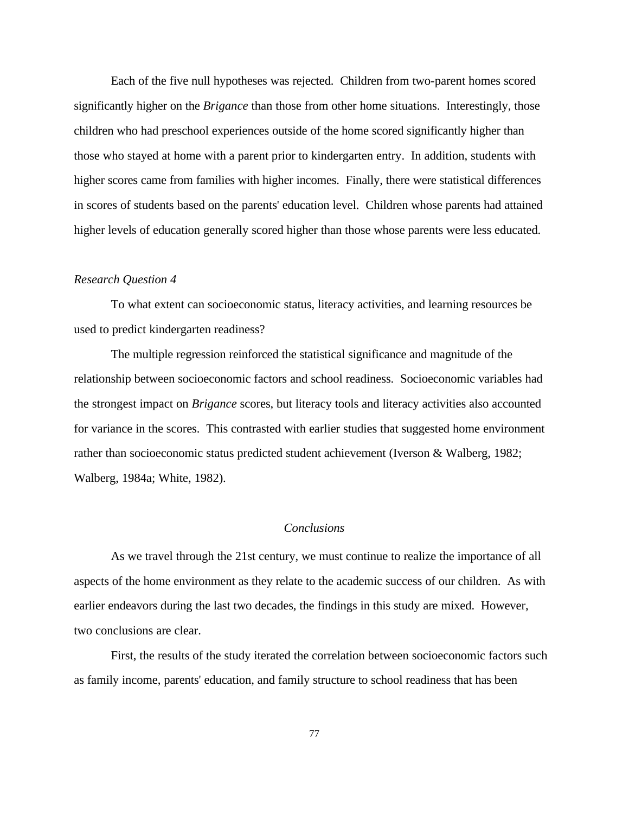Each of the five null hypotheses was rejected. Children from two-parent homes scored significantly higher on the *Brigance* than those from other home situations. Interestingly, those children who had preschool experiences outside of the home scored significantly higher than those who stayed at home with a parent prior to kindergarten entry. In addition, students with higher scores came from families with higher incomes. Finally, there were statistical differences in scores of students based on the parents' education level. Children whose parents had attained higher levels of education generally scored higher than those whose parents were less educated.

#### *Research Question 4*

To what extent can socioeconomic status, literacy activities, and learning resources be used to predict kindergarten readiness?

The multiple regression reinforced the statistical significance and magnitude of the relationship between socioeconomic factors and school readiness. Socioeconomic variables had the strongest impact on *Brigance* scores, but literacy tools and literacy activities also accounted for variance in the scores. This contrasted with earlier studies that suggested home environment rather than socioeconomic status predicted student achievement (Iverson & Walberg, 1982; Walberg, 1984a; White, 1982).

## *Conclusions*

As we travel through the 21st century, we must continue to realize the importance of all aspects of the home environment as they relate to the academic success of our children. As with earlier endeavors during the last two decades, the findings in this study are mixed. However, two conclusions are clear.

First, the results of the study iterated the correlation between socioeconomic factors such as family income, parents' education, and family structure to school readiness that has been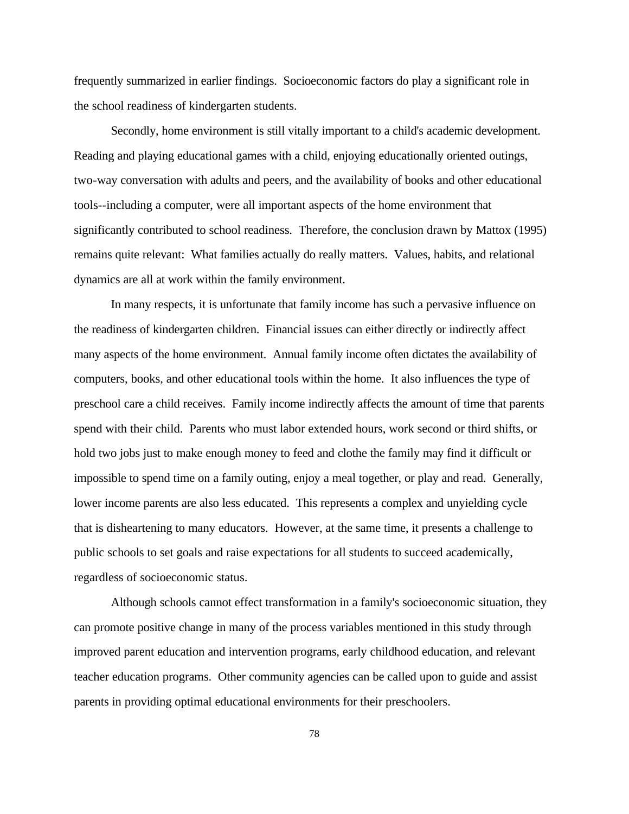frequently summarized in earlier findings. Socioeconomic factors do play a significant role in the school readiness of kindergarten students.

Secondly, home environment is still vitally important to a child's academic development. Reading and playing educational games with a child, enjoying educationally oriented outings, two-way conversation with adults and peers, and the availability of books and other educational tools--including a computer, were all important aspects of the home environment that significantly contributed to school readiness. Therefore, the conclusion drawn by Mattox (1995) remains quite relevant: What families actually do really matters. Values, habits, and relational dynamics are all at work within the family environment.

In many respects, it is unfortunate that family income has such a pervasive influence on the readiness of kindergarten children. Financial issues can either directly or indirectly affect many aspects of the home environment. Annual family income often dictates the availability of computers, books, and other educational tools within the home. It also influences the type of preschool care a child receives. Family income indirectly affects the amount of time that parents spend with their child. Parents who must labor extended hours, work second or third shifts, or hold two jobs just to make enough money to feed and clothe the family may find it difficult or impossible to spend time on a family outing, enjoy a meal together, or play and read. Generally, lower income parents are also less educated. This represents a complex and unyielding cycle that is disheartening to many educators. However, at the same time, it presents a challenge to public schools to set goals and raise expectations for all students to succeed academically, regardless of socioeconomic status.

Although schools cannot effect transformation in a family's socioeconomic situation, they can promote positive change in many of the process variables mentioned in this study through improved parent education and intervention programs, early childhood education, and relevant teacher education programs. Other community agencies can be called upon to guide and assist parents in providing optimal educational environments for their preschoolers.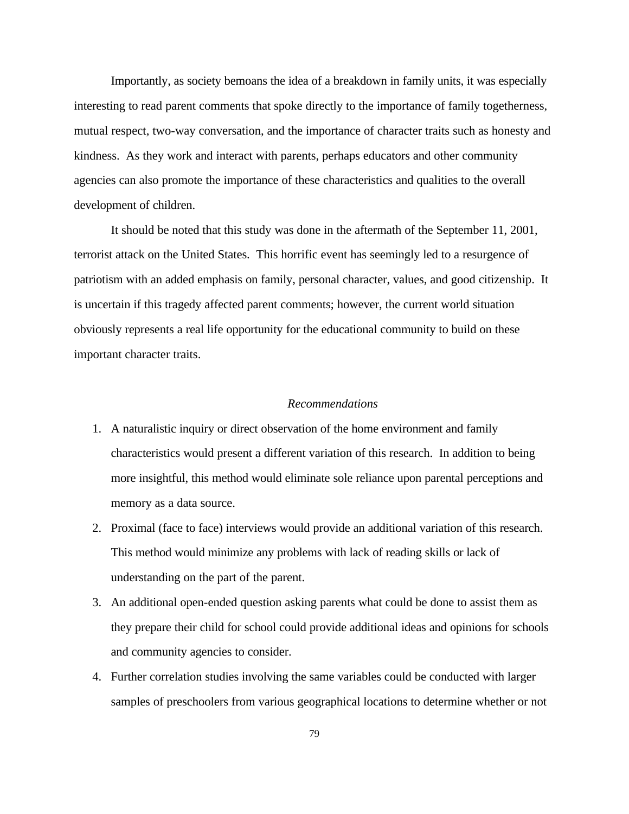Importantly, as society bemoans the idea of a breakdown in family units, it was especially interesting to read parent comments that spoke directly to the importance of family togetherness, mutual respect, two-way conversation, and the importance of character traits such as honesty and kindness. As they work and interact with parents, perhaps educators and other community agencies can also promote the importance of these characteristics and qualities to the overall development of children.

It should be noted that this study was done in the aftermath of the September 11, 2001, terrorist attack on the United States. This horrific event has seemingly led to a resurgence of patriotism with an added emphasis on family, personal character, values, and good citizenship. It is uncertain if this tragedy affected parent comments; however, the current world situation obviously represents a real life opportunity for the educational community to build on these important character traits.

#### *Recommendations*

- 1. A naturalistic inquiry or direct observation of the home environment and family characteristics would present a different variation of this research. In addition to being more insightful, this method would eliminate sole reliance upon parental perceptions and memory as a data source.
- 2. Proximal (face to face) interviews would provide an additional variation of this research. This method would minimize any problems with lack of reading skills or lack of understanding on the part of the parent.
- 3. An additional open-ended question asking parents what could be done to assist them as they prepare their child for school could provide additional ideas and opinions for schools and community agencies to consider.
- 4. Further correlation studies involving the same variables could be conducted with larger samples of preschoolers from various geographical locations to determine whether or not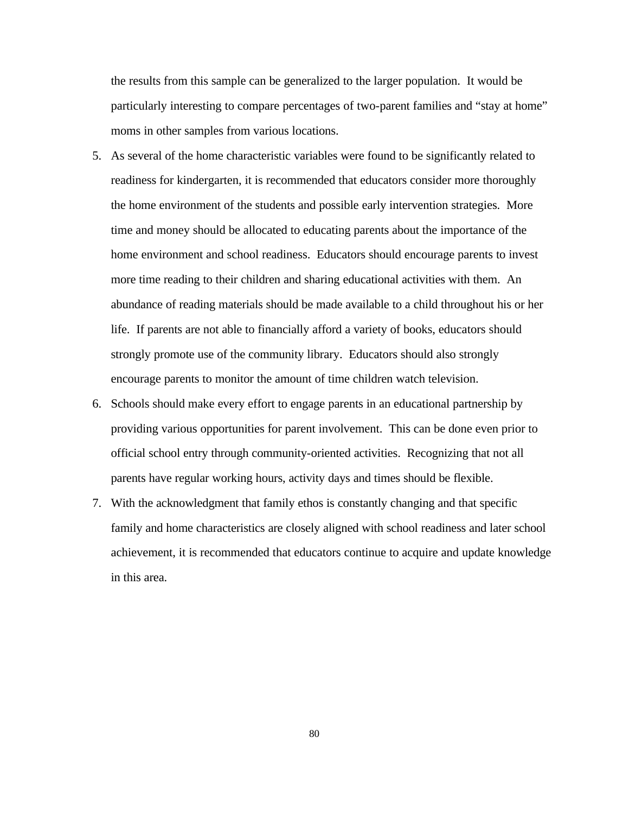the results from this sample can be generalized to the larger population. It would be particularly interesting to compare percentages of two-parent families and "stay at home" moms in other samples from various locations.

- 5. As several of the home characteristic variables were found to be significantly related to readiness for kindergarten, it is recommended that educators consider more thoroughly the home environment of the students and possible early intervention strategies. More time and money should be allocated to educating parents about the importance of the home environment and school readiness. Educators should encourage parents to invest more time reading to their children and sharing educational activities with them. An abundance of reading materials should be made available to a child throughout his or her life. If parents are not able to financially afford a variety of books, educators should strongly promote use of the community library. Educators should also strongly encourage parents to monitor the amount of time children watch television.
- 6. Schools should make every effort to engage parents in an educational partnership by providing various opportunities for parent involvement. This can be done even prior to official school entry through community-oriented activities. Recognizing that not all parents have regular working hours, activity days and times should be flexible.
- 7. With the acknowledgment that family ethos is constantly changing and that specific family and home characteristics are closely aligned with school readiness and later school achievement, it is recommended that educators continue to acquire and update knowledge in this area.

80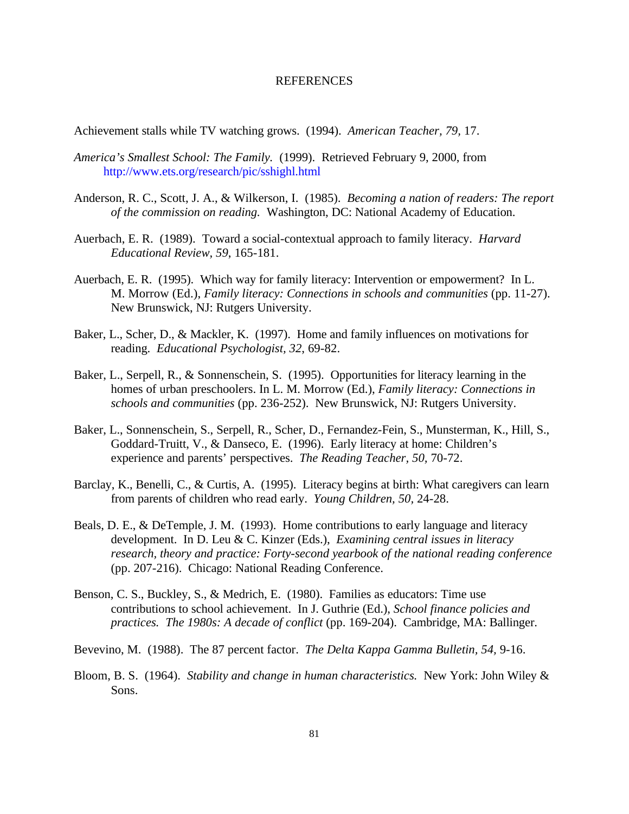#### REFERENCES

Achievement stalls while TV watching grows. (1994). *American Teacher, 79,* 17.

- *America's Smallest School: The Family.* (1999). Retrieved February 9, 2000, from http://www.ets.org/research/pic/sshighl.html
- Anderson, R. C., Scott, J. A., & Wilkerson, I. (1985). *Becoming a nation of readers: The report of the commission on reading.* Washington, DC: National Academy of Education.
- Auerbach, E. R. (1989). Toward a social-contextual approach to family literacy. *Harvard Educational Review, 59*, 165-181.
- Auerbach, E. R. (1995). Which way for family literacy: Intervention or empowerment? In L. M. Morrow (Ed.), *Family literacy: Connections in schools and communities* (pp. 11-27). New Brunswick, NJ: Rutgers University.
- Baker, L., Scher, D., & Mackler, K. (1997). Home and family influences on motivations for reading. *Educational Psychologist, 32*, 69-82.
- Baker, L., Serpell, R., & Sonnenschein, S. (1995). Opportunities for literacy learning in the homes of urban preschoolers. In L. M. Morrow (Ed.), *Family literacy: Connections in schools and communities* (pp. 236-252). New Brunswick, NJ: Rutgers University.
- Baker, L., Sonnenschein, S., Serpell, R., Scher, D., Fernandez-Fein, S., Munsterman, K., Hill, S., Goddard-Truitt, V., & Danseco, E. (1996). Early literacy at home: Children's experience and parents' perspectives. *The Reading Teacher, 50,* 70-72.
- Barclay, K., Benelli, C., & Curtis, A. (1995). Literacy begins at birth: What caregivers can learn from parents of children who read early. *Young Children, 50,* 24-28.
- Beals, D. E., & DeTemple, J. M. (1993). Home contributions to early language and literacy development. In D. Leu & C. Kinzer (Eds.), *Examining central issues in literacy research, theory and practice: Forty-second yearbook of the national reading conference* (pp. 207-216). Chicago: National Reading Conference.
- Benson, C. S., Buckley, S., & Medrich, E. (1980). Families as educators: Time use contributions to school achievement. In J. Guthrie (Ed.), *School finance policies and practices. The 1980s: A decade of conflict* (pp. 169-204). Cambridge, MA: Ballinger.
- Bevevino, M. (1988). The 87 percent factor. *The Delta Kappa Gamma Bulletin, 54,* 9-16.
- Bloom, B. S. (1964). *Stability and change in human characteristics.* New York: John Wiley & Sons.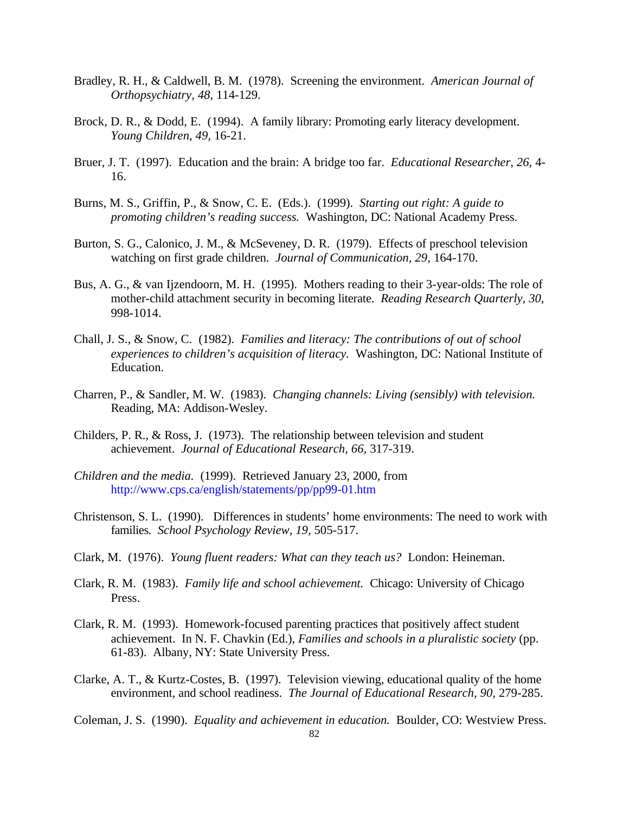- Bradley, R. H., & Caldwell, B. M. (1978). Screening the environment. *American Journal of Orthopsychiatry, 48,* 114-129.
- Brock, D. R., & Dodd, E. (1994). A family library: Promoting early literacy development. *Young Children, 49,* 16-21.
- Bruer, J. T. (1997). Education and the brain: A bridge too far. *Educational Researcher, 26,* 4- 16.
- Burns, M. S., Griffin, P., & Snow, C. E. (Eds.). (1999). *Starting out right: A guide to promoting children's reading success.* Washington, DC: National Academy Press.
- Burton, S. G., Calonico, J. M., & McSeveney, D. R. (1979). Effects of preschool television watching on first grade children. *Journal of Communication, 29,* 164-170.
- Bus, A. G., & van Ijzendoorn, M. H. (1995). Mothers reading to their 3-year-olds: The role of mother-child attachment security in becoming literate. *Reading Research Quarterly, 30,* 998-1014.
- Chall, J. S., & Snow, C. (1982). *Families and literacy: The contributions of out of school experiences to children's acquisition of literacy.* Washington, DC: National Institute of Education.
- Charren, P., & Sandler, M. W. (1983). *Changing channels: Living (sensibly) with television.* Reading, MA: Addison-Wesley.
- Childers, P. R., & Ross, J. (1973). The relationship between television and student achievement. *Journal of Educational Research, 66,* 317-319.
- *Children and the media.* (1999). Retrieved January 23, 2000, from http://www.cps.ca/english/statements/pp/pp99-01.htm
- Christenson, S. L. (1990). Differences in students' home environments: The need to work with families. *School Psychology Review, 19,* 505-517.
- Clark, M. (1976). *Young fluent readers: What can they teach us?* London: Heineman.
- Clark, R. M. (1983). *Family life and school achievement.* Chicago: University of Chicago Press.
- Clark, R. M. (1993). Homework-focused parenting practices that positively affect student achievement. In N. F. Chavkin (Ed.), *Families and schools in a pluralistic society* (pp. 61-83). Albany, NY: State University Press.
- Clarke, A. T., & Kurtz-Costes, B. (1997). Television viewing, educational quality of the home environment, and school readiness. *The Journal of Educational Research, 90,* 279-285.
- Coleman, J. S. (1990). *Equality and achievement in education.* Boulder, CO: Westview Press.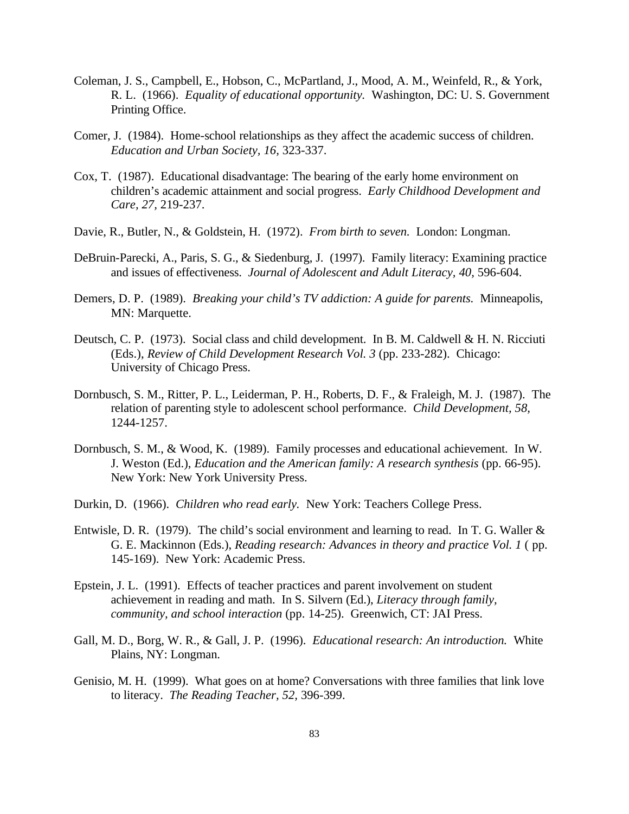- Coleman, J. S., Campbell, E., Hobson, C., McPartland, J., Mood, A. M., Weinfeld, R., & York, R. L. (1966). *Equality of educational opportunity.* Washington, DC: U. S. Government Printing Office.
- Comer, J. (1984). Home-school relationships as they affect the academic success of children. *Education and Urban Society, 16,* 323-337.
- Cox, T. (1987). Educational disadvantage: The bearing of the early home environment on children's academic attainment and social progress. *Early Childhood Development and Care, 27,* 219-237.
- Davie, R., Butler, N., & Goldstein, H. (1972). *From birth to seven.* London: Longman.
- DeBruin-Parecki, A., Paris, S. G., & Siedenburg, J. (1997). Family literacy: Examining practice and issues of effectiveness. *Journal of Adolescent and Adult Literacy, 40,* 596-604.
- Demers, D. P. (1989). *Breaking your child's TV addiction: A guide for parents.* Minneapolis, MN: Marquette.
- Deutsch, C. P. (1973). Social class and child development. In B. M. Caldwell & H. N. Ricciuti (Eds.), *Review of Child Development Research Vol. 3* (pp. 233-282). Chicago: University of Chicago Press.
- Dornbusch, S. M., Ritter, P. L., Leiderman, P. H., Roberts, D. F., & Fraleigh, M. J. (1987). The relation of parenting style to adolescent school performance. *Child Development, 58,* 1244-1257.
- Dornbusch, S. M., & Wood, K. (1989). Family processes and educational achievement. In W. J. Weston (Ed.), *Education and the American family: A research synthesis* (pp. 66-95). New York: New York University Press.
- Durkin, D. (1966). *Children who read early.* New York: Teachers College Press.
- Entwisle, D. R. (1979). The child's social environment and learning to read. In T. G. Waller & G. E. Mackinnon (Eds.), *Reading research: Advances in theory and practice Vol. 1* ( pp. 145-169). New York: Academic Press.
- Epstein, J. L. (1991). Effects of teacher practices and parent involvement on student achievement in reading and math. In S. Silvern (Ed.), *Literacy through family, community, and school interaction* (pp. 14-25). Greenwich, CT: JAI Press.
- Gall, M. D., Borg, W. R., & Gall, J. P. (1996). *Educational research: An introduction.* White Plains, NY: Longman.
- Genisio, M. H. (1999). What goes on at home? Conversations with three families that link love to literacy. *The Reading Teacher, 52,* 396-399.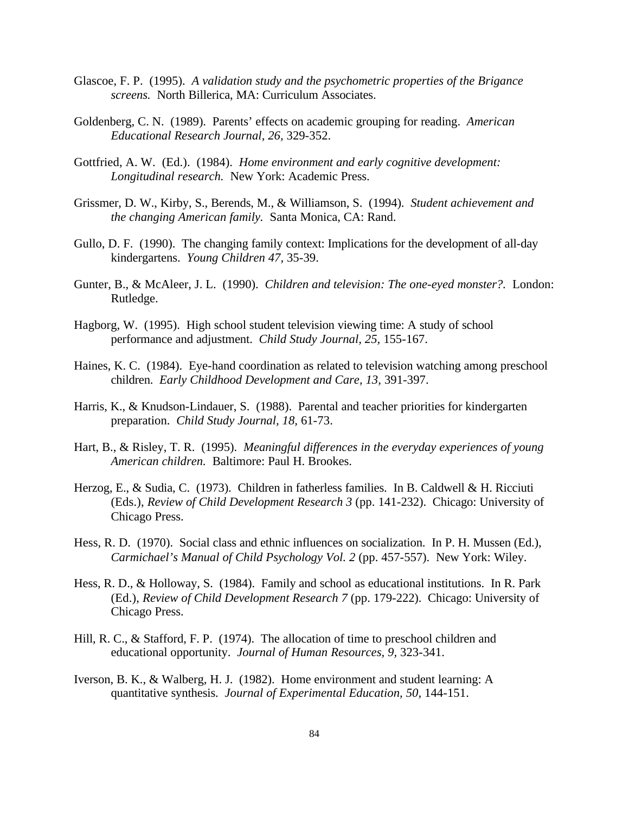- Glascoe, F. P. (1995). *A validation study and the psychometric properties of the Brigance screens.* North Billerica, MA: Curriculum Associates.
- Goldenberg, C. N. (1989). Parents' effects on academic grouping for reading. *American Educational Research Journal, 26,* 329-352.
- Gottfried, A. W. (Ed.). (1984). *Home environment and early cognitive development: Longitudinal research.* New York: Academic Press.
- Grissmer, D. W., Kirby, S., Berends, M., & Williamson, S. (1994). *Student achievement and the changing American family.* Santa Monica, CA: Rand.
- Gullo, D. F. (1990). The changing family context: Implications for the development of all-day kindergartens. *Young Children 47,* 35-39.
- Gunter, B., & McAleer, J. L. (1990). *Children and television: The one-eyed monster?.* London: Rutledge.
- Hagborg, W. (1995). High school student television viewing time: A study of school performance and adjustment. *Child Study Journal, 25,* 155-167.
- Haines, K. C. (1984). Eye-hand coordination as related to television watching among preschool children. *Early Childhood Development and Care, 13,* 391-397.
- Harris, K., & Knudson-Lindauer, S. (1988). Parental and teacher priorities for kindergarten preparation. *Child Study Journal, 18,* 61-73.
- Hart, B., & Risley, T. R. (1995). *Meaningful differences in the everyday experiences of young American children.* Baltimore: Paul H. Brookes.
- Herzog, E., & Sudia, C. (1973). Children in fatherless families. In B. Caldwell & H. Ricciuti (Eds.), *Review of Child Development Research 3* (pp. 141-232). Chicago: University of Chicago Press.
- Hess, R. D. (1970). Social class and ethnic influences on socialization. In P. H. Mussen (Ed.), *Carmichael's Manual of Child Psychology Vol. 2* (pp. 457-557). New York: Wiley.
- Hess, R. D., & Holloway, S. (1984). Family and school as educational institutions. In R. Park (Ed.), *Review of Child Development Research 7* (pp. 179-222). Chicago: University of Chicago Press.
- Hill, R. C., & Stafford, F. P. (1974). The allocation of time to preschool children and educational opportunity. *Journal of Human Resources, 9,* 323-341.
- Iverson, B. K., & Walberg, H. J. (1982). Home environment and student learning: A quantitative synthesis. *Journal of Experimental Education, 50,* 144-151.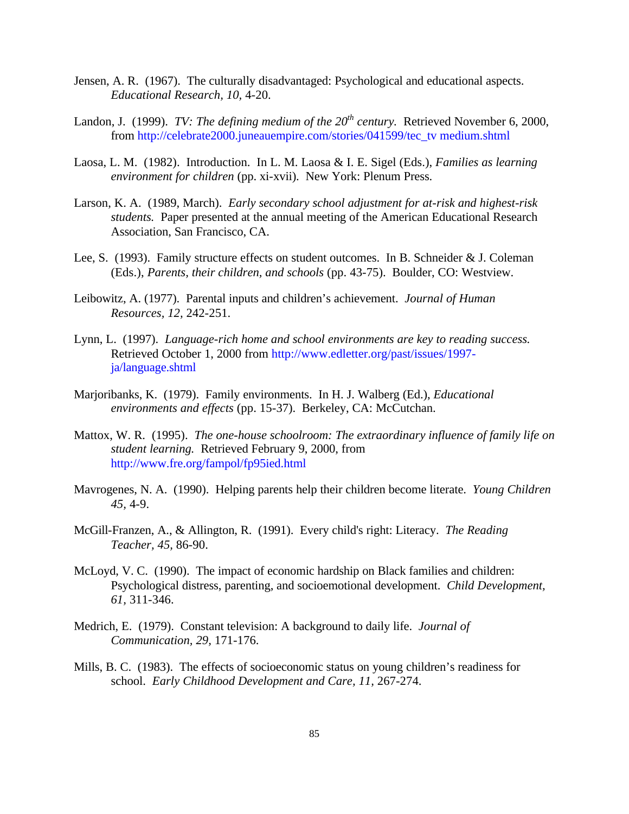- Jensen, A. R. (1967). The culturally disadvantaged: Psychological and educational aspects. *Educational Research, 10,* 4-20.
- Landon, J. (1999). *TV: The defining medium of the 20<sup>th</sup> century.* Retrieved November 6, 2000, from http://celebrate2000.juneauempire.com/stories/041599/tec\_tv medium.shtml
- Laosa, L. M. (1982). Introduction. In L. M. Laosa & I. E. Sigel (Eds.), *Families as learning environment for children* (pp. xi-xvii). New York: Plenum Press.
- Larson, K. A. (1989, March). *Early secondary school adjustment for at-risk and highest-risk students.* Paper presented at the annual meeting of the American Educational Research Association, San Francisco, CA.
- Lee, S. (1993). Family structure effects on student outcomes. In B. Schneider & J. Coleman (Eds.), *Parents, their children, and schools* (pp. 43-75). Boulder, CO: Westview.
- Leibowitz, A. (1977). Parental inputs and children's achievement. *Journal of Human Resources, 12,* 242-251.
- Lynn, L. (1997). *Language-rich home and school environments are key to reading success.* Retrieved October 1, 2000 from http://www.edletter.org/past/issues/1997 ja/language.shtml
- Marjoribanks, K. (1979). Family environments. In H. J. Walberg (Ed.), *Educational environments and effects* (pp. 15-37). Berkeley, CA: McCutchan.
- Mattox, W. R. (1995). *The one-house schoolroom: The extraordinary influence of family life on student learning.* Retrieved February 9, 2000, from http://www.fre.org/fampol/fp95ied.html
- Mavrogenes, N. A. (1990). Helping parents help their children become literate. *Young Children 45,* 4-9.
- McGill-Franzen, A., & Allington, R. (1991). Every child's right: Literacy. *The Reading Teacher, 45,* 86-90.
- McLoyd, V. C. (1990). The impact of economic hardship on Black families and children: Psychological distress, parenting, and socioemotional development. *Child Development, 61,* 311-346.
- Medrich, E. (1979). Constant television: A background to daily life. *Journal of Communication, 29,* 171-176.
- Mills, B. C. (1983). The effects of socioeconomic status on young children's readiness for school. *Early Childhood Development and Care, 11,* 267-274.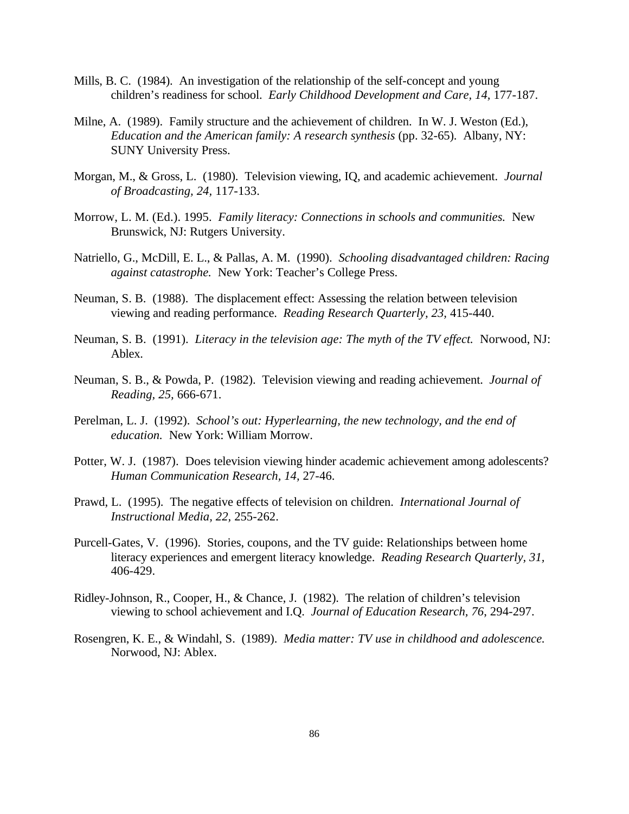- Mills, B. C. (1984). An investigation of the relationship of the self-concept and young children's readiness for school. *Early Childhood Development and Care, 14,* 177-187.
- Milne, A. (1989). Family structure and the achievement of children. In W. J. Weston (Ed.), *Education and the American family: A research synthesis* (pp. 32-65). Albany, NY: SUNY University Press.
- Morgan, M., & Gross, L. (1980). Television viewing, IQ, and academic achievement. *Journal of Broadcasting, 24,* 117-133.
- Morrow, L. M. (Ed.). 1995. *Family literacy: Connections in schools and communities.* New Brunswick, NJ: Rutgers University.
- Natriello, G., McDill, E. L., & Pallas, A. M. (1990). *Schooling disadvantaged children: Racing against catastrophe.* New York: Teacher's College Press.
- Neuman, S. B. (1988). The displacement effect: Assessing the relation between television viewing and reading performance. *Reading Research Quarterly, 23,* 415-440.
- Neuman, S. B. (1991). *Literacy in the television age: The myth of the TV effect.* Norwood, NJ: Ablex.
- Neuman, S. B., & Powda, P. (1982). Television viewing and reading achievement. *Journal of Reading, 25,* 666-671.
- Perelman, L. J. (1992). *School's out: Hyperlearning, the new technology, and the end of education.* New York: William Morrow.
- Potter, W. J. (1987). Does television viewing hinder academic achievement among adolescents? *Human Communication Research, 14,* 27-46.
- Prawd, L. (1995). The negative effects of television on children. *International Journal of Instructional Media, 22,* 255-262.
- Purcell-Gates, V. (1996). Stories, coupons, and the TV guide: Relationships between home literacy experiences and emergent literacy knowledge. *Reading Research Quarterly, 31,* 406-429.
- Ridley-Johnson, R., Cooper, H., & Chance, J. (1982). The relation of children's television viewing to school achievement and I.Q. *Journal of Education Research, 76*, 294-297.
- Rosengren, K. E., & Windahl, S. (1989). *Media matter: TV use in childhood and adolescence.* Norwood, NJ: Ablex.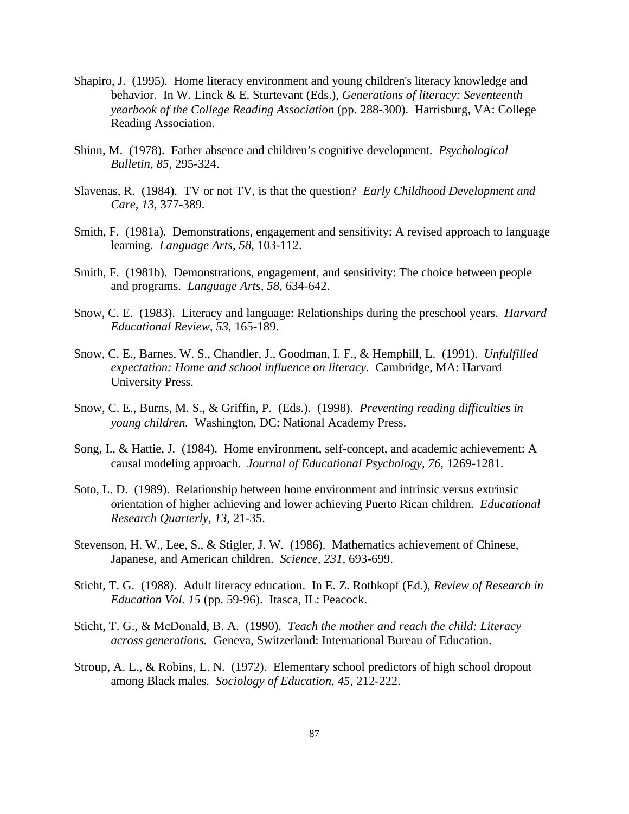- Shapiro, J. (1995). Home literacy environment and young children's literacy knowledge and behavior. In W. Linck & E. Sturtevant (Eds.), *Generations of literacy: Seventeenth yearbook of the College Reading Association* (pp. 288-300). Harrisburg, VA: College Reading Association.
- Shinn, M. (1978). Father absence and children's cognitive development. *Psychological Bulletin, 85,* 295-324.
- Slavenas, R. (1984). TV or not TV, is that the question? *Early Childhood Development and Care, 13*, 377-389.
- Smith, F. (1981a). Demonstrations, engagement and sensitivity: A revised approach to language learning. *Language Arts, 58,* 103-112.
- Smith, F. (1981b). Demonstrations, engagement, and sensitivity: The choice between people and programs. *Language Arts, 58,* 634-642.
- Snow, C. E. (1983). Literacy and language: Relationships during the preschool years. *Harvard Educational Review, 53,* 165-189.
- Snow, C. E., Barnes, W. S., Chandler, J., Goodman, I. F., & Hemphill, L. (1991). *Unfulfilled expectation: Home and school influence on literacy.* Cambridge, MA: Harvard University Press.
- Snow, C. E., Burns, M. S., & Griffin, P. (Eds.). (1998). *Preventing reading difficulties in young children.* Washington, DC: National Academy Press.
- Song, I., & Hattie, J. (1984). Home environment, self-concept, and academic achievement: A causal modeling approach. *Journal of Educational Psychology, 76,* 1269-1281.
- Soto, L. D. (1989). Relationship between home environment and intrinsic versus extrinsic orientation of higher achieving and lower achieving Puerto Rican children. *Educational Research Quarterly, 13,* 21-35.
- Stevenson, H. W., Lee, S., & Stigler, J. W. (1986). Mathematics achievement of Chinese, Japanese, and American children. *Science, 231,* 693-699.
- Sticht, T. G. (1988). Adult literacy education. In E. Z. Rothkopf (Ed.), *Review of Research in Education Vol. 15* (pp. 59-96). Itasca, IL: Peacock.
- Sticht, T. G., & McDonald, B. A. (1990). *Teach the mother and reach the child: Literacy across generations.* Geneva, Switzerland: International Bureau of Education.
- Stroup, A. L., & Robins, L. N. (1972). Elementary school predictors of high school dropout among Black males. *Sociology of Education, 45,* 212-222.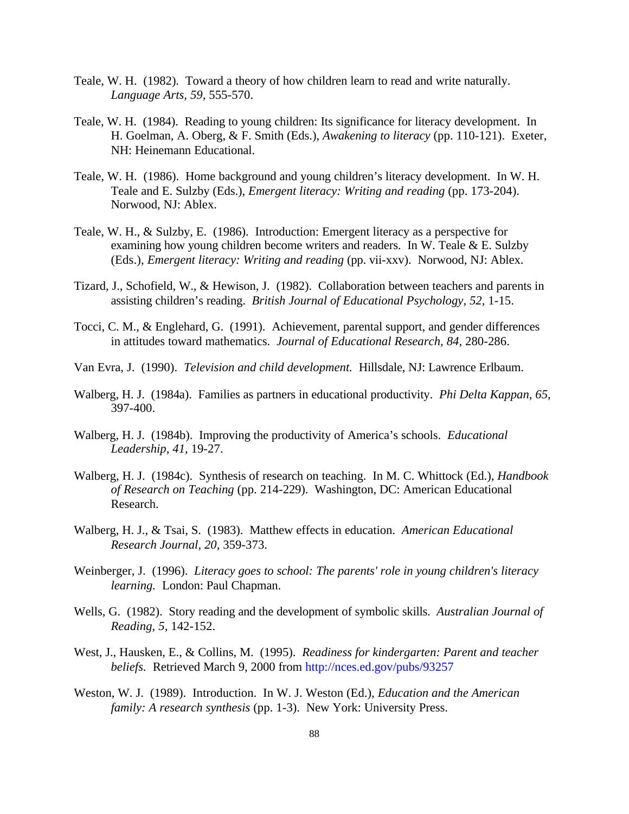- Teale, W. H. (1982). Toward a theory of how children learn to read and write naturally. *Language Arts, 59,* 555-570.
- Teale, W. H. (1984). Reading to young children: Its significance for literacy development. In H. Goelman, A. Oberg, & F. Smith (Eds.), *Awakening to literacy* (pp. 110-121). Exeter, NH: Heinemann Educational.
- Teale, W. H. (1986). Home background and young children's literacy development. In W. H. Teale and E. Sulzby (Eds.), *Emergent literacy: Writing and reading* (pp. 173-204). Norwood, NJ: Ablex.
- Teale, W. H., & Sulzby, E. (1986). Introduction: Emergent literacy as a perspective for examining how young children become writers and readers. In W. Teale & E. Sulzby (Eds.), *Emergent literacy: Writing and reading* (pp. vii-xxv). Norwood, NJ: Ablex.
- Tizard, J., Schofield, W., & Hewison, J. (1982). Collaboration between teachers and parents in assisting children's reading. *British Journal of Educational Psychology, 52,* 1-15.
- Tocci, C. M., & Englehard, G. (1991). Achievement, parental support, and gender differences in attitudes toward mathematics. *Journal of Educational Research, 84,* 280-286.
- Van Evra, J. (1990). *Television and child development.* Hillsdale, NJ: Lawrence Erlbaum.
- Walberg, H. J. (1984a). Families as partners in educational productivity. *Phi Delta Kappan, 65,* 397-400.
- Walberg, H. J. (1984b). Improving the productivity of America's schools. *Educational Leadership, 41,* 19-27.
- Walberg, H. J. (1984c). Synthesis of research on teaching. In M. C. Whittock (Ed.), *Handbook of Research on Teaching* (pp. 214-229). Washington, DC: American Educational Research.
- Walberg, H. J., & Tsai, S. (1983). Matthew effects in education. *American Educational Research Journal, 20,* 359-373.
- Weinberger, J. (1996). *Literacy goes to school: The parents' role in young children's literacy learning.* London: Paul Chapman.
- Wells, G. (1982). Story reading and the development of symbolic skills. *Australian Journal of Reading, 5,* 142-152.
- West, J., Hausken, E., & Collins, M. (1995). *Readiness for kindergarten: Parent and teacher beliefs.* Retrieved March 9, 2000 from http://nces.ed.gov/pubs/93257
- Weston, W. J. (1989). Introduction. In W. J. Weston (Ed.), *Education and the American family: A research synthesis* (pp. 1-3). New York: University Press.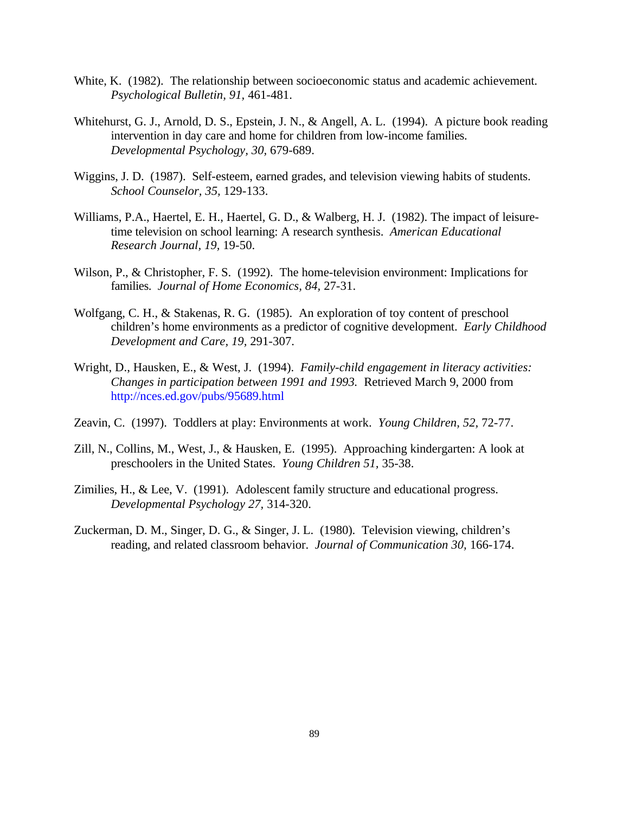- White, K. (1982). The relationship between socioeconomic status and academic achievement. *Psychological Bulletin, 91,* 461-481.
- Whitehurst, G. J., Arnold, D. S., Epstein, J. N., & Angell, A. L. (1994). A picture book reading intervention in day care and home for children from low-income families. *Developmental Psychology, 30,* 679-689.
- Wiggins, J. D. (1987). Self-esteem, earned grades, and television viewing habits of students. *School Counselor, 35,* 129-133.
- Williams, P.A., Haertel, E. H., Haertel, G. D., & Walberg, H. J. (1982). The impact of leisuretime television on school learning: A research synthesis. *American Educational Research Journal, 19,* 19-50.
- Wilson, P., & Christopher, F. S. (1992). The home-television environment: Implications for families. *Journal of Home Economics, 84,* 27-31.
- Wolfgang, C. H., & Stakenas, R. G. (1985). An exploration of toy content of preschool children's home environments as a predictor of cognitive development. *Early Childhood Development and Care, 19,* 291-307.
- Wright, D., Hausken, E., & West, J. (1994). *Family-child engagement in literacy activities: Changes in participation between 1991 and 1993.* Retrieved March 9, 2000 from http://nces.ed.gov/pubs/95689.html
- Zeavin, C. (1997). Toddlers at play: Environments at work. *Young Children, 52,* 72-77.
- Zill, N., Collins, M., West, J., & Hausken, E. (1995). Approaching kindergarten: A look at preschoolers in the United States. *Young Children 51,* 35-38.
- Zimilies, H., & Lee, V. (1991). Adolescent family structure and educational progress. *Developmental Psychology 27,* 314-320.
- Zuckerman, D. M., Singer, D. G., & Singer, J. L. (1980). Television viewing, children's reading, and related classroom behavior. *Journal of Communication 30,* 166-174.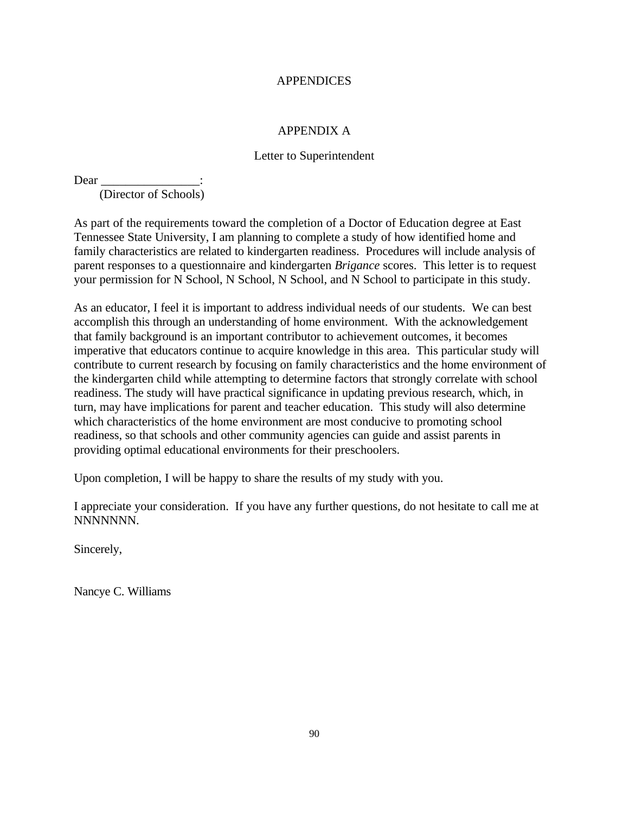### **APPENDICES**

## APPENDIX A

## Letter to Superintendent

Dear  $\Box$ 

(Director of Schools)

As part of the requirements toward the completion of a Doctor of Education degree at East Tennessee State University, I am planning to complete a study of how identified home and family characteristics are related to kindergarten readiness. Procedures will include analysis of parent responses to a questionnaire and kindergarten *Brigance* scores. This letter is to request your permission for N School, N School, N School, and N School to participate in this study.

As an educator, I feel it is important to address individual needs of our students. We can best accomplish this through an understanding of home environment. With the acknowledgement that family background is an important contributor to achievement outcomes, it becomes imperative that educators continue to acquire knowledge in this area. This particular study will contribute to current research by focusing on family characteristics and the home environment of the kindergarten child while attempting to determine factors that strongly correlate with school readiness. The study will have practical significance in updating previous research, which, in turn, may have implications for parent and teacher education. This study will also determine which characteristics of the home environment are most conducive to promoting school readiness, so that schools and other community agencies can guide and assist parents in providing optimal educational environments for their preschoolers.

Upon completion, I will be happy to share the results of my study with you.

I appreciate your consideration. If you have any further questions, do not hesitate to call me at NNNNNNN.

Sincerely,

Nancye C. Williams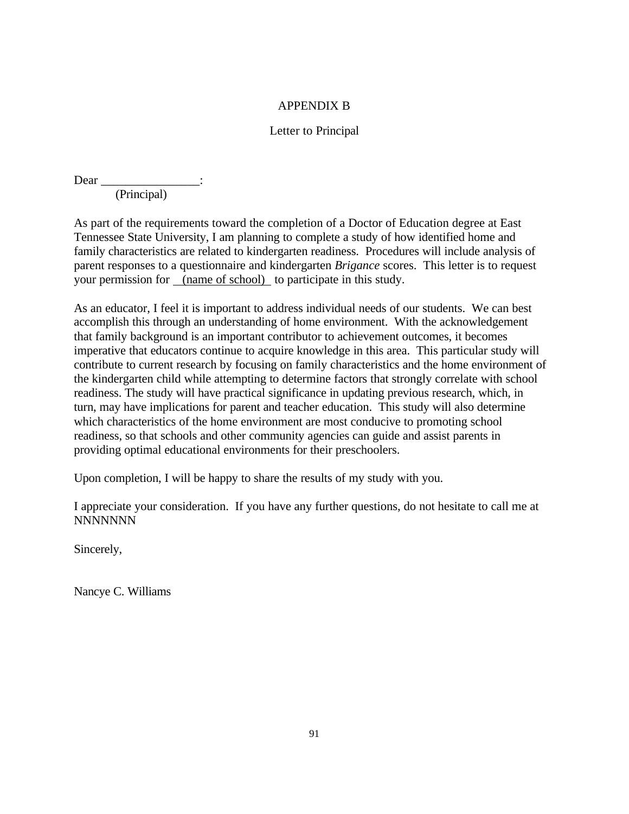## APPENDIX B

## Letter to Principal

Dear \_\_\_\_\_\_\_\_\_\_\_\_\_\_\_\_:

(Principal)

As part of the requirements toward the completion of a Doctor of Education degree at East Tennessee State University, I am planning to complete a study of how identified home and family characteristics are related to kindergarten readiness. Procedures will include analysis of parent responses to a questionnaire and kindergarten *Brigance* scores. This letter is to request your permission for (name of school) to participate in this study.

As an educator, I feel it is important to address individual needs of our students. We can best accomplish this through an understanding of home environment. With the acknowledgement that family background is an important contributor to achievement outcomes, it becomes imperative that educators continue to acquire knowledge in this area. This particular study will contribute to current research by focusing on family characteristics and the home environment of the kindergarten child while attempting to determine factors that strongly correlate with school readiness. The study will have practical significance in updating previous research, which, in turn, may have implications for parent and teacher education. This study will also determine which characteristics of the home environment are most conducive to promoting school readiness, so that schools and other community agencies can guide and assist parents in providing optimal educational environments for their preschoolers.

Upon completion, I will be happy to share the results of my study with you.

I appreciate your consideration. If you have any further questions, do not hesitate to call me at NNNNNNN

Sincerely,

Nancye C. Williams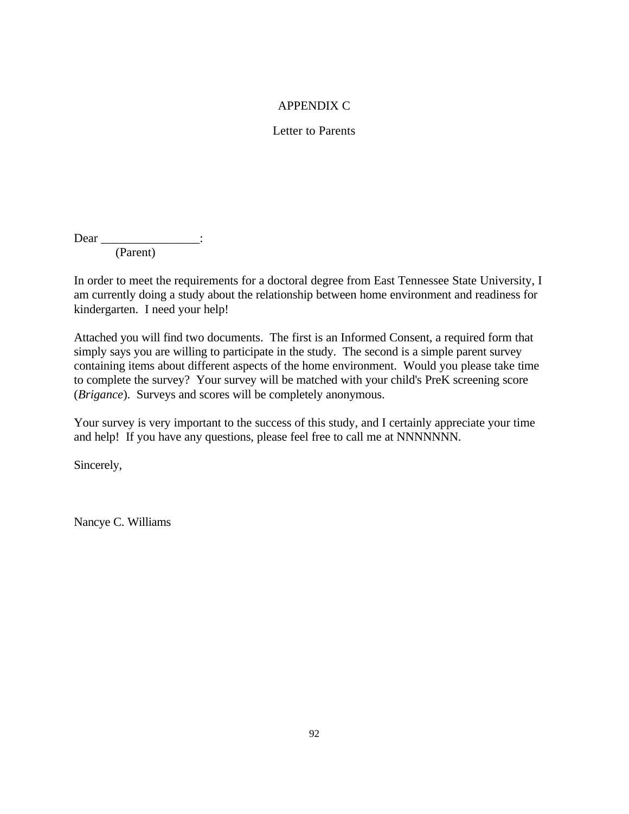## APPENDIX C

Letter to Parents

Dear : (Parent)

In order to meet the requirements for a doctoral degree from East Tennessee State University, I am currently doing a study about the relationship between home environment and readiness for kindergarten. I need your help!

Attached you will find two documents. The first is an Informed Consent, a required form that simply says you are willing to participate in the study. The second is a simple parent survey containing items about different aspects of the home environment. Would you please take time to complete the survey? Your survey will be matched with your child's PreK screening score (*Brigance*). Surveys and scores will be completely anonymous.

Your survey is very important to the success of this study, and I certainly appreciate your time and help! If you have any questions, please feel free to call me at NNNNNNN.

Sincerely,

Nancye C. Williams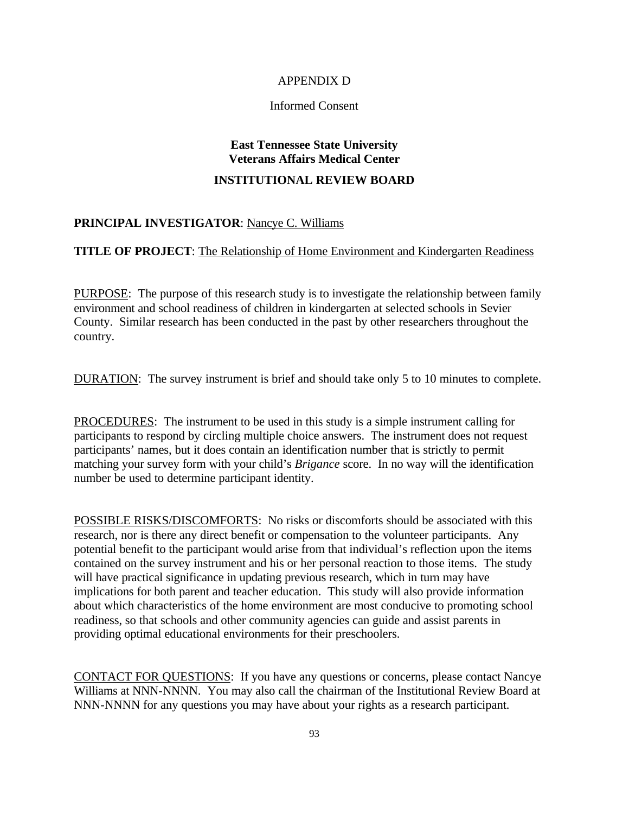### APPENDIX D

### Informed Consent

## **East Tennessee State University Veterans Affairs Medical Center**

## **INSTITUTIONAL REVIEW BOARD**

## **PRINCIPAL INVESTIGATOR**: Nancye C. Williams

## **TITLE OF PROJECT**: The Relationship of Home Environment and Kindergarten Readiness

PURPOSE: The purpose of this research study is to investigate the relationship between family environment and school readiness of children in kindergarten at selected schools in Sevier County. Similar research has been conducted in the past by other researchers throughout the country.

DURATION: The survey instrument is brief and should take only 5 to 10 minutes to complete.

PROCEDURES: The instrument to be used in this study is a simple instrument calling for participants to respond by circling multiple choice answers. The instrument does not request participants' names, but it does contain an identification number that is strictly to permit matching your survey form with your child's *Brigance* score. In no way will the identification number be used to determine participant identity.

POSSIBLE RISKS/DISCOMFORTS: No risks or discomforts should be associated with this research, nor is there any direct benefit or compensation to the volunteer participants. Any potential benefit to the participant would arise from that individual's reflection upon the items contained on the survey instrument and his or her personal reaction to those items. The study will have practical significance in updating previous research, which in turn may have implications for both parent and teacher education. This study will also provide information about which characteristics of the home environment are most conducive to promoting school readiness, so that schools and other community agencies can guide and assist parents in providing optimal educational environments for their preschoolers.

CONTACT FOR QUESTIONS: If you have any questions or concerns, please contact Nancye Williams at NNN-NNNN. You may also call the chairman of the Institutional Review Board at NNN-NNNN for any questions you may have about your rights as a research participant.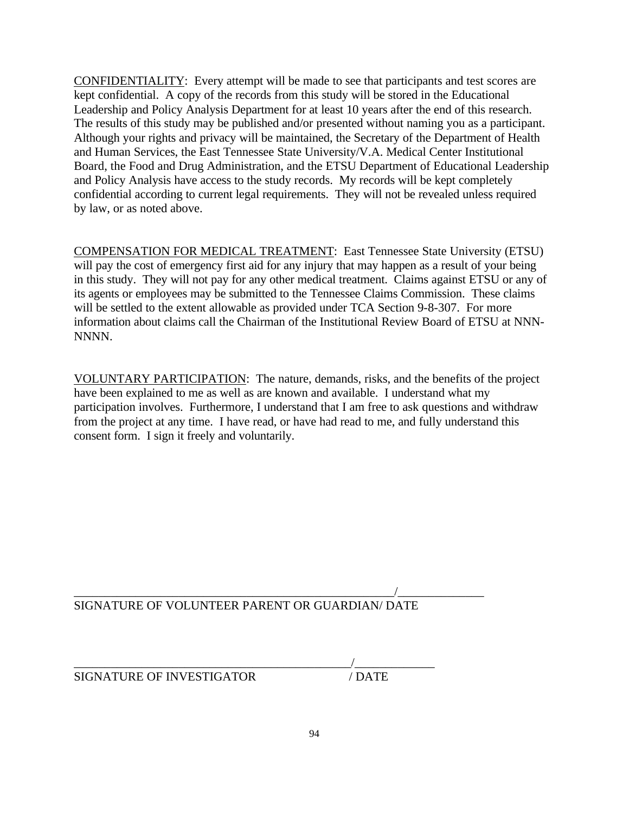CONFIDENTIALITY: Every attempt will be made to see that participants and test scores are kept confidential. A copy of the records from this study will be stored in the Educational Leadership and Policy Analysis Department for at least 10 years after the end of this research. The results of this study may be published and/or presented without naming you as a participant. Although your rights and privacy will be maintained, the Secretary of the Department of Health and Human Services, the East Tennessee State University/V.A. Medical Center Institutional Board, the Food and Drug Administration, and the ETSU Department of Educational Leadership and Policy Analysis have access to the study records. My records will be kept completely confidential according to current legal requirements. They will not be revealed unless required by law, or as noted above.

COMPENSATION FOR MEDICAL TREATMENT: East Tennessee State University (ETSU) will pay the cost of emergency first aid for any injury that may happen as a result of your being in this study. They will not pay for any other medical treatment. Claims against ETSU or any of its agents or employees may be submitted to the Tennessee Claims Commission. These claims will be settled to the extent allowable as provided under TCA Section 9-8-307. For more information about claims call the Chairman of the Institutional Review Board of ETSU at NNN-NNNN.

VOLUNTARY PARTICIPATION: The nature, demands, risks, and the benefits of the project have been explained to me as well as are known and available. I understand what my participation involves. Furthermore, I understand that I am free to ask questions and withdraw from the project at any time. I have read, or have had read to me, and fully understand this consent form. I sign it freely and voluntarily.

\_\_\_\_\_\_\_\_\_\_\_\_\_\_\_\_\_\_\_\_\_\_\_\_\_\_\_\_\_\_\_\_\_\_\_\_\_\_\_\_\_\_\_\_\_\_\_\_\_\_\_\_/\_\_\_\_\_\_\_\_\_\_\_\_\_\_ SIGNATURE OF VOLUNTEER PARENT OR GUARDIAN/ DATE

SIGNATURE OF INVESTIGATOR / DATE

\_\_\_\_\_\_\_\_\_\_\_\_\_\_\_\_\_\_\_\_\_\_\_\_\_\_\_\_\_\_\_\_\_\_\_\_\_\_\_\_\_\_\_\_\_/\_\_\_\_\_\_\_\_\_\_\_\_\_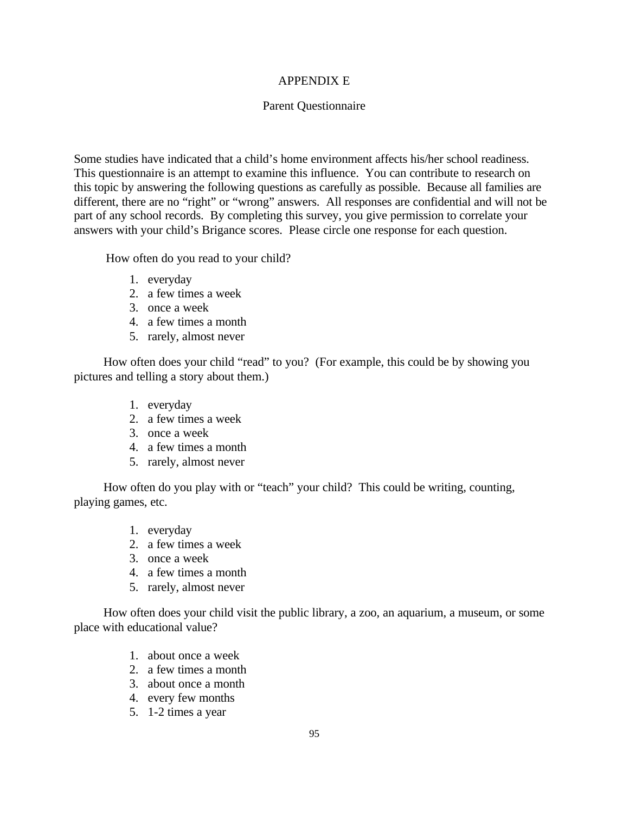## APPENDIX E

### Parent Questionnaire

Some studies have indicated that a child's home environment affects his/her school readiness. This questionnaire is an attempt to examine this influence. You can contribute to research on this topic by answering the following questions as carefully as possible. Because all families are different, there are no "right" or "wrong" answers. All responses are confidential and will not be part of any school records. By completing this survey, you give permission to correlate your answers with your child's Brigance scores. Please circle one response for each question.

How often do you read to your child?

- 1. everyday
- 2. a few times a week
- 3. once a week
- 4. a few times a month
- 5. rarely, almost never

How often does your child "read" to you? (For example, this could be by showing you pictures and telling a story about them.)

- 1. everyday
- 2. a few times a week
- 3. once a week
- 4. a few times a month
- 5. rarely, almost never

How often do you play with or "teach" your child? This could be writing, counting, playing games, etc.

- 1. everyday
- 2. a few times a week
- 3. once a week
- 4. a few times a month
- 5. rarely, almost never

How often does your child visit the public library, a zoo, an aquarium, a museum, or some place with educational value?

- 1. about once a week
- 2. a few times a month
- 3. about once a month
- 4. every few months
- 5. 1-2 times a year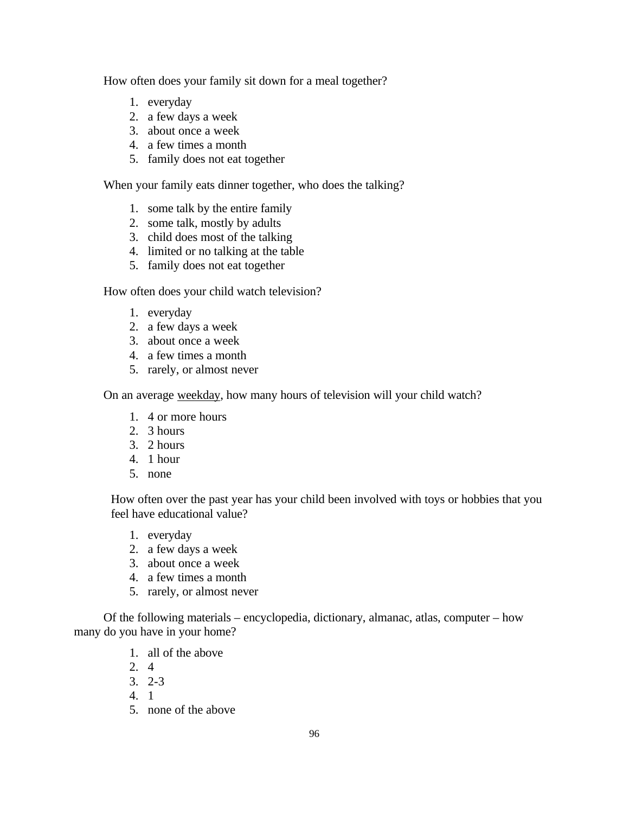How often does your family sit down for a meal together?

- 1. everyday
- 2. a few days a week
- 3. about once a week
- 4. a few times a month
- 5. family does not eat together

When your family eats dinner together, who does the talking?

- 1. some talk by the entire family
- 2. some talk, mostly by adults
- 3. child does most of the talking
- 4. limited or no talking at the table
- 5. family does not eat together

How often does your child watch television?

- 1. everyday
- 2. a few days a week
- 3. about once a week
- 4. a few times a month
- 5. rarely, or almost never

On an average weekday, how many hours of television will your child watch?

- 1. 4 or more hours
- 2. 3 hours
- 3. 2 hours
- 4. 1 hour
- 5. none

How often over the past year has your child been involved with toys or hobbies that you feel have educational value?

- 1. everyday
- 2. a few days a week
- 3. about once a week
- 4. a few times a month
- 5. rarely, or almost never

Of the following materials – encyclopedia, dictionary, almanac, atlas, computer – how many do you have in your home?

- 1. all of the above
- 2. 4
- 3. 2-3
- 4. 1
- 5. none of the above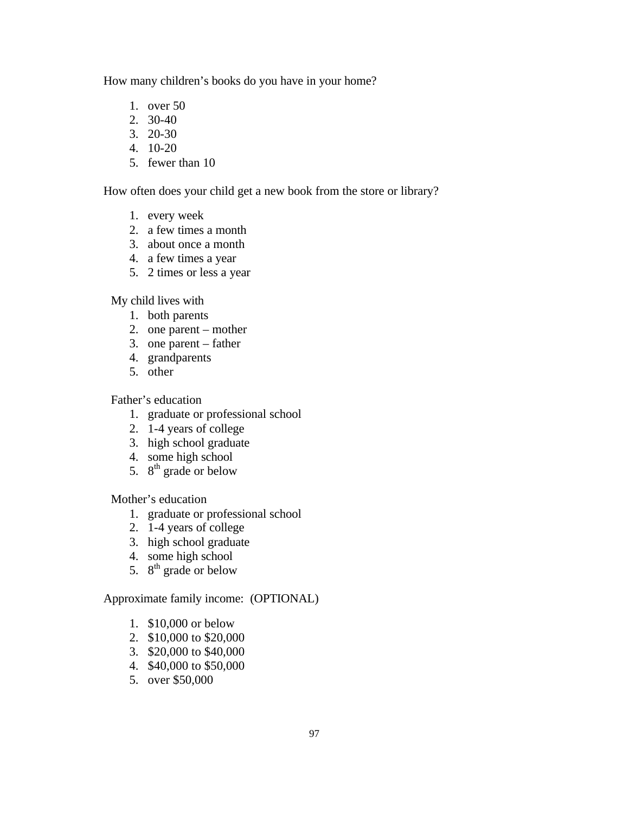How many children's books do you have in your home?

- 1. over 50
- 2. 30-40
- 3. 20-30
- 4. 10-20
- 5. fewer than 10

How often does your child get a new book from the store or library?

- 1. every week
- 2. a few times a month
- 3. about once a month
- 4. a few times a year
- 5. 2 times or less a year

## My child lives with

- 1. both parents
- 2. one parent mother
- 3. one parent father
- 4. grandparents
- 5. other

Father's education

- 1. graduate or professional school
- 2. 1-4 years of college
- 3. high school graduate
- 4. some high school
- 5.  $8^{\text{th}}$  grade or below

Mother's education

- 1. graduate or professional school
- 2. 1-4 years of college
- 3. high school graduate
- 4. some high school
- 5.  $8^{\text{th}}$  grade or below

Approximate family income: (OPTIONAL)

- 1. \$10,000 or below
- 2. \$10,000 to \$20,000
- 3. \$20,000 to \$40,000
- 4. \$40,000 to \$50,000
- 5. over \$50,000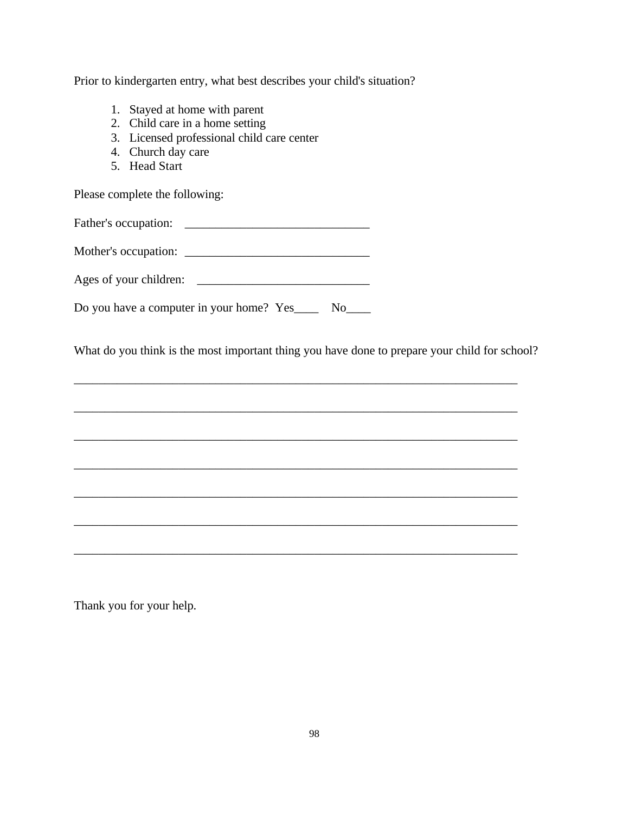Prior to kindergarten entry, what best describes your child's situation?

- 1. Stayed at home with parent
- 2. Child care in a home setting
- 3. Licensed professional child care center
- 4. Church day care
- 5. Head Start

Please complete the following:

Father's occupation:

Mother's occupation: \_\_\_\_\_\_\_\_\_\_\_\_\_\_\_\_\_\_\_\_\_\_\_\_\_\_\_\_\_\_

Ages of your children: \_\_\_\_\_\_\_\_\_\_\_\_\_\_\_\_\_\_\_\_\_\_\_\_\_\_\_\_

Do you have a computer in your home? Yes\_\_\_\_\_ No\_\_\_\_

What do you think is the most important thing you have done to prepare your child for school?

\_\_\_\_\_\_\_\_\_\_\_\_\_\_\_\_\_\_\_\_\_\_\_\_\_\_\_\_\_\_\_\_\_\_\_\_\_\_\_\_\_\_\_\_\_\_\_\_\_\_\_\_\_\_\_\_\_\_\_\_\_\_\_\_\_\_\_\_\_\_\_\_

\_\_\_\_\_\_\_\_\_\_\_\_\_\_\_\_\_\_\_\_\_\_\_\_\_\_\_\_\_\_\_\_\_\_\_\_\_\_\_\_\_\_\_\_\_\_\_\_\_\_\_\_\_\_\_\_\_\_\_\_\_\_\_\_\_\_\_\_\_\_\_\_

\_\_\_\_\_\_\_\_\_\_\_\_\_\_\_\_\_\_\_\_\_\_\_\_\_\_\_\_\_\_\_\_\_\_\_\_\_\_\_\_\_\_\_\_\_\_\_\_\_\_\_\_\_\_\_\_\_\_\_\_\_\_\_\_\_\_\_\_\_\_\_\_

\_\_\_\_\_\_\_\_\_\_\_\_\_\_\_\_\_\_\_\_\_\_\_\_\_\_\_\_\_\_\_\_\_\_\_\_\_\_\_\_\_\_\_\_\_\_\_\_\_\_\_\_\_\_\_\_\_\_\_\_\_\_\_\_\_\_\_\_\_\_\_\_

\_\_\_\_\_\_\_\_\_\_\_\_\_\_\_\_\_\_\_\_\_\_\_\_\_\_\_\_\_\_\_\_\_\_\_\_\_\_\_\_\_\_\_\_\_\_\_\_\_\_\_\_\_\_\_\_\_\_\_\_\_\_\_\_\_\_\_\_\_\_\_\_

\_\_\_\_\_\_\_\_\_\_\_\_\_\_\_\_\_\_\_\_\_\_\_\_\_\_\_\_\_\_\_\_\_\_\_\_\_\_\_\_\_\_\_\_\_\_\_\_\_\_\_\_\_\_\_\_\_\_\_\_\_\_\_\_\_\_\_\_\_\_\_\_

Thank you for your help.